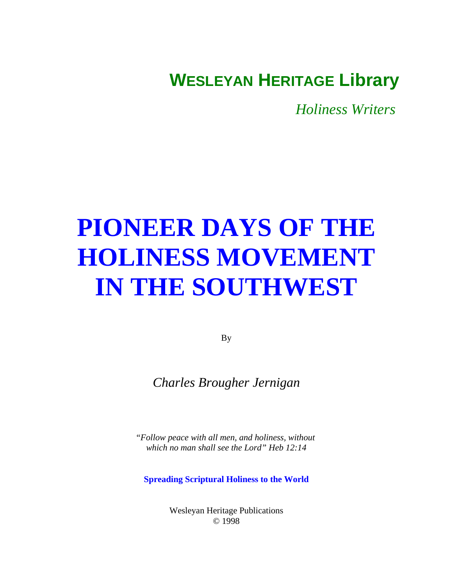# <span id="page-0-0"></span>**WESLEYAN HERITAGE Library**

*Holiness Writers* 

# **[PIONEER DAYS OF THE](#page-1-0) HOLINESS MOVEMENT IN THE SOUTHWEST**

By

*Charles Brougher Jernigan*

*"Follow peace with all men, and holiness, without which no man shall see the Lord" Heb 12:14*

**Spreading Scriptural Holiness to the World**

Wesleyan Heritage Publications © 1998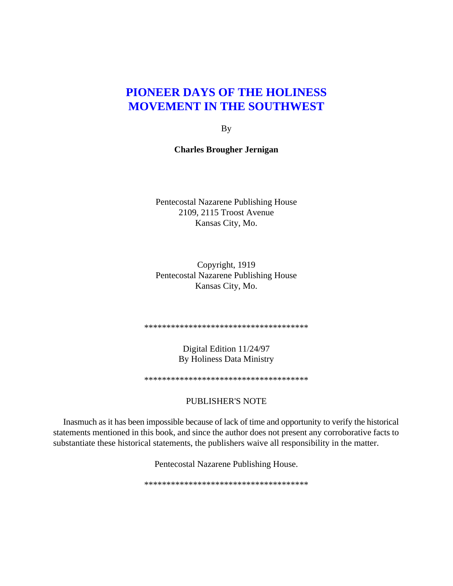By

# <span id="page-1-0"></span>**Charles Brougher Jernigan**

Pentecostal Nazarene Publishing House 2109, 2115 Troost Avenue Kansas City, Mo.

Copyright, 1919 Pentecostal Nazarene Publishing House Kansas City, Mo.

\*\*\*\*\*\*\*\*\*\*\*\*\*\*\*\*\*\*\*\*\*\*\*\*\*\*\*\*\*\*\*\*\*\*\*\*\*

Digital Edition 11/24/97 By Holiness Data Ministry

\*\*\*\*\*\*\*\*\*\*\*\*\*\*\*\*\*\*\*\*\*\*\*\*\*\*\*\*\*\*\*\*\*\*\*\*\*

#### PUBLISHER'S NOTE

Inasmuch as it has been impossible because of lack of time and opportunity to verify the historical statements mentioned in this book, and since the author does not present any corroborative facts to substantiate these historical statements, the publishers waive all responsibility in the matter.

Pentecostal Nazarene Publishing House.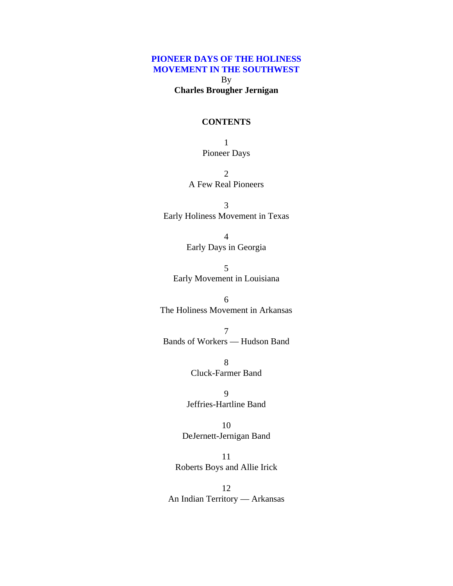<span id="page-2-0"></span>By **Charles Brougher Jernigan**

#### **CONTENTS**

1 [Pioneer Days](#page-6-0)

2 [A Few Real Pioneers](#page-11-0)

3 [Early Holiness Movement in Texas](#page-14-0)

> 4 [Early Days in Georgia](#page-20-0)

5 [Early Movement in Louisiana](#page-24-0)

6 [The Holiness Movement in Arkansas](#page-28-0)

7 [Bands of Workers — Hudson Band](#page-31-0)

> 8 [Cluck-Farmer Band](#page-34-0)

9 [Jeffries-Hartline Band](#page-38-0)

10 [DeJernett-Jernigan Band](#page-41-0)

11 [Roberts Boys and Allie Irick](#page-45-0)

12 [An Indian Territory — Arkansas](#page-51-0)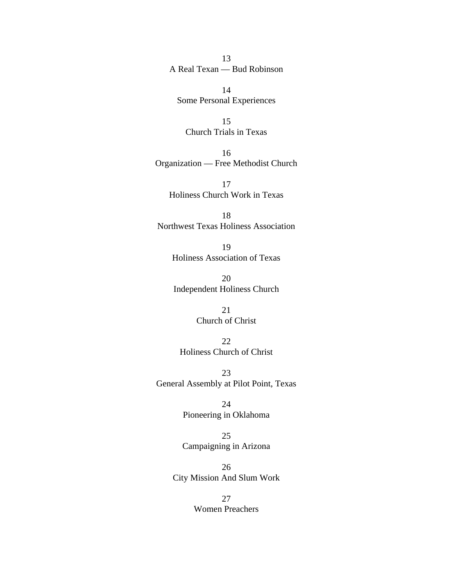# 13 [A Real Texan — Bud Robinson](#page-55-0)

14 [Some Personal Experiences](#page-59-0)

15 [Church Trials in Texas](#page-65-0)

16 [Organization — Free Methodist Church](#page-70-0)

17 [Holiness Church Work in Texas](#page-74-0)

18 [Northwest Texas Holiness Association](#page-76-0)

> 19 [Holiness Association of Texas](#page-80-0)

20 [Independent Holiness Church](#page-91-0)

> 21 [Church of Christ](#page-96-0)

22 [Holiness Church of Christ](#page-101-0)

23 [General Assembly at Pilot Point, Texas](#page-104-0)

> 24 [Pioneering in Oklahoma](#page-107-0)

> 25 [Campaigning in Arizona](#page-113-0)

26 [City Mission And Slum Work](#page-115-0)

> 27 [Women Preachers](#page-121-0)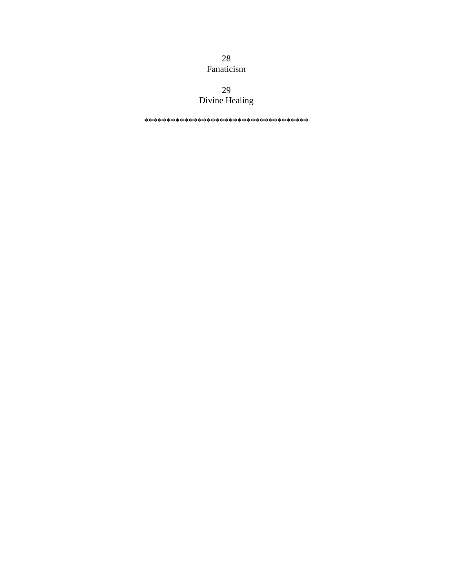28 [Fanaticism](#page-124-0)

# 29 [Divine Healing](#page-128-0)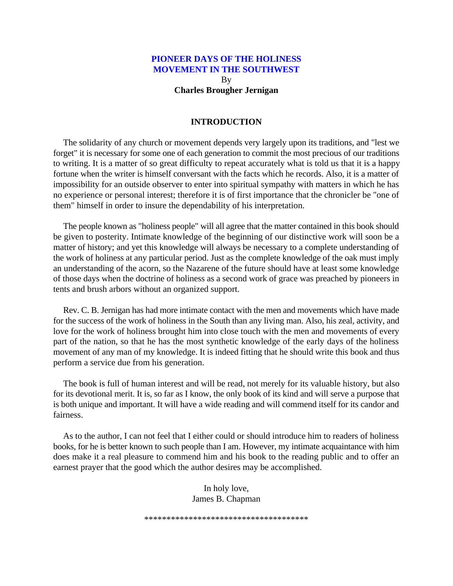**Charles Brougher Jernigan**

#### **INTRODUCTION**

The solidarity of any church or movement depends very largely upon its traditions, and "lest we forget" it is necessary for some one of each generation to commit the most precious of our traditions to writing. It is a matter of so great difficulty to repeat accurately what is told us that it is a happy fortune when the writer is himself conversant with the facts which he records. Also, it is a matter of impossibility for an outside observer to enter into spiritual sympathy with matters in which he has no experience or personal interest; therefore it is of first importance that the chronicler be "one of them" himself in order to insure the dependability of his interpretation.

The people known as "holiness people" will all agree that the matter contained in this book should be given to posterity. Intimate knowledge of the beginning of our distinctive work will soon be a matter of history; and yet this knowledge will always be necessary to a complete understanding of the work of holiness at any particular period. Just as the complete knowledge of the oak must imply an understanding of the acorn, so the Nazarene of the future should have at least some knowledge of those days when the doctrine of holiness as a second work of grace was preached by pioneers in tents and brush arbors without an organized support.

Rev. C. B. Jernigan has had more intimate contact with the men and movements which have made for the success of the work of holiness in the South than any living man. Also, his zeal, activity, and love for the work of holiness brought him into close touch with the men and movements of every part of the nation, so that he has the most synthetic knowledge of the early days of the holiness movement of any man of my knowledge. It is indeed fitting that he should write this book and thus perform a service due from his generation.

The book is full of human interest and will be read, not merely for its valuable history, but also for its devotional merit. It is, so far as I know, the only book of its kind and will serve a purpose that is both unique and important. It will have a wide reading and will commend itself for its candor and fairness.

As to the author, I can not feel that I either could or should introduce him to readers of holiness books, for he is better known to such people than I am. However, my intimate acquaintance with him does make it a real pleasure to commend him and his book to the reading public and to offer an earnest prayer that the good which the author desires may be accomplished.

> In holy love, James B. Chapman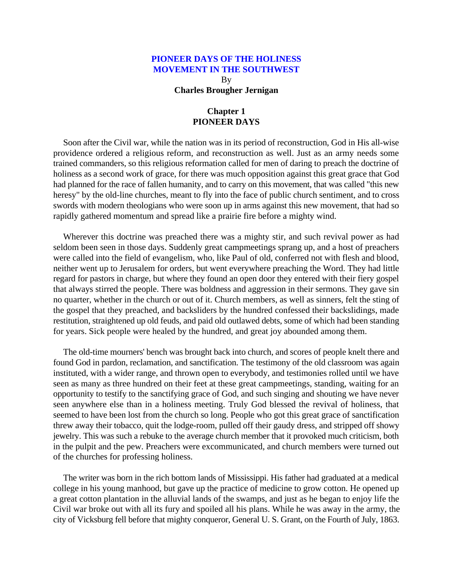By **Charles Brougher Jernigan**

# **Chapter 1 PIONEER DAYS**

<span id="page-6-0"></span>Soon after the Civil war, while the nation was in its period of reconstruction, God in His all-wise providence ordered a religious reform, and reconstruction as well. Just as an army needs some trained commanders, so this religious reformation called for men of daring to preach the doctrine of holiness as a second work of grace, for there was much opposition against this great grace that God had planned for the race of fallen humanity, and to carry on this movement, that was called "this new heresy" by the old-line churches, meant to fly into the face of public church sentiment, and to cross swords with modern theologians who were soon up in arms against this new movement, that had so rapidly gathered momentum and spread like a prairie fire before a mighty wind.

Wherever this doctrine was preached there was a mighty stir, and such revival power as had seldom been seen in those days. Suddenly great campmeetings sprang up, and a host of preachers were called into the field of evangelism, who, like Paul of old, conferred not with flesh and blood, neither went up to Jerusalem for orders, but went everywhere preaching the Word. They had little regard for pastors in charge, but where they found an open door they entered with their fiery gospel that always stirred the people. There was boldness and aggression in their sermons. They gave sin no quarter, whether in the church or out of it. Church members, as well as sinners, felt the sting of the gospel that they preached, and backsliders by the hundred confessed their backslidings, made restitution, straightened up old feuds, and paid old outlawed debts, some of which had been standing for years. Sick people were healed by the hundred, and great joy abounded among them.

The old-time mourners' bench was brought back into church, and scores of people knelt there and found God in pardon, reclamation, and sanctification. The testimony of the old classroom was again instituted, with a wider range, and thrown open to everybody, and testimonies rolled until we have seen as many as three hundred on their feet at these great campmeetings, standing, waiting for an opportunity to testify to the sanctifying grace of God, and such singing and shouting we have never seen anywhere else than in a holiness meeting. Truly God blessed the revival of holiness, that seemed to have been lost from the church so long. People who got this great grace of sanctification threw away their tobacco, quit the lodge-room, pulled off their gaudy dress, and stripped off showy jewelry. This was such a rebuke to the average church member that it provoked much criticism, both in the pulpit and the pew. Preachers were excommunicated, and church members were turned out of the churches for professing holiness.

The writer was born in the rich bottom lands of Mississippi. His father had graduated at a medical college in his young manhood, but gave up the practice of medicine to grow cotton. He opened up a great cotton plantation in the alluvial lands of the swamps, and just as he began to enjoy life the Civil war broke out with all its fury and spoiled all his plans. While he was away in the army, the city of Vicksburg fell before that mighty conqueror, General U. S. Grant, on the Fourth of July, 1863.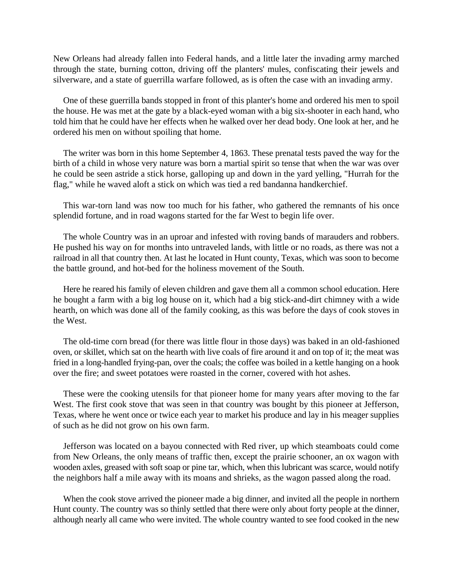New Orleans had already fallen into Federal hands, and a little later the invading army marched through the state, burning cotton, driving off the planters' mules, confiscating their jewels and silverware, and a state of guerrilla warfare followed, as is often the case with an invading army.

One of these guerrilla bands stopped in front of this planter's home and ordered his men to spoil the house. He was met at the gate by a black-eyed woman with a big six-shooter in each hand, who told him that he could have her effects when he walked over her dead body. One look at her, and he ordered his men on without spoiling that home.

The writer was born in this home September 4, 1863. These prenatal tests paved the way for the birth of a child in whose very nature was born a martial spirit so tense that when the war was over he could be seen astride a stick horse, galloping up and down in the yard yelling, "Hurrah for the flag," while he waved aloft a stick on which was tied a red bandanna handkerchief.

This war-torn land was now too much for his father, who gathered the remnants of his once splendid fortune, and in road wagons started for the far West to begin life over.

The whole Country was in an uproar and infested with roving bands of marauders and robbers. He pushed his way on for months into untraveled lands, with little or no roads, as there was not a railroad in all that country then. At last he located in Hunt county, Texas, which was soon to become the battle ground, and hot-bed for the holiness movement of the South.

Here he reared his family of eleven children and gave them all a common school education. Here he bought a farm with a big log house on it, which had a big stick-and-dirt chimney with a wide hearth, on which was done all of the family cooking, as this was before the days of cook stoves in the West.

The old-time corn bread (for there was little flour in those days) was baked in an old-fashioned oven, or skillet, which sat on the hearth with live coals of fire around it and on top of it; the meat was fried in a long-handled frying-pan, over the coals; the coffee was boiled in a kettle hanging on a hook over the fire; and sweet potatoes were roasted in the corner, covered with hot ashes.

These were the cooking utensils for that pioneer home for many years after moving to the far West. The first cook stove that was seen in that country was bought by this pioneer at Jefferson, Texas, where he went once or twice each year to market his produce and lay in his meager supplies of such as he did not grow on his own farm.

Jefferson was located on a bayou connected with Red river, up which steamboats could come from New Orleans, the only means of traffic then, except the prairie schooner, an ox wagon with wooden axles, greased with soft soap or pine tar, which, when this lubricant was scarce, would notify the neighbors half a mile away with its moans and shrieks, as the wagon passed along the road.

When the cook stove arrived the pioneer made a big dinner, and invited all the people in northern Hunt county. The country was so thinly settled that there were only about forty people at the dinner, although nearly all came who were invited. The whole country wanted to see food cooked in the new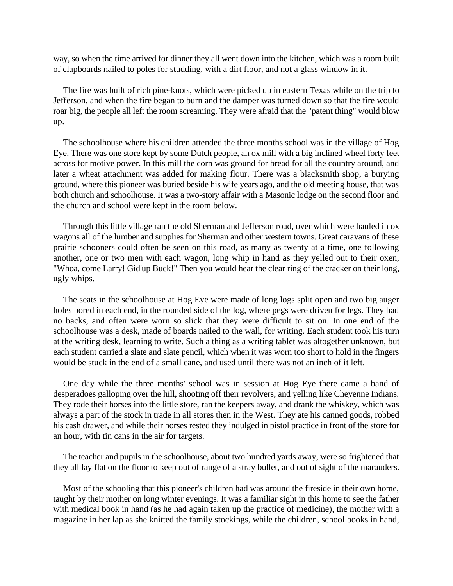way, so when the time arrived for dinner they all went down into the kitchen, which was a room built of clapboards nailed to poles for studding, with a dirt floor, and not a glass window in it.

The fire was built of rich pine-knots, which were picked up in eastern Texas while on the trip to Jefferson, and when the fire began to burn and the damper was turned down so that the fire would roar big, the people all left the room screaming. They were afraid that the "patent thing" would blow up.

The schoolhouse where his children attended the three months school was in the village of Hog Eye. There was one store kept by some Dutch people, an ox mill with a big inclined wheel forty feet across for motive power. In this mill the corn was ground for bread for all the country around, and later a wheat attachment was added for making flour. There was a blacksmith shop, a burying ground, where this pioneer was buried beside his wife years ago, and the old meeting house, that was both church and schoolhouse. It was a two-story affair with a Masonic lodge on the second floor and the church and school were kept in the room below.

Through this little village ran the old Sherman and Jefferson road, over which were hauled in ox wagons all of the lumber and supplies for Sherman and other western towns. Great caravans of these prairie schooners could often be seen on this road, as many as twenty at a time, one following another, one or two men with each wagon, long whip in hand as they yelled out to their oxen, "Whoa, come Larry! Gid'up Buck!" Then you would hear the clear ring of the cracker on their long, ugly whips.

The seats in the schoolhouse at Hog Eye were made of long logs split open and two big auger holes bored in each end, in the rounded side of the log, where pegs were driven for legs. They had no backs, and often were worn so slick that they were difficult to sit on. In one end of the schoolhouse was a desk, made of boards nailed to the wall, for writing. Each student took his turn at the writing desk, learning to write. Such a thing as a writing tablet was altogether unknown, but each student carried a slate and slate pencil, which when it was worn too short to hold in the fingers would be stuck in the end of a small cane, and used until there was not an inch of it left.

One day while the three months' school was in session at Hog Eye there came a band of desperadoes galloping over the hill, shooting off their revolvers, and yelling like Cheyenne Indians. They rode their horses into the little store, ran the keepers away, and drank the whiskey, which was always a part of the stock in trade in all stores then in the West. They ate his canned goods, robbed his cash drawer, and while their horses rested they indulged in pistol practice in front of the store for an hour, with tin cans in the air for targets.

The teacher and pupils in the schoolhouse, about two hundred yards away, were so frightened that they all lay flat on the floor to keep out of range of a stray bullet, and out of sight of the marauders.

Most of the schooling that this pioneer's children had was around the fireside in their own home, taught by their mother on long winter evenings. It was a familiar sight in this home to see the father with medical book in hand (as he had again taken up the practice of medicine), the mother with a magazine in her lap as she knitted the family stockings, while the children, school books in hand,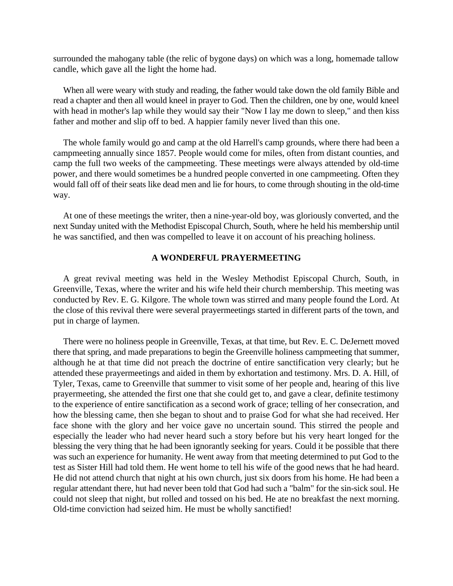surrounded the mahogany table (the relic of bygone days) on which was a long, homemade tallow candle, which gave all the light the home had.

When all were weary with study and reading, the father would take down the old family Bible and read a chapter and then all would kneel in prayer to God. Then the children, one by one, would kneel with head in mother's lap while they would say their "Now I lay me down to sleep," and then kiss father and mother and slip off to bed. A happier family never lived than this one.

The whole family would go and camp at the old Harrell's camp grounds, where there had been a campmeeting annually since 1857. People would come for miles, often from distant counties, and camp the full two weeks of the campmeeting. These meetings were always attended by old-time power, and there would sometimes be a hundred people converted in one campmeeting. Often they would fall off of their seats like dead men and lie for hours, to come through shouting in the old-time way.

At one of these meetings the writer, then a nine-year-old boy, was gloriously converted, and the next Sunday united with the Methodist Episcopal Church, South, where he held his membership until he was sanctified, and then was compelled to leave it on account of his preaching holiness.

#### **A WONDERFUL PRAYERMEETING**

A great revival meeting was held in the Wesley Methodist Episcopal Church, South, in Greenville, Texas, where the writer and his wife held their church membership. This meeting was conducted by Rev. E. G. Kilgore. The whole town was stirred and many people found the Lord. At the close of this revival there were several prayermeetings started in different parts of the town, and put in charge of laymen.

There were no holiness people in Greenville, Texas, at that time, but Rev. E. C. DeJernett moved there that spring, and made preparations to begin the Greenville holiness campmeeting that summer, although he at that time did not preach the doctrine of entire sanctification very clearly; but he attended these prayermeetings and aided in them by exhortation and testimony. Mrs. D. A. Hill, of Tyler, Texas, came to Greenville that summer to visit some of her people and, hearing of this live prayermeeting, she attended the first one that she could get to, and gave a clear, definite testimony to the experience of entire sanctification as a second work of grace; telling of her consecration, and how the blessing came, then she began to shout and to praise God for what she had received. Her face shone with the glory and her voice gave no uncertain sound. This stirred the people and especially the leader who had never heard such a story before but his very heart longed for the blessing the very thing that he had been ignorantly seeking for years. Could it be possible that there was such an experience for humanity. He went away from that meeting determined to put God to the test as Sister Hill had told them. He went home to tell his wife of the good news that he had heard. He did not attend church that night at his own church, just six doors from his home. He had been a regular attendant there, hut had never been told that God had such a "balm" for the sin-sick soul. He could not sleep that night, but rolled and tossed on his bed. He ate no breakfast the next morning. Old-time conviction had seized him. He must be wholly sanctified!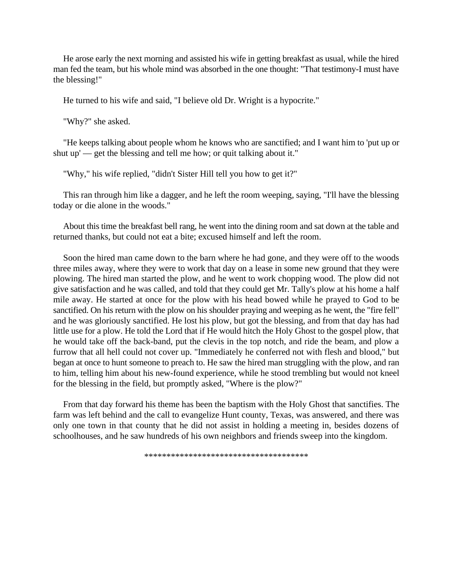He arose early the next morning and assisted his wife in getting breakfast as usual, while the hired man fed the team, but his whole mind was absorbed in the one thought: "That testimony-I must have the blessing!"

He turned to his wife and said, "I believe old Dr. Wright is a hypocrite."

"Why?" she asked.

"He keeps talking about people whom he knows who are sanctified; and I want him to 'put up or shut up' — get the blessing and tell me how; or quit talking about it."

"Why," his wife replied, "didn't Sister Hill tell you how to get it?"

This ran through him like a dagger, and he left the room weeping, saying, "I'll have the blessing today or die alone in the woods."

About this time the breakfast bell rang, he went into the dining room and sat down at the table and returned thanks, but could not eat a bite; excused himself and left the room.

Soon the hired man came down to the barn where he had gone, and they were off to the woods three miles away, where they were to work that day on a lease in some new ground that they were plowing. The hired man started the plow, and he went to work chopping wood. The plow did not give satisfaction and he was called, and told that they could get Mr. Tally's plow at his home a half mile away. He started at once for the plow with his head bowed while he prayed to God to be sanctified. On his return with the plow on his shoulder praying and weeping as he went, the "fire fell" and he was gloriously sanctified. He lost his plow, but got the blessing, and from that day has had little use for a plow. He told the Lord that if He would hitch the Holy Ghost to the gospel plow, that he would take off the back-band, put the clevis in the top notch, and ride the beam, and plow a furrow that all hell could not cover up. "Immediately he conferred not with flesh and blood," but began at once to hunt someone to preach to. He saw the hired man struggling with the plow, and ran to him, telling him about his new-found experience, while he stood trembling but would not kneel for the blessing in the field, but promptly asked, "Where is the plow?"

From that day forward his theme has been the baptism with the Holy Ghost that sanctifies. The farm was left behind and the call to evangelize Hunt county, Texas, was answered, and there was only one town in that county that he did not assist in holding a meeting in, besides dozens of schoolhouses, and he saw hundreds of his own neighbors and friends sweep into the kingdom.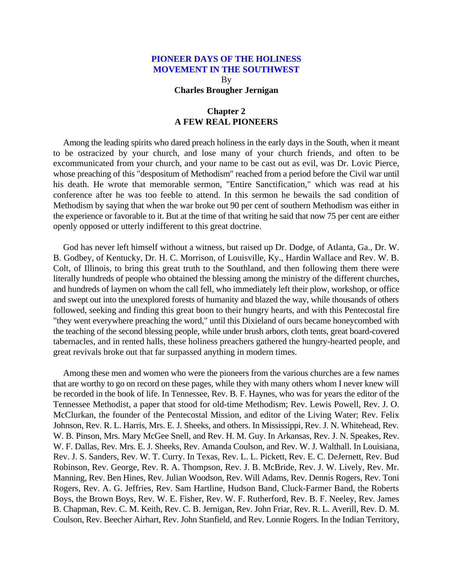By **Charles Brougher Jernigan**

# **Chapter 2 A FEW REAL PIONEERS**

<span id="page-11-0"></span>Among the leading spirits who dared preach holiness in the early days in the South, when it meant to be ostracized by your church, and lose many of your church friends, and often to be excommunicated from your church, and your name to be cast out as evil, was Dr. Lovic Pierce, whose preaching of this "despositum of Methodism" reached from a period before the Civil war until his death. He wrote that memorable sermon, "Entire Sanctification," which was read at his conference after he was too feeble to attend. In this sermon he bewails the sad condition of Methodism by saying that when the war broke out 90 per cent of southern Methodism was either in the experience or favorable to it. But at the time of that writing he said that now 75 per cent are either openly opposed or utterly indifferent to this great doctrine.

God has never left himself without a witness, but raised up Dr. Dodge, of Atlanta, Ga., Dr. W. B. Godbey, of Kentucky, Dr. H. C. Morrison, of Louisville, Ky., Hardin Wallace and Rev. W. B. Colt, of Illinois, to bring this great truth to the Southland, and then following them there were literally hundreds of people who obtained the blessing among the ministry of the different churches, and hundreds of laymen on whom the call fell, who immediately left their plow, workshop, or office and swept out into the unexplored forests of humanity and blazed the way, while thousands of others followed, seeking and finding this great boon to their hungry hearts, and with this Pentecostal fire "they went everywhere preaching the word," until this Dixieland of ours became honeycombed with the teaching of the second blessing people, while under brush arbors, cloth tents, great board-covered tabernacles, and in rented halls, these holiness preachers gathered the hungry-hearted people, and great revivals broke out that far surpassed anything in modern times.

Among these men and women who were the pioneers from the various churches are a few names that are worthy to go on record on these pages, while they with many others whom I never knew will be recorded in the book of life. In Tennessee, Rev. B. F. Haynes, who was for years the editor of the Tennessee Methodist, a paper that stood for old-time Methodism; Rev. Lewis Powell, Rev. J. O. McClurkan, the founder of the Pentecostal Mission, and editor of the Living Water; Rev. Felix Johnson, Rev. R. L. Harris, Mrs. E. J. Sheeks, and others. In Mississippi, Rev. J. N. Whitehead, Rev. W. B. Pinson, Mrs. Mary McGee Snell, and Rev. H. M. Guy. In Arkansas, Rev. J. N. Speakes, Rev. W. F. Dallas, Rev. Mrs. E. J. Sheeks, Rev. Amanda Coulson, and Rev. W. J. Walthall. In Louisiana, Rev. J. S. Sanders, Rev. W. T. Curry. In Texas, Rev. L. L. Pickett, Rev. E. C. DeJernett, Rev. Bud Robinson, Rev. George, Rev. R. A. Thompson, Rev. J. B. McBride, Rev. J. W. Lively, Rev. Mr. Manning, Rev. Ben Hines, Rev. Julian Woodson, Rev. Will Adams, Rev. Dennis Rogers, Rev. Toni Rogers, Rev. A. G. Jeffries, Rev. Sam Hartline, Hudson Band, Cluck-Farmer Band, the Roberts Boys, the Brown Boys, Rev. W. E. Fisher, Rev. W. F. Rutherford, Rev. B. F. Neeley, Rev. James B. Chapman, Rev. C. M. Keith, Rev. C. B. Jernigan, Rev. John Friar, Rev. R. L. Averill, Rev. D. M. Coulson, Rev. Beecher Airhart, Rev. John Stanfield, and Rev. Lonnie Rogers. In the Indian Territory,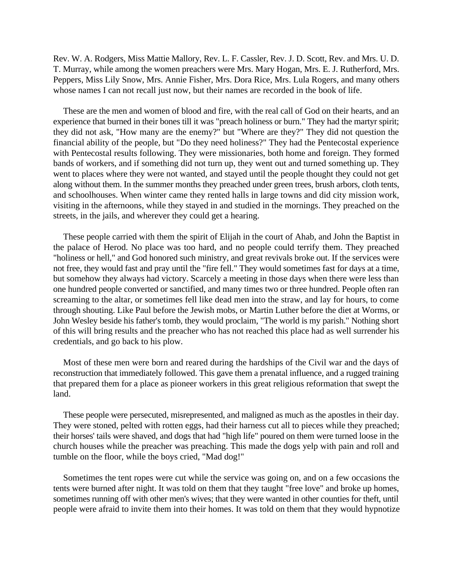Rev. W. A. Rodgers, Miss Mattie Mallory, Rev. L. F. Cassler, Rev. J. D. Scott, Rev. and Mrs. U. D. T. Murray, while among the women preachers were Mrs. Mary Hogan, Mrs. E. J. Rutherford, Mrs. Peppers, Miss Lily Snow, Mrs. Annie Fisher, Mrs. Dora Rice, Mrs. Lula Rogers, and many others whose names I can not recall just now, but their names are recorded in the book of life.

These are the men and women of blood and fire, with the real call of God on their hearts, and an experience that burned in their bones till it was "preach holiness or burn." They had the martyr spirit; they did not ask, "How many are the enemy?" but "Where are they?" They did not question the financial ability of the people, but "Do they need holiness?" They had the Pentecostal experience with Pentecostal results following. They were missionaries, both home and foreign. They formed bands of workers, and if something did not turn up, they went out and turned something up. They went to places where they were not wanted, and stayed until the people thought they could not get along without them. In the summer months they preached under green trees, brush arbors, cloth tents, and schoolhouses. When winter came they rented halls in large towns and did city mission work, visiting in the afternoons, while they stayed in and studied in the mornings. They preached on the streets, in the jails, and wherever they could get a hearing.

These people carried with them the spirit of Elijah in the court of Ahab, and John the Baptist in the palace of Herod. No place was too hard, and no people could terrify them. They preached "holiness or hell," and God honored such ministry, and great revivals broke out. If the services were not free, they would fast and pray until the "fire fell." They would sometimes fast for days at a time, but somehow they always had victory. Scarcely a meeting in those days when there were less than one hundred people converted or sanctified, and many times two or three hundred. People often ran screaming to the altar, or sometimes fell like dead men into the straw, and lay for hours, to come through shouting. Like Paul before the Jewish mobs, or Martin Luther before the diet at Worms, or John Wesley beside his father's tomb, they would proclaim, "The world is my parish." Nothing short of this will bring results and the preacher who has not reached this place had as well surrender his credentials, and go back to his plow.

Most of these men were born and reared during the hardships of the Civil war and the days of reconstruction that immediately followed. This gave them a prenatal influence, and a rugged training that prepared them for a place as pioneer workers in this great religious reformation that swept the land.

These people were persecuted, misrepresented, and maligned as much as the apostles in their day. They were stoned, pelted with rotten eggs, had their harness cut all to pieces while they preached; their horses' tails were shaved, and dogs that had "high life" poured on them were turned loose in the church houses while the preacher was preaching. This made the dogs yelp with pain and roll and tumble on the floor, while the boys cried, "Mad dog!"

Sometimes the tent ropes were cut while the service was going on, and on a few occasions the tents were burned after night. It was told on them that they taught "free love" and broke up homes, sometimes running off with other men's wives; that they were wanted in other counties for theft, until people were afraid to invite them into their homes. It was told on them that they would hypnotize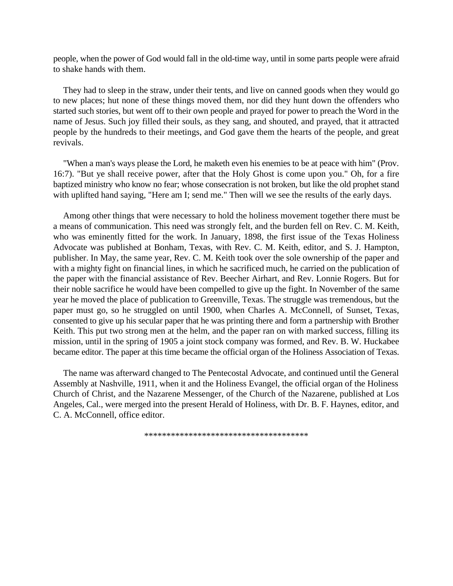people, when the power of God would fall in the old-time way, until in some parts people were afraid to shake hands with them.

They had to sleep in the straw, under their tents, and live on canned goods when they would go to new places; hut none of these things moved them, nor did they hunt down the offenders who started such stories, but went off to their own people and prayed for power to preach the Word in the name of Jesus. Such joy filled their souls, as they sang, and shouted, and prayed, that it attracted people by the hundreds to their meetings, and God gave them the hearts of the people, and great revivals.

"When a man's ways please the Lord, he maketh even his enemies to be at peace with him" (Prov. 16:7). "But ye shall receive power, after that the Holy Ghost is come upon you." Oh, for a fire baptized ministry who know no fear; whose consecration is not broken, but like the old prophet stand with uplifted hand saying, "Here am I; send me." Then will we see the results of the early days.

Among other things that were necessary to hold the holiness movement together there must be a means of communication. This need was strongly felt, and the burden fell on Rev. C. M. Keith, who was eminently fitted for the work. In January, 1898, the first issue of the Texas Holiness Advocate was published at Bonham, Texas, with Rev. C. M. Keith, editor, and S. J. Hampton, publisher. In May, the same year, Rev. C. M. Keith took over the sole ownership of the paper and with a mighty fight on financial lines, in which he sacrificed much, he carried on the publication of the paper with the financial assistance of Rev. Beecher Airhart, and Rev. Lonnie Rogers. But for their noble sacrifice he would have been compelled to give up the fight. In November of the same year he moved the place of publication to Greenville, Texas. The struggle was tremendous, but the paper must go, so he struggled on until 1900, when Charles A. McConnell, of Sunset, Texas, consented to give up his secular paper that he was printing there and form a partnership with Brother Keith. This put two strong men at the helm, and the paper ran on with marked success, filling its mission, until in the spring of 1905 a joint stock company was formed, and Rev. B. W. Huckabee became editor. The paper at this time became the official organ of the Holiness Association of Texas.

The name was afterward changed to The Pentecostal Advocate, and continued until the General Assembly at Nashville, 1911, when it and the Holiness Evangel, the official organ of the Holiness Church of Christ, and the Nazarene Messenger, of the Church of the Nazarene, published at Los Angeles, Cal., were merged into the present Herald of Holiness, with Dr. B. F. Haynes, editor, and C. A. McConnell, office editor.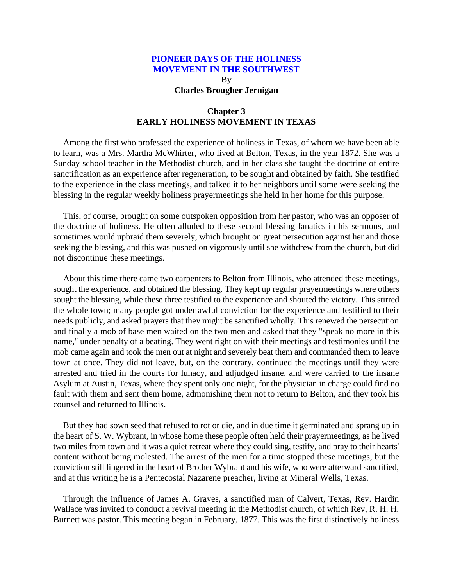By **Charles Brougher Jernigan**

# **Chapter 3 EARLY HOLINESS MOVEMENT IN TEXAS**

<span id="page-14-0"></span>Among the first who professed the experience of holiness in Texas, of whom we have been able to learn, was a Mrs. Martha McWhirter, who lived at Belton, Texas, in the year 1872. She was a Sunday school teacher in the Methodist church, and in her class she taught the doctrine of entire sanctification as an experience after regeneration, to be sought and obtained by faith. She testified to the experience in the class meetings, and talked it to her neighbors until some were seeking the blessing in the regular weekly holiness prayermeetings she held in her home for this purpose.

This, of course, brought on some outspoken opposition from her pastor, who was an opposer of the doctrine of holiness. He often alluded to these second blessing fanatics in his sermons, and sometimes would upbraid them severely, which brought on great persecution against her and those seeking the blessing, and this was pushed on vigorously until she withdrew from the church, but did not discontinue these meetings.

About this time there came two carpenters to Belton from Illinois, who attended these meetings, sought the experience, and obtained the blessing. They kept up regular prayermeetings where others sought the blessing, while these three testified to the experience and shouted the victory. This stirred the whole town; many people got under awful conviction for the experience and testified to their needs publicly, and asked prayers that they might be sanctified wholly. This renewed the persecution and finally a mob of base men waited on the two men and asked that they "speak no more in this name," under penalty of a beating. They went right on with their meetings and testimonies until the mob came again and took the men out at night and severely beat them and commanded them to leave town at once. They did not leave, but, on the contrary, continued the meetings until they were arrested and tried in the courts for lunacy, and adjudged insane, and were carried to the insane Asylum at Austin, Texas, where they spent only one night, for the physician in charge could find no fault with them and sent them home, admonishing them not to return to Belton, and they took his counsel and returned to Illinois.

But they had sown seed that refused to rot or die, and in due time it germinated and sprang up in the heart of S. W. Wybrant, in whose home these people often held their prayermeetings, as he lived two miles from town and it was a quiet retreat where they could sing, testify, and pray to their hearts' content without being molested. The arrest of the men for a time stopped these meetings, but the conviction still lingered in the heart of Brother Wybrant and his wife, who were afterward sanctified, and at this writing he is a Pentecostal Nazarene preacher, living at Mineral Wells, Texas.

Through the influence of James A. Graves, a sanctified man of Calvert, Texas, Rev. Hardin Wallace was invited to conduct a revival meeting in the Methodist church, of which Rev, R. H. H. Burnett was pastor. This meeting began in February, 1877. This was the first distinctively holiness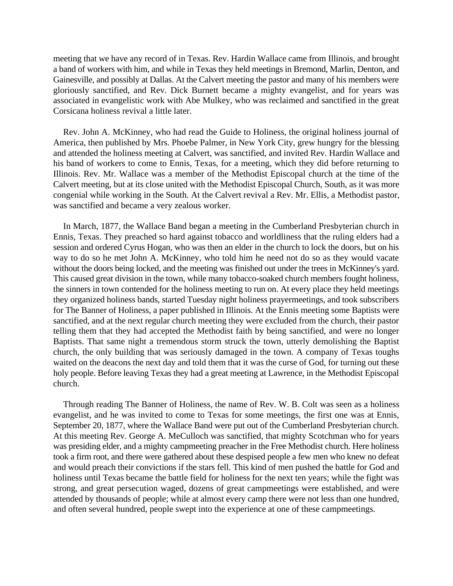meeting that we have any record of in Texas. Rev. Hardin Wallace came from Illinois, and brought a band of workers with him, and while in Texas they held meetings in Bremond, Marlin, Denton, and Gainesville, and possibly at Dallas. At the Calvert meeting the pastor and many of his members were gloriously sanctified, and Rev. Dick Burnett became a mighty evangelist, and for years was associated in evangelistic work with Abe Mulkey, who was reclaimed and sanctified in the great Corsicana holiness revival a little later.

Rev. John A. McKinney, who had read the Guide to Holiness, the original holiness journal of America, then published by Mrs. Phoebe Palmer, in New York City, grew hungry for the blessing and attended the holiness meeting at Calvert, was sanctified, and invited Rev. Hardin Wallace and his band of workers to come to Ennis, Texas, for a meeting, which they did before returning to Illinois. Rev. Mr. Wallace was a member of the Methodist Episcopal church at the time of the Calvert meeting, but at its close united with the Methodist Episcopal Church, South, as it was more congenial while working in the South. At the Calvert revival a Rev. Mr. Ellis, a Methodist pastor, was sanctified and became a very zealous worker.

In March, 1877, the Wallace Band began a meeting in the Cumberland Presbyterian church in Ennis, Texas. They preached so hard against tobacco and worldliness that the ruling elders had a session and ordered Cyrus Hogan, who was then an elder in the church to lock the doors, but on his way to do so he met John A. McKinney, who told him he need not do so as they would vacate without the doors being locked, and the meeting was finished out under the trees in McKinney's yard. This caused great division in the town, while many tobacco-soaked church members fought holiness, the sinners in town contended for the holiness meeting to run on. At every place they held meetings they organized holiness bands, started Tuesday night holiness prayermeetings, and took subscribers for The Banner of Holiness, a paper published in Illinois. At the Ennis meeting some Baptists were sanctified, and at the next regular church meeting they were excluded from the church, their pastor telling them that they had accepted the Methodist faith by being sanctified, and were no longer Baptists. That same night a tremendous storm struck the town, utterly demolishing the Baptist church, the only building that was seriously damaged in the town. A company of Texas toughs waited on the deacons the next day and told them that it was the curse of God, for turning out these holy people. Before leaving Texas they had a great meeting at Lawrence, in the Methodist Episcopal church.

Through reading The Banner of Holiness, the name of Rev. W. B. Colt was seen as a holiness evangelist, and he was invited to come to Texas for some meetings, the first one was at Ennis, September 20, 1877, where the Wallace Band were put out of the Cumberland Presbyterian church. At this meeting Rev. George A. MeCulloch was sanctified, that mighty Scotchman who for years was presiding elder, and a mighty campmeeting preacher in the Free Methodist church. Here holiness took a firm root, and there were gathered about these despised people a few men who knew no defeat and would preach their convictions if the stars fell. This kind of men pushed the battle for God and holiness until Texas became the battle field for holiness for the next ten years; while the fight was strong, and great persecution waged, dozens of great campmeetings were established, and were attended by thousands of people; while at almost every camp there were not less than one hundred, and often several hundred, people swept into the experience at one of these campmeetings.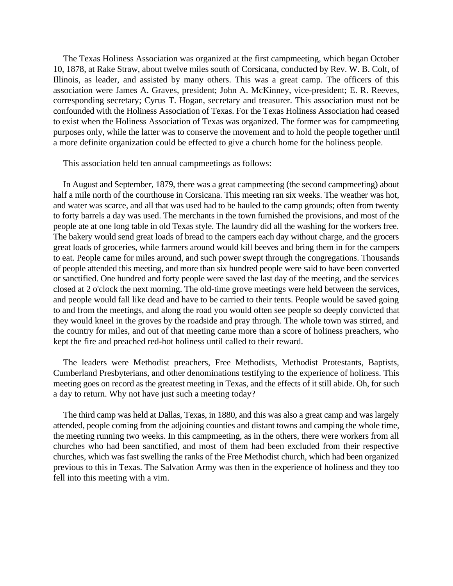The Texas Holiness Association was organized at the first campmeeting, which began October 10, 1878, at Rake Straw, about twelve miles south of Corsicana, conducted by Rev. W. B. Colt, of Illinois, as leader, and assisted by many others. This was a great camp. The officers of this association were James A. Graves, president; John A. McKinney, vice-president; E. R. Reeves, corresponding secretary; Cyrus T. Hogan, secretary and treasurer. This association must not be confounded with the Holiness Association of Texas. For the Texas Holiness Association had ceased to exist when the Holiness Association of Texas was organized. The former was for campmeeting purposes only, while the latter was to conserve the movement and to hold the people together until a more definite organization could be effected to give a church home for the holiness people.

This association held ten annual campmeetings as follows:

In August and September, 1879, there was a great campmeeting (the second campmeeting) about half a mile north of the courthouse in Corsicana. This meeting ran six weeks. The weather was hot, and water was scarce, and all that was used had to be hauled to the camp grounds; often from twenty to forty barrels a day was used. The merchants in the town furnished the provisions, and most of the people ate at one long table in old Texas style. The laundry did all the washing for the workers free. The bakery would send great loads of bread to the campers each day without charge, and the grocers great loads of groceries, while farmers around would kill beeves and bring them in for the campers to eat. People came for miles around, and such power swept through the congregations. Thousands of people attended this meeting, and more than six hundred people were said to have been converted or sanctified. One hundred and forty people were saved the last day of the meeting, and the services closed at 2 o'clock the next morning. The old-time grove meetings were held between the services, and people would fall like dead and have to be carried to their tents. People would be saved going to and from the meetings, and along the road you would often see people so deeply convicted that they would kneel in the groves by the roadside and pray through. The whole town was stirred, and the country for miles, and out of that meeting came more than a score of holiness preachers, who kept the fire and preached red-hot holiness until called to their reward.

The leaders were Methodist preachers, Free Methodists, Methodist Protestants, Baptists, Cumberland Presbyterians, and other denominations testifying to the experience of holiness. This meeting goes on record as the greatest meeting in Texas, and the effects of it still abide. Oh, for such a day to return. Why not have just such a meeting today?

The third camp was held at Dallas, Texas, in 1880, and this was also a great camp and was largely attended, people coming from the adjoining counties and distant towns and camping the whole time, the meeting running two weeks. In this campmeeting, as in the others, there were workers from all churches who had been sanctified, and most of them had been excluded from their respective churches, which was fast swelling the ranks of the Free Methodist church, which had been organized previous to this in Texas. The Salvation Army was then in the experience of holiness and they too fell into this meeting with a vim.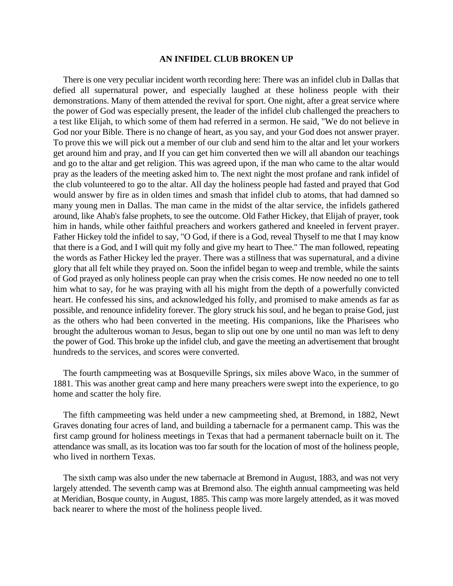#### **AN INFIDEL CLUB BROKEN UP**

There is one very peculiar incident worth recording here: There was an infidel club in Dallas that defied all supernatural power, and especially laughed at these holiness people with their demonstrations. Many of them attended the revival for sport. One night, after a great service where the power of God was especially present, the leader of the infidel club challenged the preachers to a test like Elijah, to which some of them had referred in a sermon. He said, "We do not believe in God nor your Bible. There is no change of heart, as you say, and your God does not answer prayer. To prove this we will pick out a member of our club and send him to the altar and let your workers get around him and pray, and If you can get him converted then we will all abandon our teachings and go to the altar and get religion. This was agreed upon, if the man who came to the altar would pray as the leaders of the meeting asked him to. The next night the most profane and rank infidel of the club volunteered to go to the altar. All day the holiness people had fasted and prayed that God would answer by fire as in olden times and smash that infidel club to atoms, that had damned so many young men in Dallas. The man came in the midst of the altar service, the infidels gathered around, like Ahab's false prophets, to see the outcome. Old Father Hickey, that Elijah of prayer, took him in hands, while other faithful preachers and workers gathered and kneeled in fervent prayer. Father Hickey told the infidel to say, "O God, if there is a God, reveal Thyself to me that I may know that there is a God, and I will quit my folly and give my heart to Thee." The man followed, repeating the words as Father Hickey led the prayer. There was a stillness that was supernatural, and a divine glory that all felt while they prayed on. Soon the infidel began to weep and tremble, while the saints of God prayed as only holiness people can pray when the crisis comes. He now needed no one to tell him what to say, for he was praying with all his might from the depth of a powerfully convicted heart. He confessed his sins, and acknowledged his folly, and promised to make amends as far as possible, and renounce infidelity forever. The glory struck his soul, and he began to praise God, just as the others who had been converted in the meeting. His companions, like the Pharisees who brought the adulterous woman to Jesus, began to slip out one by one until no man was left to deny the power of God. This broke up the infidel club, and gave the meeting an advertisement that brought hundreds to the services, and scores were converted.

The fourth campmeeting was at Bosqueville Springs, six miles above Waco, in the summer of 1881. This was another great camp and here many preachers were swept into the experience, to go home and scatter the holy fire.

The fifth campmeeting was held under a new campmeeting shed, at Bremond, in 1882, Newt Graves donating four acres of land, and building a tabernacle for a permanent camp. This was the first camp ground for holiness meetings in Texas that had a permanent tabernacle built on it. The attendance was small, as its location was too far south for the location of most of the holiness people, who lived in northern Texas.

The sixth camp was also under the new tabernacle at Bremond in August, 1883, and was not very largely attended. The seventh camp was at Bremond also. The eighth annual campmeeting was held at Meridian, Bosque county, in August, 1885. This camp was more largely attended, as it was moved back nearer to where the most of the holiness people lived.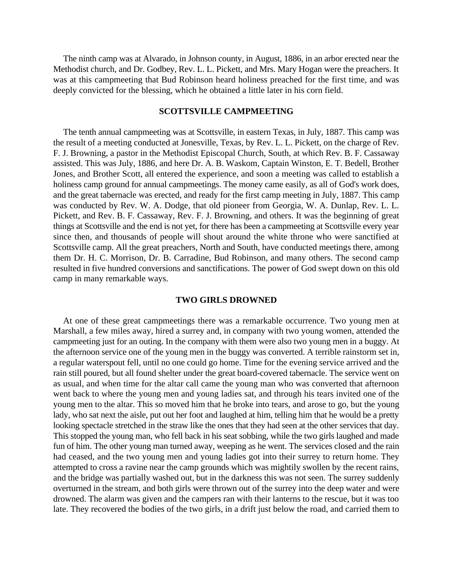The ninth camp was at Alvarado, in Johnson county, in August, 1886, in an arbor erected near the Methodist church, and Dr. Godbey, Rev. L. L. Pickett, and Mrs. Mary Hogan were the preachers. It was at this campmeeting that Bud Robinson heard holiness preached for the first time, and was deeply convicted for the blessing, which he obtained a little later in his corn field.

#### **SCOTTSVILLE CAMPMEETING**

The tenth annual campmeeting was at Scottsville, in eastern Texas, in July, 1887. This camp was the result of a meeting conducted at Jonesville, Texas, by Rev. L. L. Pickett, on the charge of Rev. F. J. Browning, a pastor in the Methodist Episcopal Church, South, at which Rev. B. F. Cassaway assisted. This was July, 1886, and here Dr. A. B. Waskom, Captain Winston, E. T. Bedell, Brother Jones, and Brother Scott, all entered the experience, and soon a meeting was called to establish a holiness camp ground for annual campmeetings. The money came easily, as all of God's work does, and the great tabernacle was erected, and ready for the first camp meeting in July, 1887. This camp was conducted by Rev. W. A. Dodge, that old pioneer from Georgia, W. A. Dunlap, Rev. L. L. Pickett, and Rev. B. F. Cassaway, Rev. F. J. Browning, and others. It was the beginning of great things at Scottsville and the end is not yet, for there has been a campmeeting at Scottsville every year since then, and thousands of people will shout around the white throne who were sanctified at Scottsville camp. All the great preachers, North and South, have conducted meetings there, among them Dr. H. C. Morrison, Dr. B. Carradine, Bud Robinson, and many others. The second camp resulted in five hundred conversions and sanctifications. The power of God swept down on this old camp in many remarkable ways.

#### **TWO GIRLS DROWNED**

At one of these great campmeetings there was a remarkable occurrence. Two young men at Marshall, a few miles away, hired a surrey and, in company with two young women, attended the campmeeting just for an outing. In the company with them were also two young men in a buggy. At the afternoon service one of the young men in the buggy was converted. A terrible rainstorm set in, a regular waterspout fell, until no one could go home. Time for the evening service arrived and the rain still poured, but all found shelter under the great board-covered tabernacle. The service went on as usual, and when time for the altar call came the young man who was converted that afternoon went back to where the young men and young ladies sat, and through his tears invited one of the young men to the altar. This so moved him that he broke into tears, and arose to go, but the young lady, who sat next the aisle, put out her foot and laughed at him, telling him that he would be a pretty looking spectacle stretched in the straw like the ones that they had seen at the other services that day. This stopped the young man, who fell back in his seat sobbing, while the two girls laughed and made fun of him. The other young man turned away, weeping as he went. The services closed and the rain had ceased, and the two young men and young ladies got into their surrey to return home. They attempted to cross a ravine near the camp grounds which was mightily swollen by the recent rains, and the bridge was partially washed out, but in the darkness this was not seen. The surrey suddenly overturned in the stream, and both girls were thrown out of the surrey into the deep water and were drowned. The alarm was given and the campers ran with their lanterns to the rescue, but it was too late. They recovered the bodies of the two girls, in a drift just below the road, and carried them to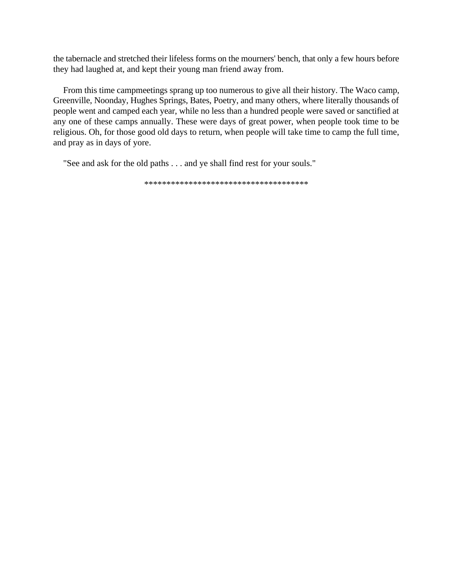the tabernacle and stretched their lifeless forms on the mourners' bench, that only a few hours before they had laughed at, and kept their young man friend away from.

From this time campmeetings sprang up too numerous to give all their history. The Waco camp, Greenville, Noonday, Hughes Springs, Bates, Poetry, and many others, where literally thousands of people went and camped each year, while no less than a hundred people were saved or sanctified at any one of these camps annually. These were days of great power, when people took time to be religious. Oh, for those good old days to return, when people will take time to camp the full time, and pray as in days of yore.

"See and ask for the old paths . . . and ye shall find rest for your souls."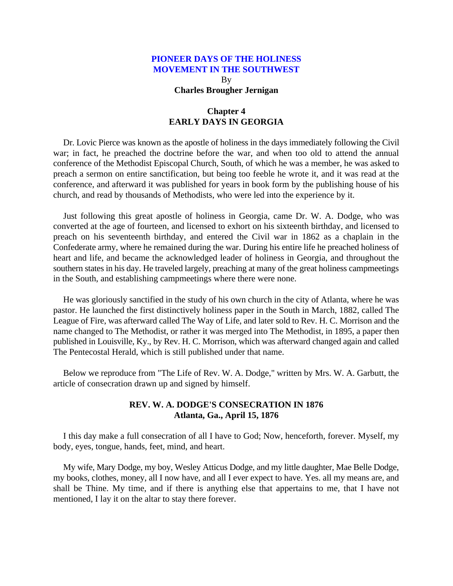By **Charles Brougher Jernigan**

# **Chapter 4 EARLY DAYS IN GEORGIA**

<span id="page-20-0"></span>Dr. Lovic Pierce was known as the apostle of holiness in the days immediately following the Civil war; in fact, he preached the doctrine before the war, and when too old to attend the annual conference of the Methodist Episcopal Church, South, of which he was a member, he was asked to preach a sermon on entire sanctification, but being too feeble he wrote it, and it was read at the conference, and afterward it was published for years in book form by the publishing house of his church, and read by thousands of Methodists, who were led into the experience by it.

Just following this great apostle of holiness in Georgia, came Dr. W. A. Dodge, who was converted at the age of fourteen, and licensed to exhort on his sixteenth birthday, and licensed to preach on his seventeenth birthday, and entered the Civil war in 1862 as a chaplain in the Confederate army, where he remained during the war. During his entire life he preached holiness of heart and life, and became the acknowledged leader of holiness in Georgia, and throughout the southern states in his day. He traveled largely, preaching at many of the great holiness campmeetings in the South, and establishing campmeetings where there were none.

He was gloriously sanctified in the study of his own church in the city of Atlanta, where he was pastor. He launched the first distinctively holiness paper in the South in March, 1882, called The League of Fire, was afterward called The Way of Life, and later sold to Rev. H. C. Morrison and the name changed to The Methodist, or rather it was merged into The Methodist, in 1895, a paper then published in Louisville, Ky., by Rev. H. C. Morrison, which was afterward changed again and called The Pentecostal Herald, which is still published under that name.

Below we reproduce from "The Life of Rev. W. A. Dodge," written by Mrs. W. A. Garbutt, the article of consecration drawn up and signed by himself.

# **REV. W. A. DODGE'S CONSECRATION IN 1876 Atlanta, Ga., April 15, 1876**

I this day make a full consecration of all I have to God; Now, henceforth, forever. Myself, my body, eyes, tongue, hands, feet, mind, and heart.

My wife, Mary Dodge, my boy, Wesley Atticus Dodge, and my little daughter, Mae Belle Dodge, my books, clothes, money, all I now have, and all I ever expect to have. Yes. all my means are, and shall be Thine. My time, and if there is anything else that appertains to me, that I have not mentioned, I lay it on the altar to stay there forever.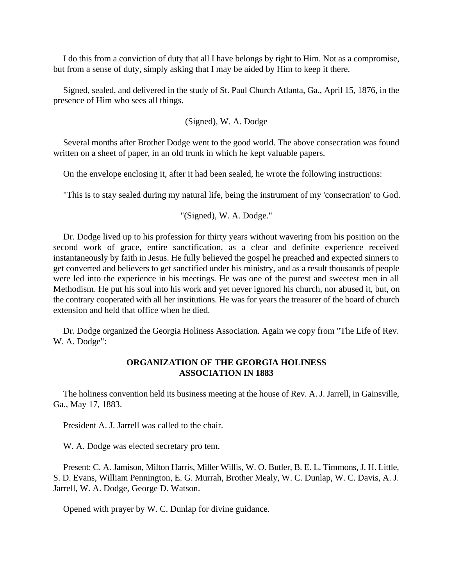I do this from a conviction of duty that all I have belongs by right to Him. Not as a compromise, but from a sense of duty, simply asking that I may be aided by Him to keep it there.

Signed, sealed, and delivered in the study of St. Paul Church Atlanta, Ga., April 15, 1876, in the presence of Him who sees all things.

(Signed), W. A. Dodge

Several months after Brother Dodge went to the good world. The above consecration was found written on a sheet of paper, in an old trunk in which he kept valuable papers.

On the envelope enclosing it, after it had been sealed, he wrote the following instructions:

"This is to stay sealed during my natural life, being the instrument of my 'consecration' to God.

"(Signed), W. A. Dodge."

Dr. Dodge lived up to his profession for thirty years without wavering from his position on the second work of grace, entire sanctification, as a clear and definite experience received instantaneously by faith in Jesus. He fully believed the gospel he preached and expected sinners to get converted and believers to get sanctified under his ministry, and as a result thousands of people were led into the experience in his meetings. He was one of the purest and sweetest men in all Methodism. He put his soul into his work and yet never ignored his church, nor abused it, but, on the contrary cooperated with all her institutions. He was for years the treasurer of the board of church extension and held that office when he died.

Dr. Dodge organized the Georgia Holiness Association. Again we copy from "The Life of Rev. W. A. Dodge":

# **ORGANIZATION OF THE GEORGIA HOLINESS ASSOCIATION IN 1883**

The holiness convention held its business meeting at the house of Rev. A. J. Jarrell, in Gainsville, Ga., May 17, 1883.

President A. J. Jarrell was called to the chair.

W. A. Dodge was elected secretary pro tem.

Present: C. A. Jamison, Milton Harris, Miller Willis, W. O. Butler, B. E. L. Timmons, J. H. Little, S. D. Evans, William Pennington, E. G. Murrah, Brother Mealy, W. C. Dunlap, W. C. Davis, A. J. Jarrell, W. A. Dodge, George D. Watson.

Opened with prayer by W. C. Dunlap for divine guidance.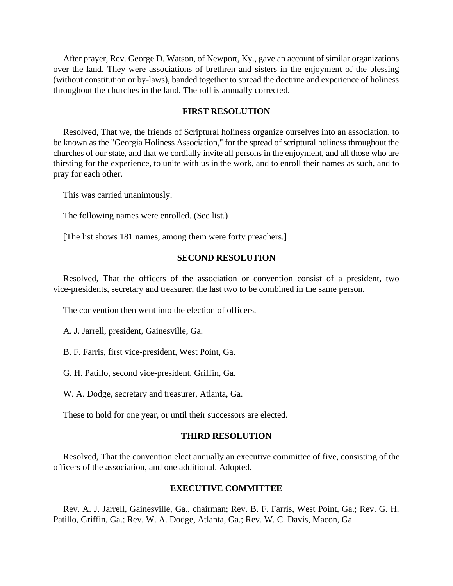After prayer, Rev. George D. Watson, of Newport, Ky., gave an account of similar organizations over the land. They were associations of brethren and sisters in the enjoyment of the blessing (without constitution or by-laws), banded together to spread the doctrine and experience of holiness throughout the churches in the land. The roll is annually corrected.

#### **FIRST RESOLUTION**

Resolved, That we, the friends of Scriptural holiness organize ourselves into an association, to be known as the "Georgia Holiness Association," for the spread of scriptural holiness throughout the churches of our state, and that we cordially invite all persons in the enjoyment, and all those who are thirsting for the experience, to unite with us in the work, and to enroll their names as such, and to pray for each other.

This was carried unanimously.

The following names were enrolled. (See list.)

[The list shows 181 names, among them were forty preachers.]

# **SECOND RESOLUTION**

Resolved, That the officers of the association or convention consist of a president, two vice-presidents, secretary and treasurer, the last two to be combined in the same person.

The convention then went into the election of officers.

A. J. Jarrell, president, Gainesville, Ga.

B. F. Farris, first vice-president, West Point, Ga.

G. H. Patillo, second vice-president, Griffin, Ga.

W. A. Dodge, secretary and treasurer, Atlanta, Ga.

These to hold for one year, or until their successors are elected.

# **THIRD RESOLUTION**

Resolved, That the convention elect annually an executive committee of five, consisting of the officers of the association, and one additional. Adopted.

# **EXECUTIVE COMMITTEE**

Rev. A. J. Jarrell, Gainesville, Ga., chairman; Rev. B. F. Farris, West Point, Ga.; Rev. G. H. Patillo, Griffin, Ga.; Rev. W. A. Dodge, Atlanta, Ga.; Rev. W. C. Davis, Macon, Ga.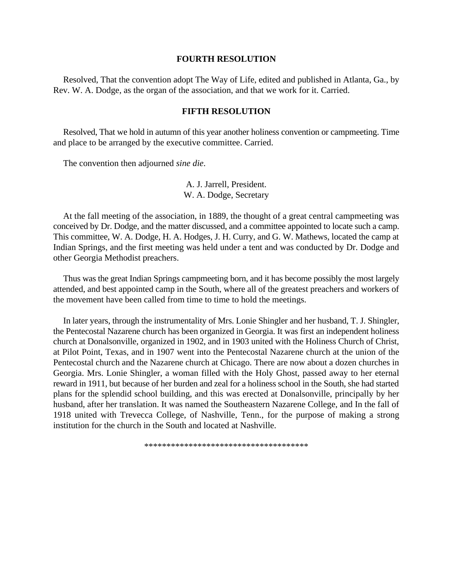#### **FOURTH RESOLUTION**

Resolved, That the convention adopt The Way of Life, edited and published in Atlanta, Ga., by Rev. W. A. Dodge, as the organ of the association, and that we work for it. Carried.

#### **FIFTH RESOLUTION**

Resolved, That we hold in autumn of this year another holiness convention or campmeeting. Time and place to be arranged by the executive committee. Carried.

The convention then adjourned *sine die*.

A. J. Jarrell, President. W. A. Dodge, Secretary

At the fall meeting of the association, in 1889, the thought of a great central campmeeting was conceived by Dr. Dodge, and the matter discussed, and a committee appointed to locate such a camp. This committee, W. A. Dodge, H. A. Hodges, J. H. Curry, and G. W. Mathews, located the camp at Indian Springs, and the first meeting was held under a tent and was conducted by Dr. Dodge and other Georgia Methodist preachers.

Thus was the great Indian Springs campmeeting born, and it has become possibly the most largely attended, and best appointed camp in the South, where all of the greatest preachers and workers of the movement have been called from time to time to hold the meetings.

In later years, through the instrumentality of Mrs. Lonie Shingler and her husband, T. J. Shingler, the Pentecostal Nazarene church has been organized in Georgia. It was first an independent holiness church at Donalsonville, organized in 1902, and in 1903 united with the Holiness Church of Christ, at Pilot Point, Texas, and in 1907 went into the Pentecostal Nazarene church at the union of the Pentecostal church and the Nazarene church at Chicago. There are now about a dozen churches in Georgia. Mrs. Lonie Shingler, a woman filled with the Holy Ghost, passed away to her eternal reward in 1911, but because of her burden and zeal for a holiness school in the South, she had started plans for the splendid school building, and this was erected at Donalsonville, principally by her husband, after her translation. It was named the Southeastern Nazarene College, and In the fall of 1918 united with Trevecca College, of Nashville, Tenn., for the purpose of making a strong institution for the church in the South and located at Nashville.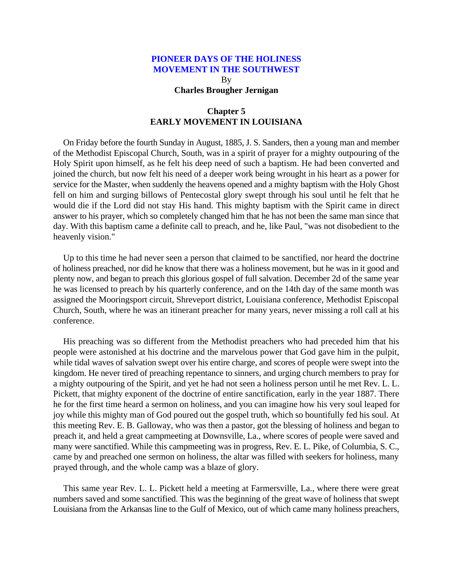By **Charles Brougher Jernigan**

# **Chapter 5 EARLY MOVEMENT IN LOUISIANA**

<span id="page-24-0"></span>On Friday before the fourth Sunday in August, 1885, J. S. Sanders, then a young man and member of the Methodist Episcopal Church, South, was in a spirit of prayer for a mighty outpouring of the Holy Spirit upon himself, as he felt his deep need of such a baptism. He had been converted and joined the church, but now felt his need of a deeper work being wrought in his heart as a power for service for the Master, when suddenly the heavens opened and a mighty baptism with the Holy Ghost fell on him and surging billows of Pentecostal glory swept through his soul until he felt that he would die if the Lord did not stay His hand. This mighty baptism with the Spirit came in direct answer to his prayer, which so completely changed him that he has not been the same man since that day. With this baptism came a definite call to preach, and he, like Paul, "was not disobedient to the heavenly vision."

Up to this time he had never seen a person that claimed to be sanctified, nor heard the doctrine of holiness preached, nor did he know that there was a holiness movement, but he was in it good and plenty now, and began to preach this glorious gospel of full salvation. December 2d of the same year he was licensed to preach by his quarterly conference, and on the 14th day of the same month was assigned the Mooringsport circuit, Shreveport district, Louisiana conference, Methodist Episcopal Church, South, where he was an itinerant preacher for many years, never missing a roll call at his conference.

His preaching was so different from the Methodist preachers who had preceded him that his people were astonished at his doctrine and the marvelous power that God gave him in the pulpit, while tidal waves of salvation swept over his entire charge, and scores of people were swept into the kingdom. He never tired of preaching repentance to sinners, and urging church members to pray for a mighty outpouring of the Spirit, and yet he had not seen a holiness person until he met Rev. L. L. Pickett, that mighty exponent of the doctrine of entire sanctification, early in the year 1887. There he for the first time heard a sermon on holiness, and you can imagine how his very soul leaped for joy while this mighty man of God poured out the gospel truth, which so bountifully fed his soul. At this meeting Rev. E. B. Galloway, who was then a pastor, got the blessing of holiness and began to preach it, and held a great campmeeting at Downsville, La., where scores of people were saved and many were sanctified. While this campmeeting was in progress, Rev. E. L. Pike, of Columbia, S. C., came by and preached one sermon on holiness, the altar was filled with seekers for holiness, many prayed through, and the whole camp was a blaze of glory.

This same year Rev. L. L. Pickett held a meeting at Farmersville, La., where there were great numbers saved and some sanctified. This was the beginning of the great wave of holiness that swept Louisiana from the Arkansas line to the Gulf of Mexico, out of which came many holiness preachers,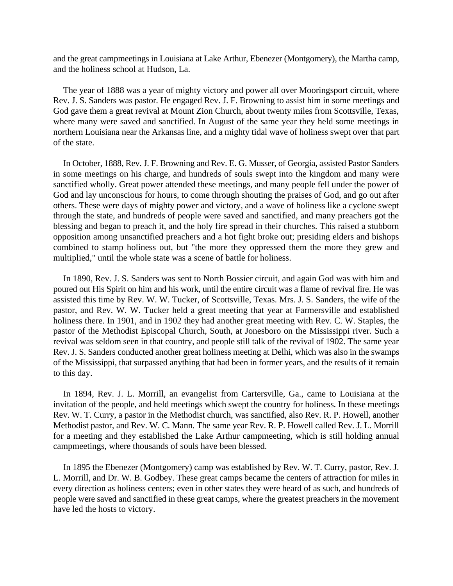and the great campmeetings in Louisiana at Lake Arthur, Ebenezer (Montgomery), the Martha camp, and the holiness school at Hudson, La.

The year of 1888 was a year of mighty victory and power all over Mooringsport circuit, where Rev. J. S. Sanders was pastor. He engaged Rev. J. F. Browning to assist him in some meetings and God gave them a great revival at Mount Zion Church, about twenty miles from Scottsville, Texas, where many were saved and sanctified. In August of the same year they held some meetings in northern Louisiana near the Arkansas line, and a mighty tidal wave of holiness swept over that part of the state.

In October, 1888, Rev. J. F. Browning and Rev. E. G. Musser, of Georgia, assisted Pastor Sanders in some meetings on his charge, and hundreds of souls swept into the kingdom and many were sanctified wholly. Great power attended these meetings, and many people fell under the power of God and lay unconscious for hours, to come through shouting the praises of God, and go out after others. These were days of mighty power and victory, and a wave of holiness like a cyclone swept through the state, and hundreds of people were saved and sanctified, and many preachers got the blessing and began to preach it, and the holy fire spread in their churches. This raised a stubborn opposition among unsanctified preachers and a hot fight broke out; presiding elders and bishops combined to stamp holiness out, but "the more they oppressed them the more they grew and multiplied," until the whole state was a scene of battle for holiness.

In 1890, Rev. J. S. Sanders was sent to North Bossier circuit, and again God was with him and poured out His Spirit on him and his work, until the entire circuit was a flame of revival fire. He was assisted this time by Rev. W. W. Tucker, of Scottsville, Texas. Mrs. J. S. Sanders, the wife of the pastor, and Rev. W. W. Tucker held a great meeting that year at Farmersville and established holiness there. In 1901, and in 1902 they had another great meeting with Rev. C. W. Staples, the pastor of the Methodist Episcopal Church, South, at Jonesboro on the Mississippi river. Such a revival was seldom seen in that country, and people still talk of the revival of 1902. The same year Rev. J. S. Sanders conducted another great holiness meeting at Delhi, which was also in the swamps of the Mississippi, that surpassed anything that had been in former years, and the results of it remain to this day.

In 1894, Rev. J. L. Morrill, an evangelist from Cartersville, Ga., came to Louisiana at the invitation of the people, and held meetings which swept the country for holiness. In these meetings Rev. W. T. Curry, a pastor in the Methodist church, was sanctified, also Rev. R. P. Howell, another Methodist pastor, and Rev. W. C. Mann. The same year Rev. R. P. Howell called Rev. J. L. Morrill for a meeting and they established the Lake Arthur campmeeting, which is still holding annual campmeetings, where thousands of souls have been blessed.

In 1895 the Ebenezer (Montgomery) camp was established by Rev. W. T. Curry, pastor, Rev. J. L. Morrill, and Dr. W. B. Godbey. These great camps became the centers of attraction for miles in every direction as holiness centers; even in other states they were heard of as such, and hundreds of people were saved and sanctified in these great camps, where the greatest preachers in the movement have led the hosts to victory.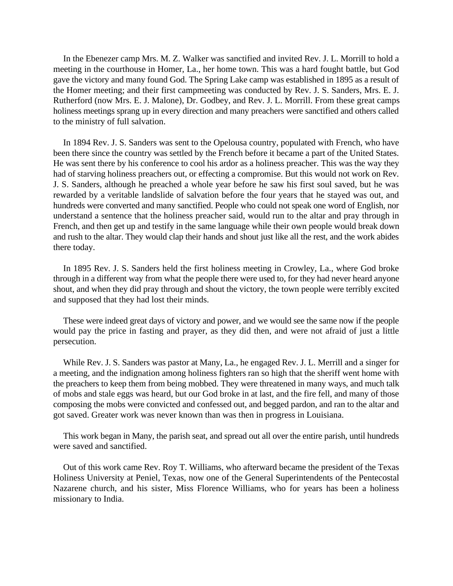In the Ebenezer camp Mrs. M. Z. Walker was sanctified and invited Rev. J. L. Morrill to hold a meeting in the courthouse in Homer, La., her home town. This was a hard fought battle, but God gave the victory and many found God. The Spring Lake camp was established in 1895 as a result of the Homer meeting; and their first campmeeting was conducted by Rev. J. S. Sanders, Mrs. E. J. Rutherford (now Mrs. E. J. Malone), Dr. Godbey, and Rev. J. L. Morrill. From these great camps holiness meetings sprang up in every direction and many preachers were sanctified and others called to the ministry of full salvation.

In 1894 Rev. J. S. Sanders was sent to the Opelousa country, populated with French, who have been there since the country was settled by the French before it became a part of the United States. He was sent there by his conference to cool his ardor as a holiness preacher. This was the way they had of starving holiness preachers out, or effecting a compromise. But this would not work on Rev. J. S. Sanders, although he preached a whole year before he saw his first soul saved, but he was rewarded by a veritable landslide of salvation before the four years that he stayed was out, and hundreds were converted and many sanctified. People who could not speak one word of English, nor understand a sentence that the holiness preacher said, would run to the altar and pray through in French, and then get up and testify in the same language while their own people would break down and rush to the altar. They would clap their hands and shout just like all the rest, and the work abides there today.

In 1895 Rev. J. S. Sanders held the first holiness meeting in Crowley, La., where God broke through in a different way from what the people there were used to, for they had never heard anyone shout, and when they did pray through and shout the victory, the town people were terribly excited and supposed that they had lost their minds.

These were indeed great days of victory and power, and we would see the same now if the people would pay the price in fasting and prayer, as they did then, and were not afraid of just a little persecution.

While Rev. J. S. Sanders was pastor at Many, La., he engaged Rev. J. L. Merrill and a singer for a meeting, and the indignation among holiness fighters ran so high that the sheriff went home with the preachers to keep them from being mobbed. They were threatened in many ways, and much talk of mobs and stale eggs was heard, but our God broke in at last, and the fire fell, and many of those composing the mobs were convicted and confessed out, and begged pardon, and ran to the altar and got saved. Greater work was never known than was then in progress in Louisiana.

This work began in Many, the parish seat, and spread out all over the entire parish, until hundreds were saved and sanctified.

Out of this work came Rev. Roy T. Williams, who afterward became the president of the Texas Holiness University at Peniel, Texas, now one of the General Superintendents of the Pentecostal Nazarene church, and his sister, Miss Florence Williams, who for years has been a holiness missionary to India.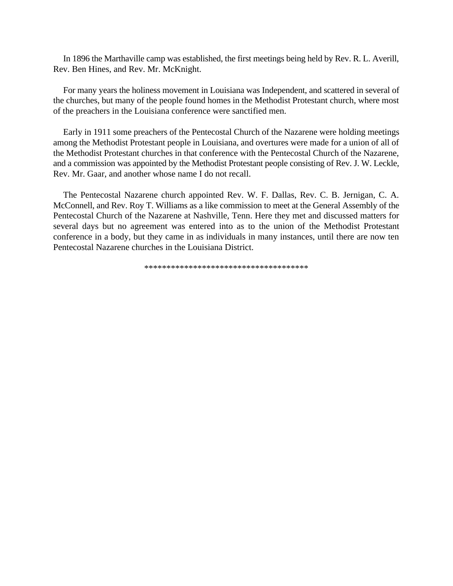In 1896 the Marthaville camp was established, the first meetings being held by Rev. R. L. Averill, Rev. Ben Hines, and Rev. Mr. McKnight.

For many years the holiness movement in Louisiana was Independent, and scattered in several of the churches, but many of the people found homes in the Methodist Protestant church, where most of the preachers in the Louisiana conference were sanctified men.

Early in 1911 some preachers of the Pentecostal Church of the Nazarene were holding meetings among the Methodist Protestant people in Louisiana, and overtures were made for a union of all of the Methodist Protestant churches in that conference with the Pentecostal Church of the Nazarene, and a commission was appointed by the Methodist Protestant people consisting of Rev. J. W. Leckle, Rev. Mr. Gaar, and another whose name I do not recall.

The Pentecostal Nazarene church appointed Rev. W. F. Dallas, Rev. C. B. Jernigan, C. A. McConnell, and Rev. Roy T. Williams as a like commission to meet at the General Assembly of the Pentecostal Church of the Nazarene at Nashville, Tenn. Here they met and discussed matters for several days but no agreement was entered into as to the union of the Methodist Protestant conference in a body, but they came in as individuals in many instances, until there are now ten Pentecostal Nazarene churches in the Louisiana District.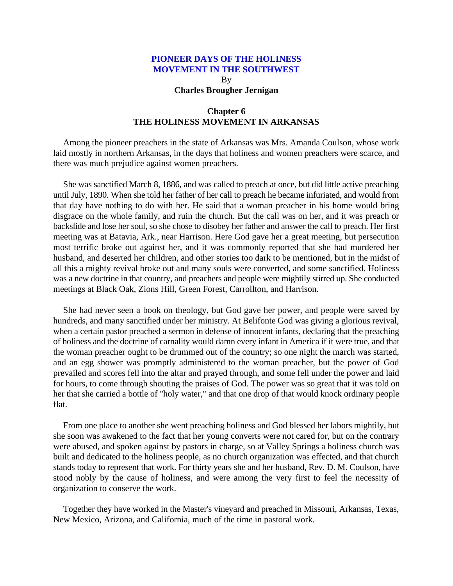By **Charles Brougher Jernigan**

# **Chapter 6 THE HOLINESS MOVEMENT IN ARKANSAS**

<span id="page-28-0"></span>Among the pioneer preachers in the state of Arkansas was Mrs. Amanda Coulson, whose work laid mostly in northern Arkansas, in the days that holiness and women preachers were scarce, and there was much prejudice against women preachers.

She was sanctified March 8, 1886, and was called to preach at once, but did little active preaching until July, 1890. When she told her father of her call to preach he became infuriated, and would from that day have nothing to do with her. He said that a woman preacher in his home would bring disgrace on the whole family, and ruin the church. But the call was on her, and it was preach or backslide and lose her soul, so she chose to disobey her father and answer the call to preach. Her first meeting was at Batavia, Ark., near Harrison. Here God gave her a great meeting, but persecution most terrific broke out against her, and it was commonly reported that she had murdered her husband, and deserted her children, and other stories too dark to be mentioned, but in the midst of all this a mighty revival broke out and many souls were converted, and some sanctified. Holiness was a new doctrine in that country, and preachers and people were mightily stirred up. She conducted meetings at Black Oak, Zions Hill, Green Forest, Carrollton, and Harrison.

She had never seen a book on theology, but God gave her power, and people were saved by hundreds, and many sanctified under her ministry. At Belifonte God was giving a glorious revival, when a certain pastor preached a sermon in defense of innocent infants, declaring that the preaching of holiness and the doctrine of carnality would damn every infant in America if it were true, and that the woman preacher ought to be drummed out of the country; so one night the march was started, and an egg shower was promptly administered to the woman preacher, but the power of God prevailed and scores fell into the altar and prayed through, and some fell under the power and laid for hours, to come through shouting the praises of God. The power was so great that it was told on her that she carried a bottle of "holy water," and that one drop of that would knock ordinary people flat.

From one place to another she went preaching holiness and God blessed her labors mightily, but she soon was awakened to the fact that her young converts were not cared for, but on the contrary were abused, and spoken against by pastors in charge, so at Valley Springs a holiness church was built and dedicated to the holiness people, as no church organization was effected, and that church stands today to represent that work. For thirty years she and her husband, Rev. D. M. Coulson, have stood nobly by the cause of holiness, and were among the very first to feel the necessity of organization to conserve the work.

Together they have worked in the Master's vineyard and preached in Missouri, Arkansas, Texas, New Mexico, Arizona, and California, much of the time in pastoral work.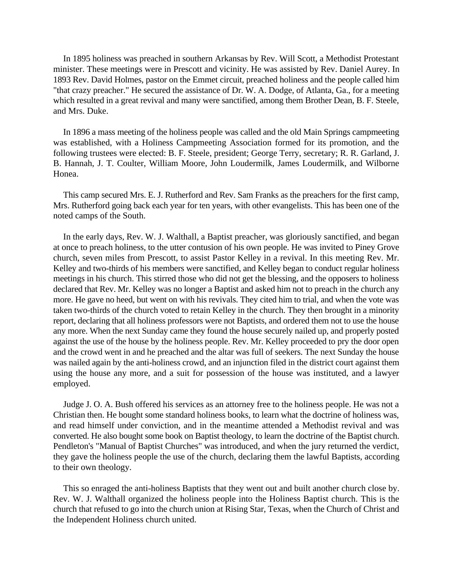In 1895 holiness was preached in southern Arkansas by Rev. Will Scott, a Methodist Protestant minister. These meetings were in Prescott and vicinity. He was assisted by Rev. Daniel Aurey. In 1893 Rev. David Holmes, pastor on the Emmet circuit, preached holiness and the people called him "that crazy preacher." He secured the assistance of Dr. W. A. Dodge, of Atlanta, Ga., for a meeting which resulted in a great revival and many were sanctified, among them Brother Dean, B. F. Steele, and Mrs. Duke.

In 1896 a mass meeting of the holiness people was called and the old Main Springs campmeeting was established, with a Holiness Campmeeting Association formed for its promotion, and the following trustees were elected: B. F. Steele, president; George Terry, secretary; R. R. Garland, J. B. Hannah, J. T. Coulter, William Moore, John Loudermilk, James Loudermilk, and Wilborne Honea.

This camp secured Mrs. E. J. Rutherford and Rev. Sam Franks as the preachers for the first camp, Mrs. Rutherford going back each year for ten years, with other evangelists. This has been one of the noted camps of the South.

In the early days, Rev. W. J. Walthall, a Baptist preacher, was gloriously sanctified, and began at once to preach holiness, to the utter contusion of his own people. He was invited to Piney Grove church, seven miles from Prescott, to assist Pastor Kelley in a revival. In this meeting Rev. Mr. Kelley and two-thirds of his members were sanctified, and Kelley began to conduct regular holiness meetings in his church. This stirred those who did not get the blessing, and the opposers to holiness declared that Rev. Mr. Kelley was no longer a Baptist and asked him not to preach in the church any more. He gave no heed, but went on with his revivals. They cited him to trial, and when the vote was taken two-thirds of the church voted to retain Kelley in the church. They then brought in a minority report, declaring that all holiness professors were not Baptists, and ordered them not to use the house any more. When the next Sunday came they found the house securely nailed up, and properly posted against the use of the house by the holiness people. Rev. Mr. Kelley proceeded to pry the door open and the crowd went in and he preached and the altar was full of seekers. The next Sunday the house was nailed again by the anti-holiness crowd, and an injunction filed in the district court against them using the house any more, and a suit for possession of the house was instituted, and a lawyer employed.

Judge J. O. A. Bush offered his services as an attorney free to the holiness people. He was not a Christian then. He bought some standard holiness books, to learn what the doctrine of holiness was, and read himself under conviction, and in the meantime attended a Methodist revival and was converted. He also bought some book on Baptist theology, to learn the doctrine of the Baptist church. Pendleton's "Manual of Baptist Churches" was introduced, and when the jury returned the verdict, they gave the holiness people the use of the church, declaring them the lawful Baptists, according to their own theology.

This so enraged the anti-holiness Baptists that they went out and built another church close by. Rev. W. J. Walthall organized the holiness people into the Holiness Baptist church. This is the church that refused to go into the church union at Rising Star, Texas, when the Church of Christ and the Independent Holiness church united.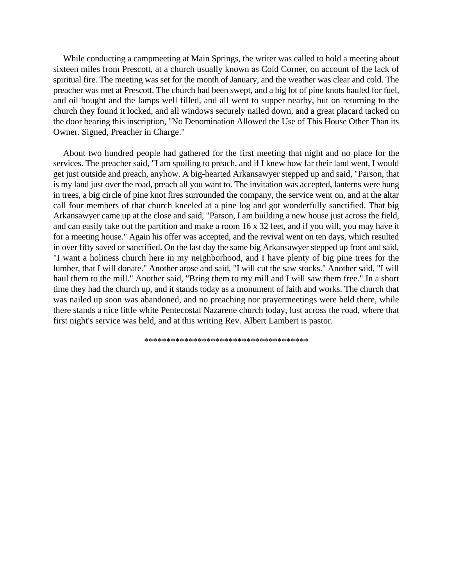While conducting a campmeeting at Main Springs, the writer was called to hold a meeting about sixteen miles from Prescott, at a church usually known as Cold Corner, on account of the lack of spiritual fire. The meeting was set for the month of January, and the weather was clear and cold. The preacher was met at Prescott. The church had been swept, and a big lot of pine knots hauled for fuel, and oil bought and the lamps well filled, and all went to supper nearby, but on returning to the church they found it locked, and all windows securely nailed down, and a great placard tacked on the door bearing this inscription, "No Denomination Allowed the Use of This House Other Than its Owner. Signed, Preacher in Charge."

About two hundred people had gathered for the first meeting that night and no place for the services. The preacher said, "I am spoiling to preach, and if I knew how far their land went, I would get just outside and preach, anyhow. A big-hearted Arkansawyer stepped up and said, "Parson, that is my land just over the road, preach all you want to. The invitation was accepted, lanterns were hung in trees, a big circle of pine knot fires surrounded the company, the service went on, and at the altar call four members of that church kneeled at a pine log and got wonderfully sanctified. That big Arkansawyer came up at the close and said, "Parson, I am building a new house just across the field, and can easily take out the partition and make a room 16 x 32 feet, and if you will, you may have it for a meeting house." Again his offer was accepted, and the revival went on ten days, which resulted in over fifty saved or sanctified. On the last day the same big Arkansawyer stepped up front and said, "I want a holiness church here in my neighborhood, and I have plenty of big pine trees for the lumber, that I will donate." Another arose and said, "I will cut the saw stocks." Another said, "I will haul them to the mill." Another said, "Bring them to my mill and I will saw them free." In a short time they had the church up, and it stands today as a monument of faith and works. The church that was nailed up soon was abandoned, and no preaching nor prayermeetings were held there, while there stands a nice little white Pentecostal Nazarene church today, lust across the road, where that first night's service was held, and at this writing Rev. Albert Lambert is pastor.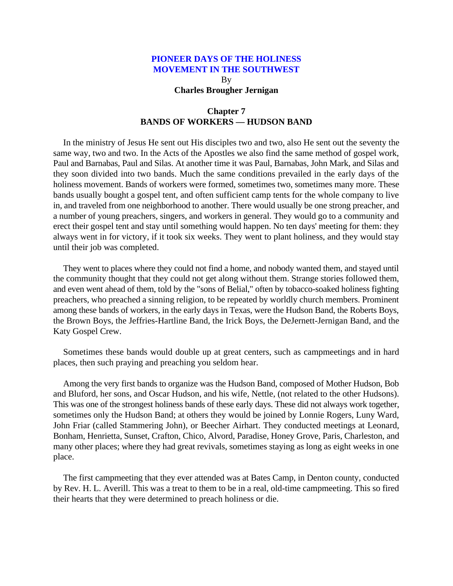By **Charles Brougher Jernigan**

# **Chapter 7 BANDS OF WORKERS — HUDSON BAND**

<span id="page-31-0"></span>In the ministry of Jesus He sent out His disciples two and two, also He sent out the seventy the same way, two and two. In the Acts of the Apostles we also find the same method of gospel work, Paul and Barnabas, Paul and Silas. At another time it was Paul, Barnabas, John Mark, and Silas and they soon divided into two bands. Much the same conditions prevailed in the early days of the holiness movement. Bands of workers were formed, sometimes two, sometimes many more. These bands usually bought a gospel tent, and often sufficient camp tents for the whole company to live in, and traveled from one neighborhood to another. There would usually be one strong preacher, and a number of young preachers, singers, and workers in general. They would go to a community and erect their gospel tent and stay until something would happen. No ten days' meeting for them: they always went in for victory, if it took six weeks. They went to plant holiness, and they would stay until their job was completed.

They went to places where they could not find a home, and nobody wanted them, and stayed until the community thought that they could not get along without them. Strange stories followed them, and even went ahead of them, told by the "sons of Belial," often by tobacco-soaked holiness fighting preachers, who preached a sinning religion, to be repeated by worldly church members. Prominent among these bands of workers, in the early days in Texas, were the Hudson Band, the Roberts Boys, the Brown Boys, the Jeffries-Hartline Band, the Irick Boys, the DeJernett-Jernigan Band, and the Katy Gospel Crew.

Sometimes these bands would double up at great centers, such as campmeetings and in hard places, then such praying and preaching you seldom hear.

Among the very first bands to organize was the Hudson Band, composed of Mother Hudson, Bob and Bluford, her sons, and Oscar Hudson, and his wife, Nettle, (not related to the other Hudsons). This was one of the strongest holiness bands of these early days. These did not always work together, sometimes only the Hudson Band; at others they would be joined by Lonnie Rogers, Luny Ward, John Friar (called Stammering John), or Beecher Airhart. They conducted meetings at Leonard, Bonham, Henrietta, Sunset, Crafton, Chico, Alvord, Paradise, Honey Grove, Paris, Charleston, and many other places; where they had great revivals, sometimes staying as long as eight weeks in one place.

The first campmeeting that they ever attended was at Bates Camp, in Denton county, conducted by Rev. H. L. Averill. This was a treat to them to be in a real, old-time campmeeting. This so fired their hearts that they were determined to preach holiness or die.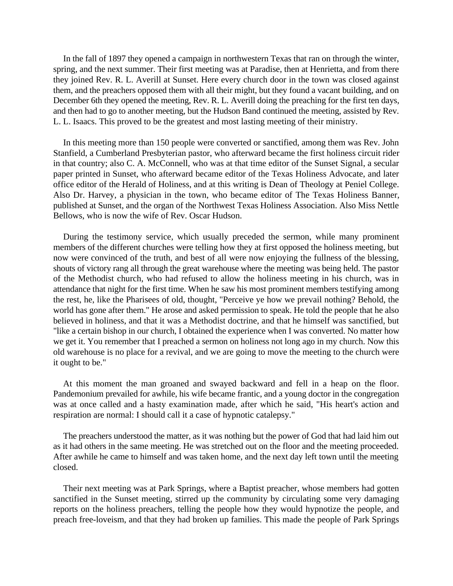In the fall of 1897 they opened a campaign in northwestern Texas that ran on through the winter, spring, and the next summer. Their first meeting was at Paradise, then at Henrietta, and from there they joined Rev. R. L. Averill at Sunset. Here every church door in the town was closed against them, and the preachers opposed them with all their might, but they found a vacant building, and on December 6th they opened the meeting, Rev. R. L. Averill doing the preaching for the first ten days, and then had to go to another meeting, but the Hudson Band continued the meeting, assisted by Rev. L. L. Isaacs. This proved to be the greatest and most lasting meeting of their ministry.

In this meeting more than 150 people were converted or sanctified, among them was Rev. John Stanfield, a Cumberland Presbyterian pastor, who afterward became the first holiness circuit rider in that country; also C. A. McConnell, who was at that time editor of the Sunset Signal, a secular paper printed in Sunset, who afterward became editor of the Texas Holiness Advocate, and later office editor of the Herald of Holiness, and at this writing is Dean of Theology at Peniel College. Also Dr. Harvey, a physician in the town, who became editor of The Texas Holiness Banner, published at Sunset, and the organ of the Northwest Texas Holiness Association. Also Miss Nettle Bellows, who is now the wife of Rev. Oscar Hudson.

During the testimony service, which usually preceded the sermon, while many prominent members of the different churches were telling how they at first opposed the holiness meeting, but now were convinced of the truth, and best of all were now enjoying the fullness of the blessing, shouts of victory rang all through the great warehouse where the meeting was being held. The pastor of the Methodist church, who had refused to allow the holiness meeting in his church, was in attendance that night for the first time. When he saw his most prominent members testifying among the rest, he, like the Pharisees of old, thought, "Perceive ye how we prevail nothing? Behold, the world has gone after them." He arose and asked permission to speak. He told the people that he also believed in holiness, and that it was a Methodist doctrine, and that he himself was sanctified, but "like a certain bishop in our church, I obtained the experience when I was converted. No matter how we get it. You remember that I preached a sermon on holiness not long ago in my church. Now this old warehouse is no place for a revival, and we are going to move the meeting to the church were it ought to be."

At this moment the man groaned and swayed backward and fell in a heap on the floor. Pandemonium prevailed for awhile, his wife became frantic, and a young doctor in the congregation was at once called and a hasty examination made, after which he said, "His heart's action and respiration are normal: I should call it a case of hypnotic catalepsy."

The preachers understood the matter, as it was nothing but the power of God that had laid him out as it had others in the same meeting. He was stretched out on the floor and the meeting proceeded. After awhile he came to himself and was taken home, and the next day left town until the meeting closed.

Their next meeting was at Park Springs, where a Baptist preacher, whose members had gotten sanctified in the Sunset meeting, stirred up the community by circulating some very damaging reports on the holiness preachers, telling the people how they would hypnotize the people, and preach free-loveism, and that they had broken up families. This made the people of Park Springs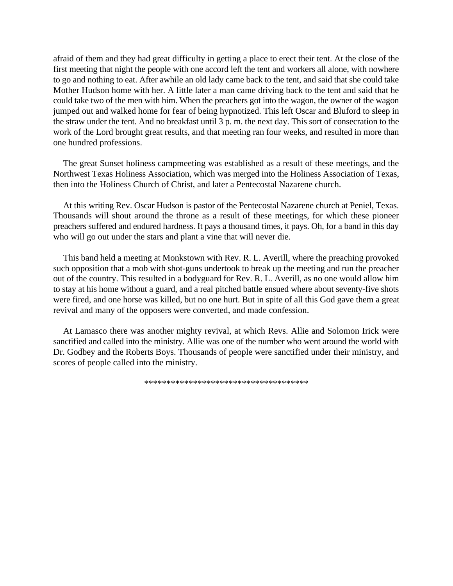afraid of them and they had great difficulty in getting a place to erect their tent. At the close of the first meeting that night the people with one accord left the tent and workers all alone, with nowhere to go and nothing to eat. After awhile an old lady came back to the tent, and said that she could take Mother Hudson home with her. A little later a man came driving back to the tent and said that he could take two of the men with him. When the preachers got into the wagon, the owner of the wagon jumped out and walked home for fear of being hypnotized. This left Oscar and Bluford to sleep in the straw under the tent. And no breakfast until 3 p. m. the next day. This sort of consecration to the work of the Lord brought great results, and that meeting ran four weeks, and resulted in more than one hundred professions.

The great Sunset holiness campmeeting was established as a result of these meetings, and the Northwest Texas Holiness Association, which was merged into the Holiness Association of Texas, then into the Holiness Church of Christ, and later a Pentecostal Nazarene church.

At this writing Rev. Oscar Hudson is pastor of the Pentecostal Nazarene church at Peniel, Texas. Thousands will shout around the throne as a result of these meetings, for which these pioneer preachers suffered and endured hardness. It pays a thousand times, it pays. Oh, for a band in this day who will go out under the stars and plant a vine that will never die.

This band held a meeting at Monkstown with Rev. R. L. Averill, where the preaching provoked such opposition that a mob with shot-guns undertook to break up the meeting and run the preacher out of the country. This resulted in a bodyguard for Rev. R. L. Averill, as no one would allow him to stay at his home without a guard, and a real pitched battle ensued where about seventy-five shots were fired, and one horse was killed, but no one hurt. But in spite of all this God gave them a great revival and many of the opposers were converted, and made confession.

At Lamasco there was another mighty revival, at which Revs. Allie and Solomon Irick were sanctified and called into the ministry. Allie was one of the number who went around the world with Dr. Godbey and the Roberts Boys. Thousands of people were sanctified under their ministry, and scores of people called into the ministry.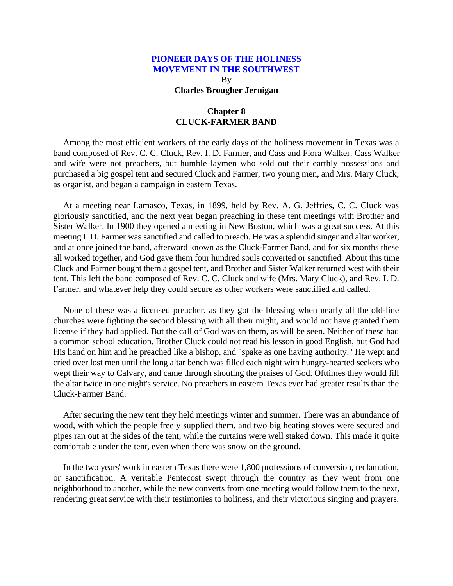By **Charles Brougher Jernigan**

# **Chapter 8 CLUCK-FARMER BAND**

<span id="page-34-0"></span>Among the most efficient workers of the early days of the holiness movement in Texas was a band composed of Rev. C. C. Cluck, Rev. I. D. Farmer, and Cass and Flora Walker. Cass Walker and wife were not preachers, but humble laymen who sold out their earthly possessions and purchased a big gospel tent and secured Cluck and Farmer, two young men, and Mrs. Mary Cluck, as organist, and began a campaign in eastern Texas.

At a meeting near Lamasco, Texas, in 1899, held by Rev. A. G. Jeffries, C. C. Cluck was gloriously sanctified, and the next year began preaching in these tent meetings with Brother and Sister Walker. In 1900 they opened a meeting in New Boston, which was a great success. At this meeting I. D. Farmer was sanctified and called to preach. He was a splendid singer and altar worker, and at once joined the band, afterward known as the Cluck-Farmer Band, and for six months these all worked together, and God gave them four hundred souls converted or sanctified. About this time Cluck and Farmer bought them a gospel tent, and Brother and Sister Walker returned west with their tent. This left the band composed of Rev. C. C. Cluck and wife (Mrs. Mary Cluck), and Rev. I. D. Farmer, and whatever help they could secure as other workers were sanctified and called.

None of these was a licensed preacher, as they got the blessing when nearly all the old-line churches were fighting the second blessing with all their might, and would not have granted them license if they had applied. But the call of God was on them, as will be seen. Neither of these had a common school education. Brother Cluck could not read his lesson in good English, but God had His hand on him and he preached like a bishop, and "spake as one having authority." He wept and cried over lost men until the long altar bench was filled each night with hungry-hearted seekers who wept their way to Calvary, and came through shouting the praises of God. Ofttimes they would fill the altar twice in one night's service. No preachers in eastern Texas ever had greater results than the Cluck-Farmer Band.

After securing the new tent they held meetings winter and summer. There was an abundance of wood, with which the people freely supplied them, and two big heating stoves were secured and pipes ran out at the sides of the tent, while the curtains were well staked down. This made it quite comfortable under the tent, even when there was snow on the ground.

In the two years' work in eastern Texas there were 1,800 professions of conversion, reclamation, or sanctification. A veritable Pentecost swept through the country as they went from one neighborhood to another, while the new converts from one meeting would follow them to the next, rendering great service with their testimonies to holiness, and their victorious singing and prayers.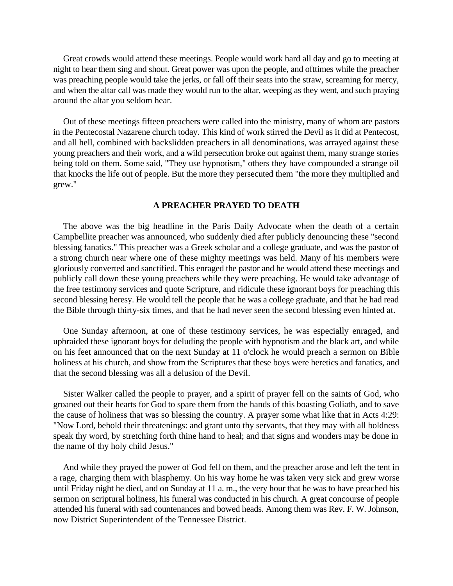Great crowds would attend these meetings. People would work hard all day and go to meeting at night to hear them sing and shout. Great power was upon the people, and ofttimes while the preacher was preaching people would take the jerks, or fall off their seats into the straw, screaming for mercy, and when the altar call was made they would run to the altar, weeping as they went, and such praying around the altar you seldom hear.

Out of these meetings fifteen preachers were called into the ministry, many of whom are pastors in the Pentecostal Nazarene church today. This kind of work stirred the Devil as it did at Pentecost, and all hell, combined with backslidden preachers in all denominations, was arrayed against these young preachers and their work, and a wild persecution broke out against them, many strange stories being told on them. Some said, "They use hypnotism," others they have compounded a strange oil that knocks the life out of people. But the more they persecuted them "the more they multiplied and grew."

# **A PREACHER PRAYED TO DEATH**

The above was the big headline in the Paris Daily Advocate when the death of a certain Campbellite preacher was announced, who suddenly died after publicly denouncing these "second blessing fanatics." This preacher was a Greek scholar and a college graduate, and was the pastor of a strong church near where one of these mighty meetings was held. Many of his members were gloriously converted and sanctified. This enraged the pastor and he would attend these meetings and publicly call down these young preachers while they were preaching. He would take advantage of the free testimony services and quote Scripture, and ridicule these ignorant boys for preaching this second blessing heresy. He would tell the people that he was a college graduate, and that he had read the Bible through thirty-six times, and that he had never seen the second blessing even hinted at.

One Sunday afternoon, at one of these testimony services, he was especially enraged, and upbraided these ignorant boys for deluding the people with hypnotism and the black art, and while on his feet announced that on the next Sunday at 11 o'clock he would preach a sermon on Bible holiness at his church, and show from the Scriptures that these boys were heretics and fanatics, and that the second blessing was all a delusion of the Devil.

Sister Walker called the people to prayer, and a spirit of prayer fell on the saints of God, who groaned out their hearts for God to spare them from the hands of this boasting Goliath, and to save the cause of holiness that was so blessing the country. A prayer some what like that in Acts 4:29: "Now Lord, behold their threatenings: and grant unto thy servants, that they may with all boldness speak thy word, by stretching forth thine hand to heal; and that signs and wonders may be done in the name of thy holy child Jesus."

And while they prayed the power of God fell on them, and the preacher arose and left the tent in a rage, charging them with blasphemy. On his way home he was taken very sick and grew worse until Friday night he died, and on Sunday at 11 a. m., the very hour that he was to have preached his sermon on scriptural holiness, his funeral was conducted in his church. A great concourse of people attended his funeral with sad countenances and bowed heads. Among them was Rev. F. W. Johnson, now District Superintendent of the Tennessee District.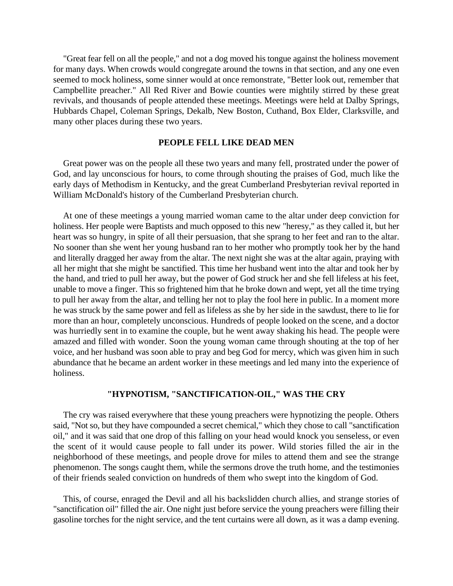"Great fear fell on all the people," and not a dog moved his tongue against the holiness movement for many days. When crowds would congregate around the towns in that section, and any one even seemed to mock holiness, some sinner would at once remonstrate, "Better look out, remember that Campbellite preacher." All Red River and Bowie counties were mightily stirred by these great revivals, and thousands of people attended these meetings. Meetings were held at Dalby Springs, Hubbards Chapel, Coleman Springs, Dekalb, New Boston, Cuthand, Box Elder, Clarksville, and many other places during these two years.

### **PEOPLE FELL LIKE DEAD MEN**

Great power was on the people all these two years and many fell, prostrated under the power of God, and lay unconscious for hours, to come through shouting the praises of God, much like the early days of Methodism in Kentucky, and the great Cumberland Presbyterian revival reported in William McDonald's history of the Cumberland Presbyterian church.

At one of these meetings a young married woman came to the altar under deep conviction for holiness. Her people were Baptists and much opposed to this new "heresy," as they called it, but her heart was so hungry, in spite of all their persuasion, that she sprang to her feet and ran to the altar. No sooner than she went her young husband ran to her mother who promptly took her by the hand and literally dragged her away from the altar. The next night she was at the altar again, praying with all her might that she might be sanctified. This time her husband went into the altar and took her by the hand, and tried to pull her away, but the power of God struck her and she fell lifeless at his feet, unable to move a finger. This so frightened him that he broke down and wept, yet all the time trying to pull her away from the altar, and telling her not to play the fool here in public. In a moment more he was struck by the same power and fell as lifeless as she by her side in the sawdust, there to lie for more than an hour, completely unconscious. Hundreds of people looked on the scene, and a doctor was hurriedly sent in to examine the couple, but he went away shaking his head. The people were amazed and filled with wonder. Soon the young woman came through shouting at the top of her voice, and her husband was soon able to pray and beg God for mercy, which was given him in such abundance that he became an ardent worker in these meetings and led many into the experience of holiness.

# **"HYPNOTISM, "SANCTIFICATION-OIL," WAS THE CRY**

The cry was raised everywhere that these young preachers were hypnotizing the people. Others said, "Not so, but they have compounded a secret chemical," which they chose to call "sanctification oil," and it was said that one drop of this falling on your head would knock you senseless, or even the scent of it would cause people to fall under its power. Wild stories filled the air in the neighborhood of these meetings, and people drove for miles to attend them and see the strange phenomenon. The songs caught them, while the sermons drove the truth home, and the testimonies of their friends sealed conviction on hundreds of them who swept into the kingdom of God.

This, of course, enraged the Devil and all his backslidden church allies, and strange stories of "sanctification oil" filled the air. One night just before service the young preachers were filling their gasoline torches for the night service, and the tent curtains were all down, as it was a damp evening.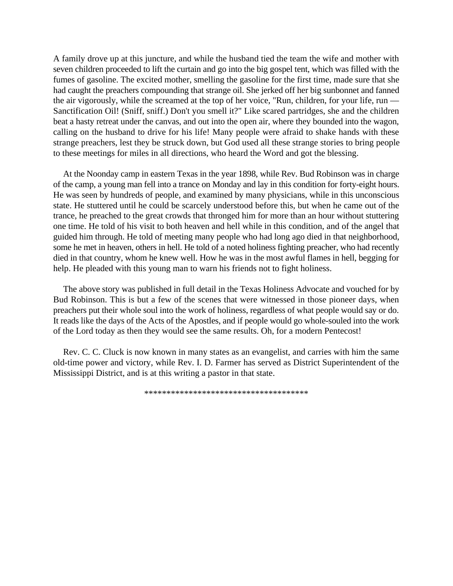A family drove up at this juncture, and while the husband tied the team the wife and mother with seven children proceeded to lift the curtain and go into the big gospel tent, which was filled with the fumes of gasoline. The excited mother, smelling the gasoline for the first time, made sure that she had caught the preachers compounding that strange oil. She jerked off her big sunbonnet and fanned the air vigorously, while the screamed at the top of her voice, "Run, children, for your life, run — Sanctification Oil! (Sniff, sniff.) Don't you smell it?" Like scared partridges, she and the children beat a hasty retreat under the canvas, and out into the open air, where they bounded into the wagon, calling on the husband to drive for his life! Many people were afraid to shake hands with these strange preachers, lest they be struck down, but God used all these strange stories to bring people to these meetings for miles in all directions, who heard the Word and got the blessing.

At the Noonday camp in eastern Texas in the year 1898, while Rev. Bud Robinson was in charge of the camp, a young man fell into a trance on Monday and lay in this condition for forty-eight hours. He was seen by hundreds of people, and examined by many physicians, while in this unconscious state. He stuttered until he could be scarcely understood before this, but when he came out of the trance, he preached to the great crowds that thronged him for more than an hour without stuttering one time. He told of his visit to both heaven and hell while in this condition, and of the angel that guided him through. He told of meeting many people who had long ago died in that neighborhood, some he met in heaven, others in hell. He told of a noted holiness fighting preacher, who had recently died in that country, whom he knew well. How he was in the most awful flames in hell, begging for help. He pleaded with this young man to warn his friends not to fight holiness.

The above story was published in full detail in the Texas Holiness Advocate and vouched for by Bud Robinson. This is but a few of the scenes that were witnessed in those pioneer days, when preachers put their whole soul into the work of holiness, regardless of what people would say or do. It reads like the days of the Acts of the Apostles, and if people would go whole-souled into the work of the Lord today as then they would see the same results. Oh, for a modern Pentecost!

Rev. C. C. Cluck is now known in many states as an evangelist, and carries with him the same old-time power and victory, while Rev. I. D. Farmer has served as District Superintendent of the Mississippi District, and is at this writing a pastor in that state.

\*\*\*\*\*\*\*\*\*\*\*\*\*\*\*\*\*\*\*\*\*\*\*\*\*\*\*\*\*\*\*\*\*\*\*\*\*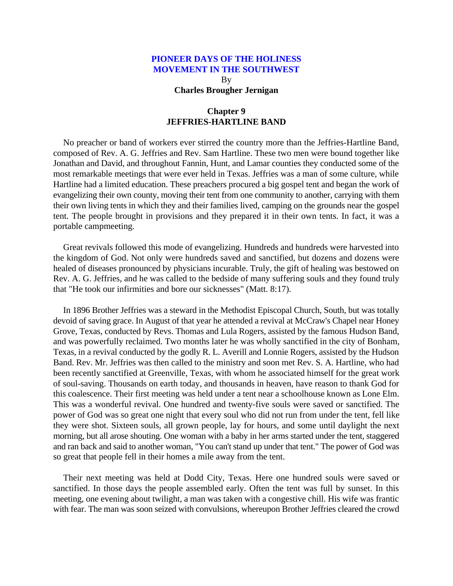By **Charles Brougher Jernigan**

# **Chapter 9 JEFFRIES-HARTLINE BAND**

No preacher or band of workers ever stirred the country more than the Jeffries-Hartline Band, composed of Rev. A. G. Jeffries and Rev. Sam Hartline. These two men were bound together like Jonathan and David, and throughout Fannin, Hunt, and Lamar counties they conducted some of the most remarkable meetings that were ever held in Texas. Jeffries was a man of some culture, while Hartline had a limited education. These preachers procured a big gospel tent and began the work of evangelizing their own county, moving their tent from one community to another, carrying with them their own living tents in which they and their families lived, camping on the grounds near the gospel tent. The people brought in provisions and they prepared it in their own tents. In fact, it was a portable campmeeting.

Great revivals followed this mode of evangelizing. Hundreds and hundreds were harvested into the kingdom of God. Not only were hundreds saved and sanctified, but dozens and dozens were healed of diseases pronounced by physicians incurable. Truly, the gift of healing was bestowed on Rev. A. G. Jeffries, and he was called to the bedside of many suffering souls and they found truly that "He took our infirmities and bore our sicknesses" (Matt. 8:17).

In 1896 Brother Jeffries was a steward in the Methodist Episcopal Church, South, but was totally devoid of saving grace. In August of that year he attended a revival at McCraw's Chapel near Honey Grove, Texas, conducted by Revs. Thomas and Lula Rogers, assisted by the famous Hudson Band, and was powerfully reclaimed. Two months later he was wholly sanctified in the city of Bonham, Texas, in a revival conducted by the godly R. L. Averill and Lonnie Rogers, assisted by the Hudson Band. Rev. Mr. Jeffries was then called to the ministry and soon met Rev. S. A. Hartline, who had been recently sanctified at Greenville, Texas, with whom he associated himself for the great work of soul-saving. Thousands on earth today, and thousands in heaven, have reason to thank God for this coalescence. Their first meeting was held under a tent near a schoolhouse known as Lone Elm. This was a wonderful revival. One hundred and twenty-five souls were saved or sanctified. The power of God was so great one night that every soul who did not run from under the tent, fell like they were shot. Sixteen souls, all grown people, lay for hours, and some until daylight the next morning, but all arose shouting. One woman with a baby in her arms started under the tent, staggered and ran back and said to another woman, "You can't stand up under that tent." The power of God was so great that people fell in their homes a mile away from the tent.

Their next meeting was held at Dodd City, Texas. Here one hundred souls were saved or sanctified. In those days the people assembled early. Often the tent was full by sunset. In this meeting, one evening about twilight, a man was taken with a congestive chill. His wife was frantic with fear. The man was soon seized with convulsions, whereupon Brother Jeffries cleared the crowd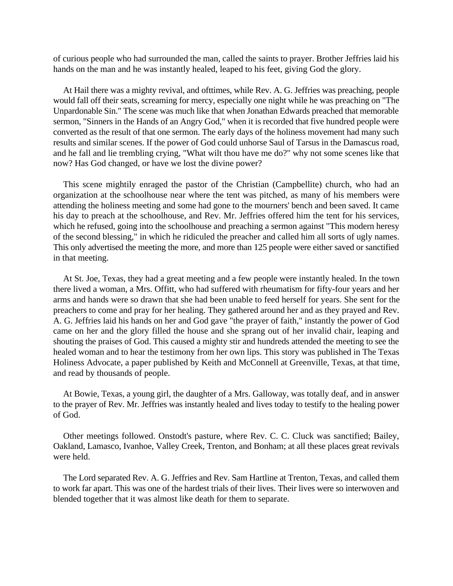of curious people who had surrounded the man, called the saints to prayer. Brother Jeffries laid his hands on the man and he was instantly healed, leaped to his feet, giving God the glory.

At Hail there was a mighty revival, and ofttimes, while Rev. A. G. Jeffries was preaching, people would fall off their seats, screaming for mercy, especially one night while he was preaching on "The Unpardonable Sin." The scene was much like that when Jonathan Edwards preached that memorable sermon, "Sinners in the Hands of an Angry God," when it is recorded that five hundred people were converted as the result of that one sermon. The early days of the holiness movement had many such results and similar scenes. If the power of God could unhorse Saul of Tarsus in the Damascus road, and he fall and lie trembling crying, "What wilt thou have me do?" why not some scenes like that now? Has God changed, or have we lost the divine power?

This scene mightily enraged the pastor of the Christian (Campbellite) church, who had an organization at the schoolhouse near where the tent was pitched, as many of his members were attending the holiness meeting and some had gone to the mourners' bench and been saved. It came his day to preach at the schoolhouse, and Rev. Mr. Jeffries offered him the tent for his services, which he refused, going into the schoolhouse and preaching a sermon against "This modern heresy of the second blessing," in which he ridiculed the preacher and called him all sorts of ugly names. This only advertised the meeting the more, and more than 125 people were either saved or sanctified in that meeting.

At St. Joe, Texas, they had a great meeting and a few people were instantly healed. In the town there lived a woman, a Mrs. Offitt, who had suffered with rheumatism for fifty-four years and her arms and hands were so drawn that she had been unable to feed herself for years. She sent for the preachers to come and pray for her healing. They gathered around her and as they prayed and Rev. A. G. Jeffries laid his hands on her and God gave "the prayer of faith," instantly the power of God came on her and the glory filled the house and she sprang out of her invalid chair, leaping and shouting the praises of God. This caused a mighty stir and hundreds attended the meeting to see the healed woman and to hear the testimony from her own lips. This story was published in The Texas Holiness Advocate, a paper published by Keith and McConnell at Greenville, Texas, at that time, and read by thousands of people.

At Bowie, Texas, a young girl, the daughter of a Mrs. Galloway, was totally deaf, and in answer to the prayer of Rev. Mr. Jeffries was instantly healed and lives today to testify to the healing power of God.

Other meetings followed. Onstodt's pasture, where Rev. C. C. Cluck was sanctified; Bailey, Oakland, Lamasco, Ivanhoe, Valley Creek, Trenton, and Bonham; at all these places great revivals were held.

The Lord separated Rev. A. G. Jeffries and Rev. Sam Hartline at Trenton, Texas, and called them to work far apart. This was one of the hardest trials of their lives. Their lives were so interwoven and blended together that it was almost like death for them to separate.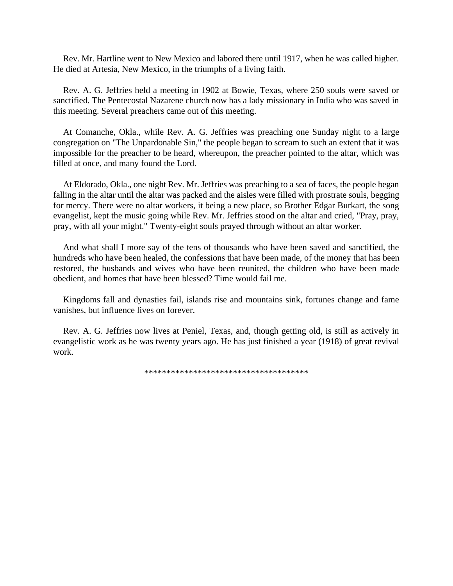Rev. Mr. Hartline went to New Mexico and labored there until 1917, when he was called higher. He died at Artesia, New Mexico, in the triumphs of a living faith.

Rev. A. G. Jeffries held a meeting in 1902 at Bowie, Texas, where 250 souls were saved or sanctified. The Pentecostal Nazarene church now has a lady missionary in India who was saved in this meeting. Several preachers came out of this meeting.

At Comanche, Okla., while Rev. A. G. Jeffries was preaching one Sunday night to a large congregation on "The Unpardonable Sin," the people began to scream to such an extent that it was impossible for the preacher to be heard, whereupon, the preacher pointed to the altar, which was filled at once, and many found the Lord.

At Eldorado, Okla., one night Rev. Mr. Jeffries was preaching to a sea of faces, the people began falling in the altar until the altar was packed and the aisles were filled with prostrate souls, begging for mercy. There were no altar workers, it being a new place, so Brother Edgar Burkart, the song evangelist, kept the music going while Rev. Mr. Jeffries stood on the altar and cried, "Pray, pray, pray, with all your might." Twenty-eight souls prayed through without an altar worker.

And what shall I more say of the tens of thousands who have been saved and sanctified, the hundreds who have been healed, the confessions that have been made, of the money that has been restored, the husbands and wives who have been reunited, the children who have been made obedient, and homes that have been blessed? Time would fail me.

Kingdoms fall and dynasties fail, islands rise and mountains sink, fortunes change and fame vanishes, but influence lives on forever.

Rev. A. G. Jeffries now lives at Peniel, Texas, and, though getting old, is still as actively in evangelistic work as he was twenty years ago. He has just finished a year (1918) of great revival work.

\*\*\*\*\*\*\*\*\*\*\*\*\*\*\*\*\*\*\*\*\*\*\*\*\*\*\*\*\*\*\*\*\*\*\*\*\*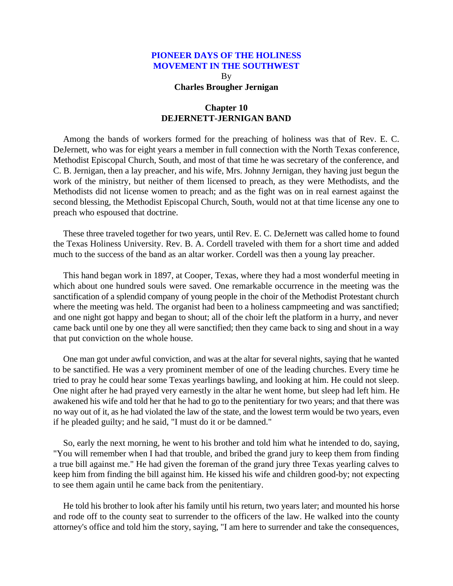By **Charles Brougher Jernigan**

## **Chapter 10 DEJERNETT-JERNIGAN BAND**

Among the bands of workers formed for the preaching of holiness was that of Rev. E. C. DeJernett, who was for eight years a member in full connection with the North Texas conference, Methodist Episcopal Church, South, and most of that time he was secretary of the conference, and C. B. Jernigan, then a lay preacher, and his wife, Mrs. Johnny Jernigan, they having just begun the work of the ministry, but neither of them licensed to preach, as they were Methodists, and the Methodists did not license women to preach; and as the fight was on in real earnest against the second blessing, the Methodist Episcopal Church, South, would not at that time license any one to preach who espoused that doctrine.

These three traveled together for two years, until Rev. E. C. DeJernett was called home to found the Texas Holiness University. Rev. B. A. Cordell traveled with them for a short time and added much to the success of the band as an altar worker. Cordell was then a young lay preacher.

This hand began work in 1897, at Cooper, Texas, where they had a most wonderful meeting in which about one hundred souls were saved. One remarkable occurrence in the meeting was the sanctification of a splendid company of young people in the choir of the Methodist Protestant church where the meeting was held. The organist had been to a holiness campmeeting and was sanctified; and one night got happy and began to shout; all of the choir left the platform in a hurry, and never came back until one by one they all were sanctified; then they came back to sing and shout in a way that put conviction on the whole house.

One man got under awful conviction, and was at the altar for several nights, saying that he wanted to be sanctified. He was a very prominent member of one of the leading churches. Every time he tried to pray he could hear some Texas yearlings bawling, and looking at him. He could not sleep. One night after he had prayed very earnestly in the altar he went home, but sleep had left him. He awakened his wife and told her that he had to go to the penitentiary for two years; and that there was no way out of it, as he had violated the law of the state, and the lowest term would be two years, even if he pleaded guilty; and he said, "I must do it or be damned."

So, early the next morning, he went to his brother and told him what he intended to do, saying, "You will remember when I had that trouble, and bribed the grand jury to keep them from finding a true bill against me." He had given the foreman of the grand jury three Texas yearling calves to keep him from finding the bill against him. He kissed his wife and children good-by; not expecting to see them again until he came back from the penitentiary.

He told his brother to look after his family until his return, two years later; and mounted his horse and rode off to the county seat to surrender to the officers of the law. He walked into the county attorney's office and told him the story, saying, "I am here to surrender and take the consequences,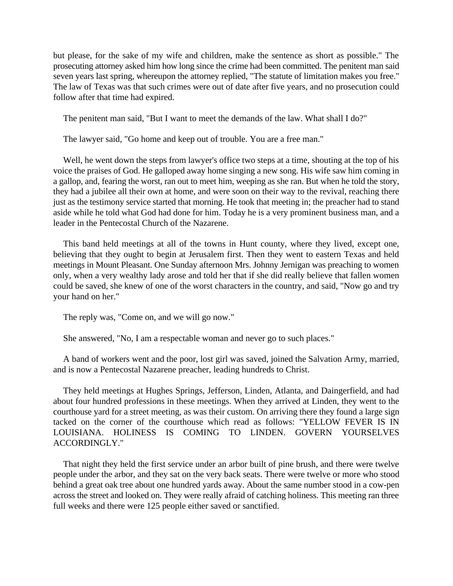but please, for the sake of my wife and children, make the sentence as short as possible." The prosecuting attorney asked him how long since the crime had been committed. The penitent man said seven years last spring, whereupon the attorney replied, "The statute of limitation makes you free." The law of Texas was that such crimes were out of date after five years, and no prosecution could follow after that time had expired.

The penitent man said, "But I want to meet the demands of the law. What shall I do?"

The lawyer said, "Go home and keep out of trouble. You are a free man."

Well, he went down the steps from lawyer's office two steps at a time, shouting at the top of his voice the praises of God. He galloped away home singing a new song. His wife saw him coming in a gallop, and, fearing the worst, ran out to meet him, weeping as she ran. But when he told the story, they had a jubilee all their own at home, and were soon on their way to the revival, reaching there just as the testimony service started that morning. He took that meeting in; the preacher had to stand aside while he told what God had done for him. Today he is a very prominent business man, and a leader in the Pentecostal Church of the Nazarene.

This band held meetings at all of the towns in Hunt county, where they lived, except one, believing that they ought to begin at Jerusalem first. Then they went to eastern Texas and held meetings in Mount Pleasant. One Sunday afternoon Mrs. Johnny Jernigan was preaching to women only, when a very wealthy lady arose and told her that if she did really believe that fallen women could be saved, she knew of one of the worst characters in the country, and said, "Now go and try your hand on her."

The reply was, "Come on, and we will go now."

She answered, "No, I am a respectable woman and never go to such places."

A band of workers went and the poor, lost girl was saved, joined the Salvation Army, married, and is now a Pentecostal Nazarene preacher, leading hundreds to Christ.

They held meetings at Hughes Springs, Jefferson, Linden, Atlanta, and Daingerfield, and had about four hundred professions in these meetings. When they arrived at Linden, they went to the courthouse yard for a street meeting, as was their custom. On arriving there they found a large sign tacked on the corner of the courthouse which read as follows: "YELLOW FEVER IS IN LOUISIANA. HOLINESS IS COMING TO LINDEN. GOVERN YOURSELVES ACCORDINGLY."

That night they held the first service under an arbor built of pine brush, and there were twelve people under the arbor, and they sat on the very back seats. There were twelve or more who stood behind a great oak tree about one hundred yards away. About the same number stood in a cow-pen across the street and looked on. They were really afraid of catching holiness. This meeting ran three full weeks and there were 125 people either saved or sanctified.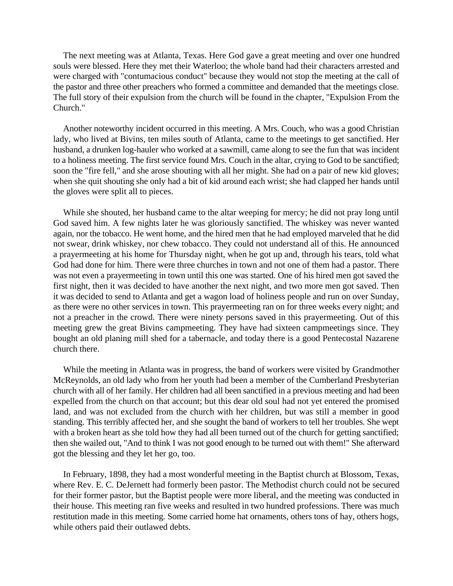The next meeting was at Atlanta, Texas. Here God gave a great meeting and over one hundred souls were blessed. Here they met their Waterloo; the whole band had their characters arrested and were charged with "contumacious conduct" because they would not stop the meeting at the call of the pastor and three other preachers who formed a committee and demanded that the meetings close. The full story of their expulsion from the church will be found in the chapter, "Expulsion From the Church."

Another noteworthy incident occurred in this meeting. A Mrs. Couch, who was a good Christian lady, who lived at Bivins, ten miles south of Atlanta, came to the meetings to get sanctified. Her husband, a drunken log-hauler who worked at a sawmill, came along to see the fun that was incident to a holiness meeting. The first service found Mrs. Couch in the altar, crying to God to be sanctified; soon the "fire fell," and she arose shouting with all her might. She had on a pair of new kid gloves; when she quit shouting she only had a bit of kid around each wrist; she had clapped her hands until the gloves were split all to pieces.

While she shouted, her husband came to the altar weeping for mercy; he did not pray long until God saved him. A few nights later he was gloriously sanctified. The whiskey was never wanted again, nor the tobacco. He went home, and the hired men that he had employed marveled that he did not swear, drink whiskey, nor chew tobacco. They could not understand all of this. He announced a prayermeeting at his home for Thursday night, when he got up and, through his tears, told what God had done for him. There were three churches in town and not one of them had a pastor. There was not even a prayermeeting in town until this one was started. One of his hired men got saved the first night, then it was decided to have another the next night, and two more men got saved. Then it was decided to send to Atlanta and get a wagon load of holiness people and run on over Sunday, as there were no other services in town. This prayermeeting ran on for three weeks every night; and not a preacher in the crowd. There were ninety persons saved in this prayermeeting. Out of this meeting grew the great Bivins campmeeting. They have had sixteen campmeetings since. They bought an old planing mill shed for a tabernacle, and today there is a good Pentecostal Nazarene church there.

While the meeting in Atlanta was in progress, the band of workers were visited by Grandmother McReynolds, an old lady who from her youth had been a member of the Cumberland Presbyterian church with all of her family. Her children had all been sanctified in a previous meeting and had been expelled from the church on that account; but this dear old soul had not yet entered the promised land, and was not excluded from the church with her children, but was still a member in good standing. This terribly affected her, and she sought the band of workers to tell her troubles. She wept with a broken heart as she told how they had all been turned out of the church for getting sanctified; then she wailed out, "And to think I was not good enough to be turned out with them!" She afterward got the blessing and they let her go, too.

In February, 1898, they had a most wonderful meeting in the Baptist church at Blossom, Texas, where Rev. E. C. DeJernett had formerly been pastor. The Methodist church could not be secured for their former pastor, but the Baptist people were more liberal, and the meeting was conducted in their house. This meeting ran five weeks and resulted in two hundred professions. There was much restitution made in this meeting. Some carried home hat ornaments, others tons of hay, others hogs, while others paid their outlawed debts.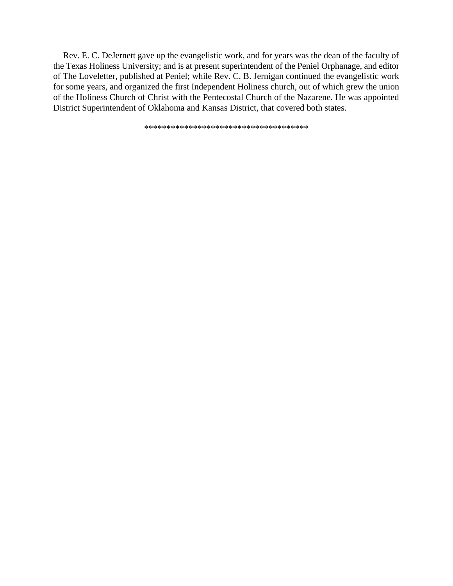Rev. E. C. DeJernett gave up the evangelistic work, and for years was the dean of the faculty of the Texas Holiness University; and is at present superintendent of the Peniel Orphanage, and editor of The Loveletter, published at Peniel; while Rev. C. B. Jernigan continued the evangelistic work for some years, and organized the first Independent Holiness church, out of which grew the union of the Holiness Church of Christ with the Pentecostal Church of the Nazarene. He was appointed District Superintendent of Oklahoma and Kansas District, that covered both states.

\*\*\*\*\*\*\*\*\*\*\*\*\*\*\*\*\*\*\*\*\*\*\*\*\*\*\*\*\*\*\*\*\*\*\*\*\*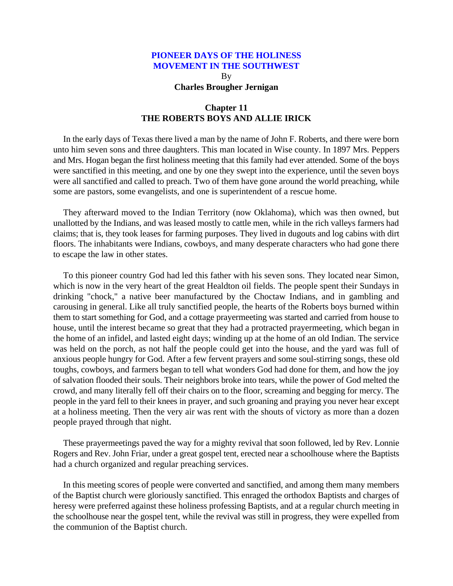By **Charles Brougher Jernigan**

# **Chapter 11 THE ROBERTS BOYS AND ALLIE IRICK**

In the early days of Texas there lived a man by the name of John F. Roberts, and there were born unto him seven sons and three daughters. This man located in Wise county. In 1897 Mrs. Peppers and Mrs. Hogan began the first holiness meeting that this family had ever attended. Some of the boys were sanctified in this meeting, and one by one they swept into the experience, until the seven boys were all sanctified and called to preach. Two of them have gone around the world preaching, while some are pastors, some evangelists, and one is superintendent of a rescue home.

They afterward moved to the Indian Territory (now Oklahoma), which was then owned, but unallotted by the Indians, and was leased mostly to cattle men, while in the rich valleys farmers had claims; that is, they took leases for farming purposes. They lived in dugouts and log cabins with dirt floors. The inhabitants were Indians, cowboys, and many desperate characters who had gone there to escape the law in other states.

To this pioneer country God had led this father with his seven sons. They located near Simon, which is now in the very heart of the great Healdton oil fields. The people spent their Sundays in drinking "chock," a native beer manufactured by the Choctaw Indians, and in gambling and carousing in general. Like all truly sanctified people, the hearts of the Roberts boys burned within them to start something for God, and a cottage prayermeeting was started and carried from house to house, until the interest became so great that they had a protracted prayermeeting, which began in the home of an infidel, and lasted eight days; winding up at the home of an old Indian. The service was held on the porch, as not half the people could get into the house, and the yard was full of anxious people hungry for God. After a few fervent prayers and some soul-stirring songs, these old toughs, cowboys, and farmers began to tell what wonders God had done for them, and how the joy of salvation flooded their souls. Their neighbors broke into tears, while the power of God melted the crowd, and many literally fell off their chairs on to the floor, screaming and begging for mercy. The people in the yard fell to their knees in prayer, and such groaning and praying you never hear except at a holiness meeting. Then the very air was rent with the shouts of victory as more than a dozen people prayed through that night.

These prayermeetings paved the way for a mighty revival that soon followed, led by Rev. Lonnie Rogers and Rev. John Friar, under a great gospel tent, erected near a schoolhouse where the Baptists had a church organized and regular preaching services.

In this meeting scores of people were converted and sanctified, and among them many members of the Baptist church were gloriously sanctified. This enraged the orthodox Baptists and charges of heresy were preferred against these holiness professing Baptists, and at a regular church meeting in the schoolhouse near the gospel tent, while the revival was still in progress, they were expelled from the communion of the Baptist church.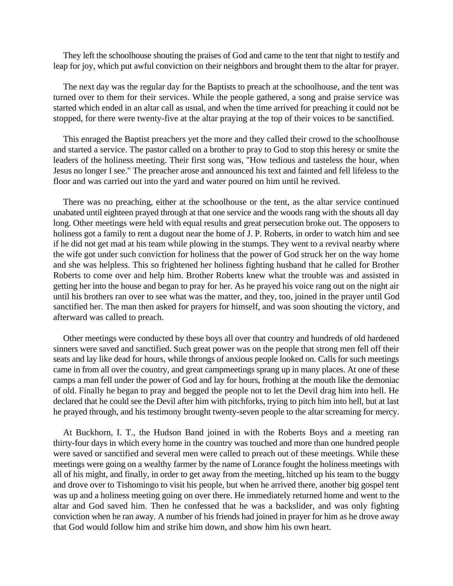They left the schoolhouse shouting the praises of God and came to the tent that night to testify and leap for joy, which put awful conviction on their neighbors and brought them to the altar for prayer.

The next day was the regular day for the Baptists to preach at the schoolhouse, and the tent was turned over to them for their services. While the people gathered, a song and praise service was started which ended in an altar call as usual, and when the time arrived for preaching it could not be stopped, for there were twenty-five at the altar praying at the top of their voices to be sanctified.

This enraged the Baptist preachers yet the more and they called their crowd to the schoolhouse and started a service. The pastor called on a brother to pray to God to stop this heresy or smite the leaders of the holiness meeting. Their first song was, "How tedious and tasteless the hour, when Jesus no longer I see." The preacher arose and announced his text and fainted and fell lifeless to the floor and was carried out into the yard and water poured on him until he revived.

There was no preaching, either at the schoolhouse or the tent, as the altar service continued unabated until eighteen prayed through at that one service and the woods rang with the shouts all day long. Other meetings were held with equal results and great persecution broke out. The opposers to holiness got a family to rent a dugout near the home of J. P. Roberts, in order to watch him and see if he did not get mad at his team while plowing in the stumps. They went to a revival nearby where the wife got under such conviction for holiness that the power of God struck her on the way home and she was helpless. This so frightened her holiness fighting husband that he called for Brother Roberts to come over and help him. Brother Roberts knew what the trouble was and assisted in getting her into the house and began to pray for her. As he prayed his voice rang out on the night air until his brothers ran over to see what was the matter, and they, too, joined in the prayer until God sanctified her. The man then asked for prayers for himself, and was soon shouting the victory, and afterward was called to preach.

Other meetings were conducted by these boys all over that country and hundreds of old hardened sinners were saved and sanctified. Such great power was on the people that strong men fell off their seats and lay like dead for hours, while throngs of anxious people looked on. Calls for such meetings came in from all over the country, and great campmeetings sprang up in many places. At one of these camps a man fell under the power of God and lay for hours, frothing at the mouth like the demoniac of old. Finally he began to pray and begged the people not to let the Devil drag him into hell. He declared that he could see the Devil after him with pitchforks, trying to pitch him into hell, but at last he prayed through, and his testimony brought twenty-seven people to the altar screaming for mercy.

At Buckhorn, I. T., the Hudson Band joined in with the Roberts Boys and a meeting ran thirty-four days in which every home in the country was touched and more than one hundred people were saved or sanctified and several men were called to preach out of these meetings. While these meetings were going on a wealthy farmer by the name of Lorance fought the holiness meetings with all of his might, and finally, in order to get away from the meeting, hitched up his team to the buggy and drove over to Tishomingo to visit his people, but when he arrived there, another big gospel tent was up and a holiness meeting going on over there. He immediately returned home and went to the altar and God saved him. Then he confessed that he was a backslider, and was only fighting conviction when he ran away. A number of his friends had joined in prayer for him as he drove away that God would follow him and strike him down, and show him his own heart.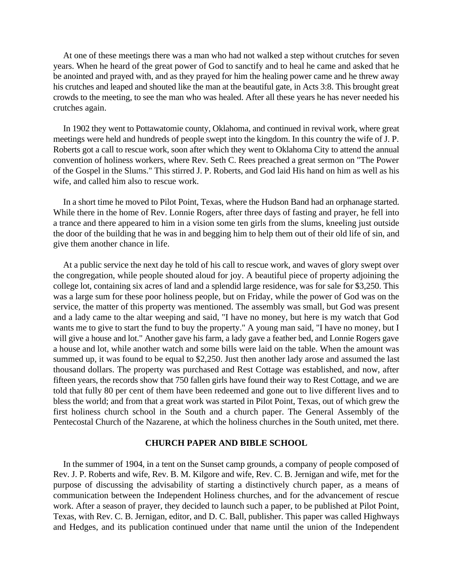At one of these meetings there was a man who had not walked a step without crutches for seven years. When he heard of the great power of God to sanctify and to heal he came and asked that he be anointed and prayed with, and as they prayed for him the healing power came and he threw away his crutches and leaped and shouted like the man at the beautiful gate, in Acts 3:8. This brought great crowds to the meeting, to see the man who was healed. After all these years he has never needed his crutches again.

In 1902 they went to Pottawatomie county, Oklahoma, and continued in revival work, where great meetings were held and hundreds of people swept into the kingdom. In this country the wife of J. P. Roberts got a call to rescue work, soon after which they went to Oklahoma City to attend the annual convention of holiness workers, where Rev. Seth C. Rees preached a great sermon on "The Power of the Gospel in the Slums." This stirred J. P. Roberts, and God laid His hand on him as well as his wife, and called him also to rescue work.

In a short time he moved to Pilot Point, Texas, where the Hudson Band had an orphanage started. While there in the home of Rev. Lonnie Rogers, after three days of fasting and prayer, he fell into a trance and there appeared to him in a vision some ten girls from the slums, kneeling just outside the door of the building that he was in and begging him to help them out of their old life of sin, and give them another chance in life.

At a public service the next day he told of his call to rescue work, and waves of glory swept over the congregation, while people shouted aloud for joy. A beautiful piece of property adjoining the college lot, containing six acres of land and a splendid large residence, was for sale for \$3,250. This was a large sum for these poor holiness people, but on Friday, while the power of God was on the service, the matter of this property was mentioned. The assembly was small, but God was present and a lady came to the altar weeping and said, "I have no money, but here is my watch that God wants me to give to start the fund to buy the property." A young man said, "I have no money, but I will give a house and lot." Another gave his farm, a lady gave a feather bed, and Lonnie Rogers gave a house and lot, while another watch and some bills were laid on the table. When the amount was summed up, it was found to be equal to \$2,250. Just then another lady arose and assumed the last thousand dollars. The property was purchased and Rest Cottage was established, and now, after fifteen years, the records show that 750 fallen girls have found their way to Rest Cottage, and we are told that fully 80 per cent of them have been redeemed and gone out to live different lives and to bless the world; and from that a great work was started in Pilot Point, Texas, out of which grew the first holiness church school in the South and a church paper. The General Assembly of the Pentecostal Church of the Nazarene, at which the holiness churches in the South united, met there.

### **CHURCH PAPER AND BIBLE SCHOOL**

In the summer of 1904, in a tent on the Sunset camp grounds, a company of people composed of Rev. J. P. Roberts and wife, Rev. B. M. Kilgore and wife, Rev. C. B. Jernigan and wife, met for the purpose of discussing the advisability of starting a distinctively church paper, as a means of communication between the Independent Holiness churches, and for the advancement of rescue work. After a season of prayer, they decided to launch such a paper, to be published at Pilot Point, Texas, with Rev. C. B. Jernigan, editor, and D. C. Ball, publisher. This paper was called Highways and Hedges, and its publication continued under that name until the union of the Independent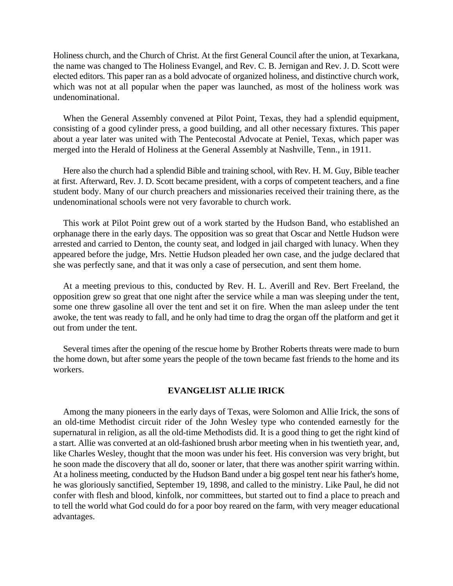Holiness church, and the Church of Christ. At the first General Council after the union, at Texarkana, the name was changed to The Holiness Evangel, and Rev. C. B. Jernigan and Rev. J. D. Scott were elected editors. This paper ran as a bold advocate of organized holiness, and distinctive church work, which was not at all popular when the paper was launched, as most of the holiness work was undenominational.

When the General Assembly convened at Pilot Point, Texas, they had a splendid equipment, consisting of a good cylinder press, a good building, and all other necessary fixtures. This paper about a year later was united with The Pentecostal Advocate at Peniel, Texas, which paper was merged into the Herald of Holiness at the General Assembly at Nashville, Tenn., in 1911.

Here also the church had a splendid Bible and training school, with Rev. H. M. Guy, Bible teacher at first. Afterward, Rev. J. D. Scott became president, with a corps of competent teachers, and a fine student body. Many of our church preachers and missionaries received their training there, as the undenominational schools were not very favorable to church work.

This work at Pilot Point grew out of a work started by the Hudson Band, who established an orphanage there in the early days. The opposition was so great that Oscar and Nettle Hudson were arrested and carried to Denton, the county seat, and lodged in jail charged with lunacy. When they appeared before the judge, Mrs. Nettie Hudson pleaded her own case, and the judge declared that she was perfectly sane, and that it was only a case of persecution, and sent them home.

At a meeting previous to this, conducted by Rev. H. L. Averill and Rev. Bert Freeland, the opposition grew so great that one night after the service while a man was sleeping under the tent, some one threw gasoline all over the tent and set it on fire. When the man asleep under the tent awoke, the tent was ready to fall, and he only had time to drag the organ off the platform and get it out from under the tent.

Several times after the opening of the rescue home by Brother Roberts threats were made to burn the home down, but after some years the people of the town became fast friends to the home and its workers.

### **EVANGELIST ALLIE IRICK**

Among the many pioneers in the early days of Texas, were Solomon and Allie Irick, the sons of an old-time Methodist circuit rider of the John Wesley type who contended earnestly for the supernatural in religion, as all the old-time Methodists did. It is a good thing to get the right kind of a start. Allie was converted at an old-fashioned brush arbor meeting when in his twentieth year, and, like Charles Wesley, thought that the moon was under his feet. His conversion was very bright, but he soon made the discovery that all do, sooner or later, that there was another spirit warring within. At a holiness meeting, conducted by the Hudson Band under a big gospel tent near his father's home, he was gloriously sanctified, September 19, 1898, and called to the ministry. Like Paul, he did not confer with flesh and blood, kinfolk, nor committees, but started out to find a place to preach and to tell the world what God could do for a poor boy reared on the farm, with very meager educational advantages.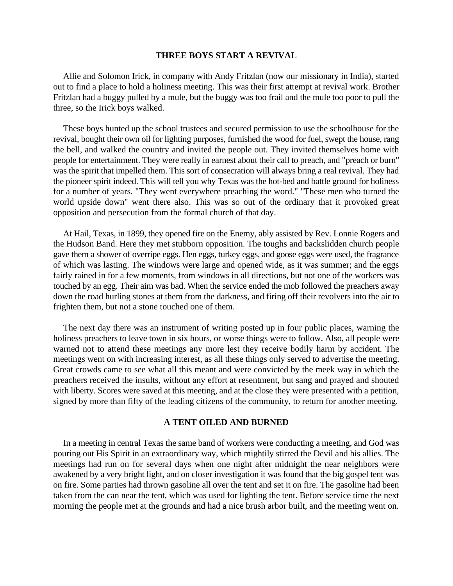#### **THREE BOYS START A REVIVAL**

Allie and Solomon Irick, in company with Andy Fritzlan (now our missionary in India), started out to find a place to hold a holiness meeting. This was their first attempt at revival work. Brother Fritzlan had a buggy pulled by a mule, but the buggy was too frail and the mule too poor to pull the three, so the Irick boys walked.

These boys hunted up the school trustees and secured permission to use the schoolhouse for the revival, bought their own oil for lighting purposes, furnished the wood for fuel, swept the house, rang the bell, and walked the country and invited the people out. They invited themselves home with people for entertainment. They were really in earnest about their call to preach, and "preach or burn" was the spirit that impelled them. This sort of consecration will always bring a real revival. They had the pioneer spirit indeed. This will tell you why Texas was the hot-bed and battle ground for holiness for a number of years. "They went everywhere preaching the word." "These men who turned the world upside down" went there also. This was so out of the ordinary that it provoked great opposition and persecution from the formal church of that day.

At Hail, Texas, in 1899, they opened fire on the Enemy, ably assisted by Rev. Lonnie Rogers and the Hudson Band. Here they met stubborn opposition. The toughs and backslidden church people gave them a shower of overripe eggs. Hen eggs, turkey eggs, and goose eggs were used, the fragrance of which was lasting. The windows were large and opened wide, as it was summer; and the eggs fairly rained in for a few moments, from windows in all directions, but not one of the workers was touched by an egg. Their aim was bad. When the service ended the mob followed the preachers away down the road hurling stones at them from the darkness, and firing off their revolvers into the air to frighten them, but not a stone touched one of them.

The next day there was an instrument of writing posted up in four public places, warning the holiness preachers to leave town in six hours, or worse things were to follow. Also, all people were warned not to attend these meetings any more lest they receive bodily harm by accident. The meetings went on with increasing interest, as all these things only served to advertise the meeting. Great crowds came to see what all this meant and were convicted by the meek way in which the preachers received the insults, without any effort at resentment, but sang and prayed and shouted with liberty. Scores were saved at this meeting, and at the close they were presented with a petition, signed by more than fifty of the leading citizens of the community, to return for another meeting.

#### **A TENT OILED AND BURNED**

In a meeting in central Texas the same band of workers were conducting a meeting, and God was pouring out His Spirit in an extraordinary way, which mightily stirred the Devil and his allies. The meetings had run on for several days when one night after midnight the near neighbors were awakened by a very bright light, and on closer investigation it was found that the big gospel tent was on fire. Some parties had thrown gasoline all over the tent and set it on fire. The gasoline had been taken from the can near the tent, which was used for lighting the tent. Before service time the next morning the people met at the grounds and had a nice brush arbor built, and the meeting went on.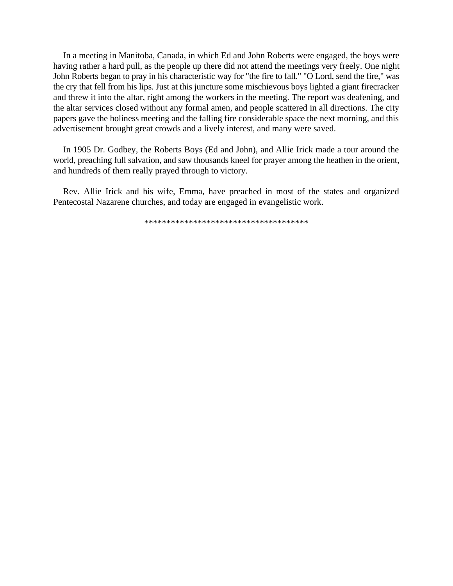In a meeting in Manitoba, Canada, in which Ed and John Roberts were engaged, the boys were having rather a hard pull, as the people up there did not attend the meetings very freely. One night John Roberts began to pray in his characteristic way for "the fire to fall." "O Lord, send the fire," was the cry that fell from his lips. Just at this juncture some mischievous boys lighted a giant firecracker and threw it into the altar, right among the workers in the meeting. The report was deafening, and the altar services closed without any formal amen, and people scattered in all directions. The city papers gave the holiness meeting and the falling fire considerable space the next morning, and this advertisement brought great crowds and a lively interest, and many were saved.

In 1905 Dr. Godbey, the Roberts Boys (Ed and John), and Allie Irick made a tour around the world, preaching full salvation, and saw thousands kneel for prayer among the heathen in the orient, and hundreds of them really prayed through to victory.

Rev. Allie Irick and his wife, Emma, have preached in most of the states and organized Pentecostal Nazarene churches, and today are engaged in evangelistic work.

\*\*\*\*\*\*\*\*\*\*\*\*\*\*\*\*\*\*\*\*\*\*\*\*\*\*\*\*\*\*\*\*\*\*\*\*\*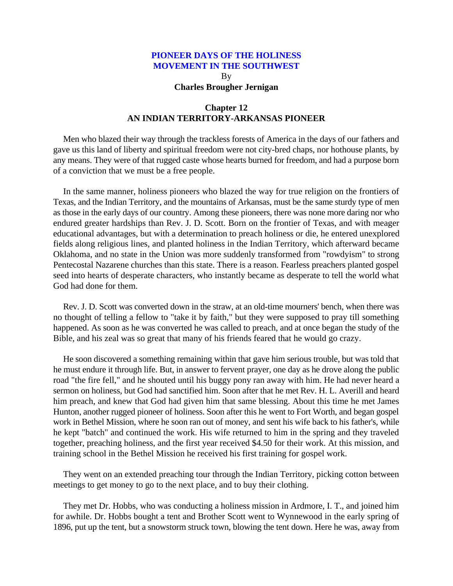By **Charles Brougher Jernigan**

## **Chapter 12 AN INDIAN TERRITORY-ARKANSAS PIONEER**

Men who blazed their way through the trackless forests of America in the days of our fathers and gave us this land of liberty and spiritual freedom were not city-bred chaps, nor hothouse plants, by any means. They were of that rugged caste whose hearts burned for freedom, and had a purpose born of a conviction that we must be a free people.

In the same manner, holiness pioneers who blazed the way for true religion on the frontiers of Texas, and the Indian Territory, and the mountains of Arkansas, must be the same sturdy type of men as those in the early days of our country. Among these pioneers, there was none more daring nor who endured greater hardships than Rev. J. D. Scott. Born on the frontier of Texas, and with meager educational advantages, but with a determination to preach holiness or die, he entered unexplored fields along religious lines, and planted holiness in the Indian Territory, which afterward became Oklahoma, and no state in the Union was more suddenly transformed from "rowdyism" to strong Pentecostal Nazarene churches than this state. There is a reason. Fearless preachers planted gospel seed into hearts of desperate characters, who instantly became as desperate to tell the world what God had done for them.

Rev. J. D. Scott was converted down in the straw, at an old-time mourners' bench, when there was no thought of telling a fellow to "take it by faith," but they were supposed to pray till something happened. As soon as he was converted he was called to preach, and at once began the study of the Bible, and his zeal was so great that many of his friends feared that he would go crazy.

He soon discovered a something remaining within that gave him serious trouble, but was told that he must endure it through life. But, in answer to fervent prayer, one day as he drove along the public road "the fire fell," and he shouted until his buggy pony ran away with him. He had never heard a sermon on holiness, but God had sanctified him. Soon after that he met Rev. H. L. Averill and heard him preach, and knew that God had given him that same blessing. About this time he met James Hunton, another rugged pioneer of holiness. Soon after this he went to Fort Worth, and began gospel work in Bethel Mission, where he soon ran out of money, and sent his wife back to his father's, while he kept "batch" and continued the work. His wife returned to him in the spring and they traveled together, preaching holiness, and the first year received \$4.50 for their work. At this mission, and training school in the Bethel Mission he received his first training for gospel work.

They went on an extended preaching tour through the Indian Territory, picking cotton between meetings to get money to go to the next place, and to buy their clothing.

They met Dr. Hobbs, who was conducting a holiness mission in Ardmore, I. T., and joined him for awhile. Dr. Hobbs bought a tent and Brother Scott went to Wynnewood in the early spring of 1896, put up the tent, but a snowstorm struck town, blowing the tent down. Here he was, away from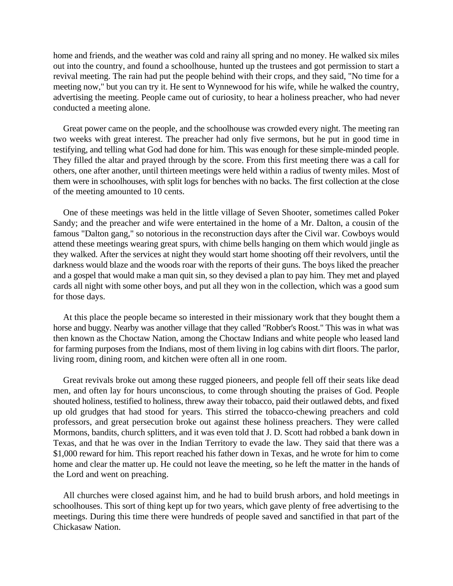home and friends, and the weather was cold and rainy all spring and no money. He walked six miles out into the country, and found a schoolhouse, hunted up the trustees and got permission to start a revival meeting. The rain had put the people behind with their crops, and they said, "No time for a meeting now," but you can try it. He sent to Wynnewood for his wife, while he walked the country, advertising the meeting. People came out of curiosity, to hear a holiness preacher, who had never conducted a meeting alone.

Great power came on the people, and the schoolhouse was crowded every night. The meeting ran two weeks with great interest. The preacher had only five sermons, but he put in good time in testifying, and telling what God had done for him. This was enough for these simple-minded people. They filled the altar and prayed through by the score. From this first meeting there was a call for others, one after another, until thirteen meetings were held within a radius of twenty miles. Most of them were in schoolhouses, with split logs for benches with no backs. The first collection at the close of the meeting amounted to 10 cents.

One of these meetings was held in the little village of Seven Shooter, sometimes called Poker Sandy; and the preacher and wife were entertained in the home of a Mr. Dalton, a cousin of the famous "Dalton gang," so notorious in the reconstruction days after the Civil war. Cowboys would attend these meetings wearing great spurs, with chime bells hanging on them which would jingle as they walked. After the services at night they would start home shooting off their revolvers, until the darkness would blaze and the woods roar with the reports of their guns. The boys liked the preacher and a gospel that would make a man quit sin, so they devised a plan to pay him. They met and played cards all night with some other boys, and put all they won in the collection, which was a good sum for those days.

At this place the people became so interested in their missionary work that they bought them a horse and buggy. Nearby was another village that they called "Robber's Roost." This was in what was then known as the Choctaw Nation, among the Choctaw Indians and white people who leased land for farming purposes from the Indians, most of them living in log cabins with dirt floors. The parlor, living room, dining room, and kitchen were often all in one room.

Great revivals broke out among these rugged pioneers, and people fell off their seats like dead men, and often lay for hours unconscious, to come through shouting the praises of God. People shouted holiness, testified to holiness, threw away their tobacco, paid their outlawed debts, and fixed up old grudges that had stood for years. This stirred the tobacco-chewing preachers and cold professors, and great persecution broke out against these holiness preachers. They were called Mormons, bandits, church splitters, and it was even told that J. D. Scott had robbed a bank down in Texas, and that he was over in the Indian Territory to evade the law. They said that there was a \$1,000 reward for him. This report reached his father down in Texas, and he wrote for him to come home and clear the matter up. He could not leave the meeting, so he left the matter in the hands of the Lord and went on preaching.

All churches were closed against him, and he had to build brush arbors, and hold meetings in schoolhouses. This sort of thing kept up for two years, which gave plenty of free advertising to the meetings. During this time there were hundreds of people saved and sanctified in that part of the Chickasaw Nation.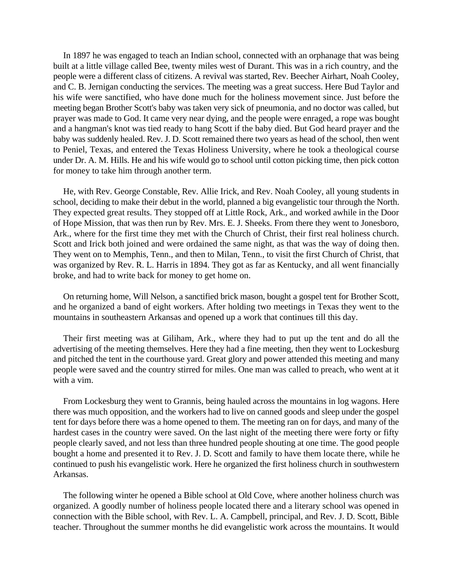In 1897 he was engaged to teach an Indian school, connected with an orphanage that was being built at a little village called Bee, twenty miles west of Durant. This was in a rich country, and the people were a different class of citizens. A revival was started, Rev. Beecher Airhart, Noah Cooley, and C. B. Jernigan conducting the services. The meeting was a great success. Here Bud Taylor and his wife were sanctified, who have done much for the holiness movement since. Just before the meeting began Brother Scott's baby was taken very sick of pneumonia, and no doctor was called, but prayer was made to God. It came very near dying, and the people were enraged, a rope was bought and a hangman's knot was tied ready to hang Scott if the baby died. But God heard prayer and the baby was suddenly healed. Rev. J. D. Scott remained there two years as head of the school, then went to Peniel, Texas, and entered the Texas Holiness University, where he took a theological course under Dr. A. M. Hills. He and his wife would go to school until cotton picking time, then pick cotton for money to take him through another term.

He, with Rev. George Constable, Rev. Allie Irick, and Rev. Noah Cooley, all young students in school, deciding to make their debut in the world, planned a big evangelistic tour through the North. They expected great results. They stopped off at Little Rock, Ark., and worked awhile in the Door of Hope Mission, that was then run by Rev. Mrs. E. J. Sheeks. From there they went to Jonesboro, Ark., where for the first time they met with the Church of Christ, their first real holiness church. Scott and Irick both joined and were ordained the same night, as that was the way of doing then. They went on to Memphis, Tenn., and then to Milan, Tenn., to visit the first Church of Christ, that was organized by Rev. R. L. Harris in 1894. They got as far as Kentucky, and all went financially broke, and had to write back for money to get home on.

On returning home, Will Nelson, a sanctified brick mason, bought a gospel tent for Brother Scott, and he organized a band of eight workers. After holding two meetings in Texas they went to the mountains in southeastern Arkansas and opened up a work that continues till this day.

Their first meeting was at Giliham, Ark., where they had to put up the tent and do all the advertising of the meeting themselves. Here they had a fine meeting, then they went to Lockesburg and pitched the tent in the courthouse yard. Great glory and power attended this meeting and many people were saved and the country stirred for miles. One man was called to preach, who went at it with a vim.

From Lockesburg they went to Grannis, being hauled across the mountains in log wagons. Here there was much opposition, and the workers had to live on canned goods and sleep under the gospel tent for days before there was a home opened to them. The meeting ran on for days, and many of the hardest cases in the country were saved. On the last night of the meeting there were forty or fifty people clearly saved, and not less than three hundred people shouting at one time. The good people bought a home and presented it to Rev. J. D. Scott and family to have them locate there, while he continued to push his evangelistic work. Here he organized the first holiness church in southwestern Arkansas.

The following winter he opened a Bible school at Old Cove, where another holiness church was organized. A goodly number of holiness people located there and a literary school was opened in connection with the Bible school, with Rev. L. A. Campbell, principal, and Rev. J. D. Scott, Bible teacher. Throughout the summer months he did evangelistic work across the mountains. It would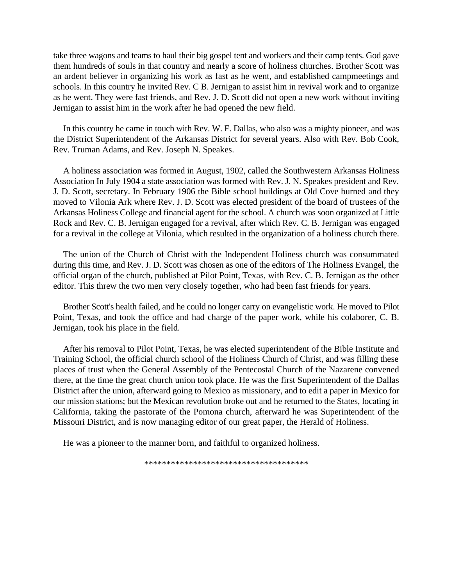take three wagons and teams to haul their big gospel tent and workers and their camp tents. God gave them hundreds of souls in that country and nearly a score of holiness churches. Brother Scott was an ardent believer in organizing his work as fast as he went, and established campmeetings and schools. In this country he invited Rev. C B. Jernigan to assist him in revival work and to organize as he went. They were fast friends, and Rev. J. D. Scott did not open a new work without inviting Jernigan to assist him in the work after he had opened the new field.

In this country he came in touch with Rev. W. F. Dallas, who also was a mighty pioneer, and was the District Superintendent of the Arkansas District for several years. Also with Rev. Bob Cook, Rev. Truman Adams, and Rev. Joseph N. Speakes.

A holiness association was formed in August, 1902, called the Southwestern Arkansas Holiness Association In July 1904 a state association was formed with Rev. J. N. Speakes president and Rev. J. D. Scott, secretary. In February 1906 the Bible school buildings at Old Cove burned and they moved to Vilonia Ark where Rev. J. D. Scott was elected president of the board of trustees of the Arkansas Holiness College and financial agent for the school. A church was soon organized at Little Rock and Rev. C. B. Jernigan engaged for a revival, after which Rev. C. B. Jernigan was engaged for a revival in the college at Vilonia, which resulted in the organization of a holiness church there.

The union of the Church of Christ with the Independent Holiness church was consummated during this time, and Rev. J. D. Scott was chosen as one of the editors of The Holiness Evangel, the official organ of the church, published at Pilot Point, Texas, with Rev. C. B. Jernigan as the other editor. This threw the two men very closely together, who had been fast friends for years.

Brother Scott's health failed, and he could no longer carry on evangelistic work. He moved to Pilot Point, Texas, and took the office and had charge of the paper work, while his colaborer, C. B. Jernigan, took his place in the field.

After his removal to Pilot Point, Texas, he was elected superintendent of the Bible Institute and Training School, the official church school of the Holiness Church of Christ, and was filling these places of trust when the General Assembly of the Pentecostal Church of the Nazarene convened there, at the time the great church union took place. He was the first Superintendent of the Dallas District after the union, afterward going to Mexico as missionary, and to edit a paper in Mexico for our mission stations; but the Mexican revolution broke out and he returned to the States, locating in California, taking the pastorate of the Pomona church, afterward he was Superintendent of the Missouri District, and is now managing editor of our great paper, the Herald of Holiness.

He was a pioneer to the manner born, and faithful to organized holiness.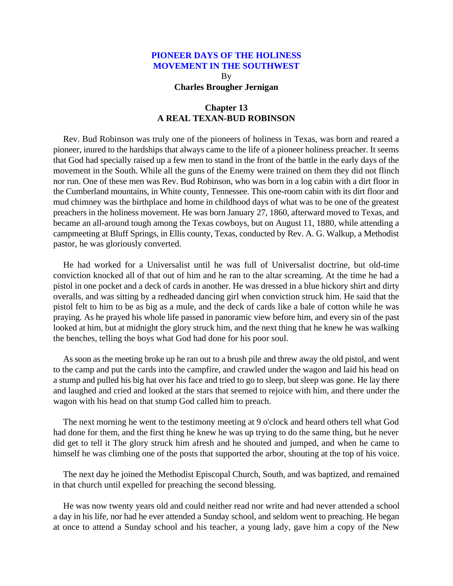By **Charles Brougher Jernigan**

# **Chapter 13 A REAL TEXAN-BUD ROBINSON**

Rev. Bud Robinson was truly one of the pioneers of holiness in Texas, was born and reared a pioneer, inured to the hardships that always came to the life of a pioneer holiness preacher. It seems that God had specially raised up a few men to stand in the front of the battle in the early days of the movement in the South. While all the guns of the Enemy were trained on them they did not flinch nor run. One of these men was Rev. Bud Robinson, who was born in a log cabin with a dirt floor in the Cumberland mountains, in White county, Tennessee. This one-room cabin with its dirt floor and mud chimney was the birthplace and home in childhood days of what was to be one of the greatest preachers in the holiness movement. He was born January 27, 1860, afterward moved to Texas, and became an all-around tough among the Texas cowboys, but on August 11, 1880, while attending a campmeeting at Bluff Springs, in Ellis county, Texas, conducted by Rev. A. G. Walkup, a Methodist pastor, he was gloriously converted.

He had worked for a Universalist until he was full of Universalist doctrine, but old-time conviction knocked all of that out of him and he ran to the altar screaming. At the time he had a pistol in one pocket and a deck of cards in another. He was dressed in a blue hickory shirt and dirty overalls, and was sitting by a redheaded dancing girl when conviction struck him. He said that the pistol felt to him to be as big as a mule, and the deck of cards like a bale of cotton while he was praying. As he prayed his whole life passed in panoramic view before him, and every sin of the past looked at him, but at midnight the glory struck him, and the next thing that he knew he was walking the benches, telling the boys what God had done for his poor soul.

As soon as the meeting broke up he ran out to a brush pile and threw away the old pistol, and went to the camp and put the cards into the campfire, and crawled under the wagon and laid his head on a stump and pulled his big hat over his face and tried to go to sleep, but sleep was gone. He lay there and laughed and cried and looked at the stars that seemed to rejoice with him, and there under the wagon with his head on that stump God called him to preach.

The next morning he went to the testimony meeting at 9 o'clock and heard others tell what God had done for them, and the first thing he knew he was up trying to do the same thing, but he never did get to tell it The glory struck him afresh and he shouted and jumped, and when he came to himself he was climbing one of the posts that supported the arbor, shouting at the top of his voice.

The next day he joined the Methodist Episcopal Church, South, and was baptized, and remained in that church until expelled for preaching the second blessing.

He was now twenty years old and could neither read nor write and had never attended a school a day in his life, nor had he ever attended a Sunday school, and seldom went to preaching. He began at once to attend a Sunday school and his teacher, a young lady, gave him a copy of the New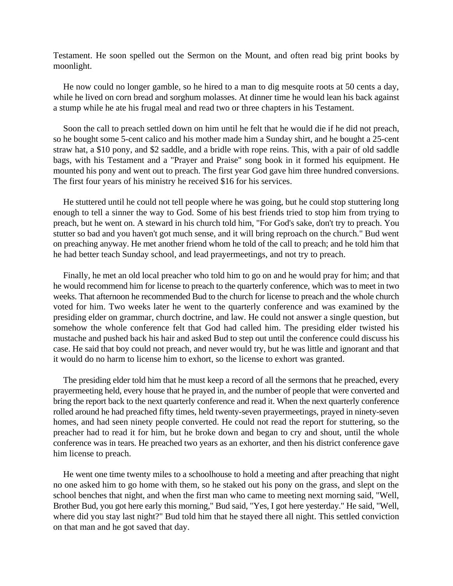Testament. He soon spelled out the Sermon on the Mount, and often read big print books by moonlight.

He now could no longer gamble, so he hired to a man to dig mesquite roots at 50 cents a day, while he lived on corn bread and sorghum molasses. At dinner time he would lean his back against a stump while he ate his frugal meal and read two or three chapters in his Testament.

Soon the call to preach settled down on him until he felt that he would die if he did not preach, so he bought some 5-cent calico and his mother made him a Sunday shirt, and he bought a 25-cent straw hat, a \$10 pony, and \$2 saddle, and a bridle with rope reins. This, with a pair of old saddle bags, with his Testament and a "Prayer and Praise" song book in it formed his equipment. He mounted his pony and went out to preach. The first year God gave him three hundred conversions. The first four years of his ministry he received \$16 for his services.

He stuttered until he could not tell people where he was going, but he could stop stuttering long enough to tell a sinner the way to God. Some of his best friends tried to stop him from trying to preach, but he went on. A steward in his church told him, "For God's sake, don't try to preach. You stutter so bad and you haven't got much sense, and it will bring reproach on the church." Bud went on preaching anyway. He met another friend whom he told of the call to preach; and he told him that he had better teach Sunday school, and lead prayermeetings, and not try to preach.

Finally, he met an old local preacher who told him to go on and he would pray for him; and that he would recommend him for license to preach to the quarterly conference, which was to meet in two weeks. That afternoon he recommended Bud to the church for license to preach and the whole church voted for him. Two weeks later he went to the quarterly conference and was examined by the presiding elder on grammar, church doctrine, and law. He could not answer a single question, but somehow the whole conference felt that God had called him. The presiding elder twisted his mustache and pushed back his hair and asked Bud to step out until the conference could discuss his case. He said that boy could not preach, and never would try, but he was little and ignorant and that it would do no harm to license him to exhort, so the license to exhort was granted.

The presiding elder told him that he must keep a record of all the sermons that he preached, every prayermeeting held, every house that he prayed in, and the number of people that were converted and bring the report back to the next quarterly conference and read it. When the next quarterly conference rolled around he had preached fifty times, held twenty-seven prayermeetings, prayed in ninety-seven homes, and had seen ninety people converted. He could not read the report for stuttering, so the preacher had to read it for him, but he broke down and began to cry and shout, until the whole conference was in tears. He preached two years as an exhorter, and then his district conference gave him license to preach.

He went one time twenty miles to a schoolhouse to hold a meeting and after preaching that night no one asked him to go home with them, so he staked out his pony on the grass, and slept on the school benches that night, and when the first man who came to meeting next morning said, "Well, Brother Bud, you got here early this morning," Bud said, "Yes, I got here yesterday." He said, "Well, where did you stay last night?" Bud told him that he stayed there all night. This settled conviction on that man and he got saved that day.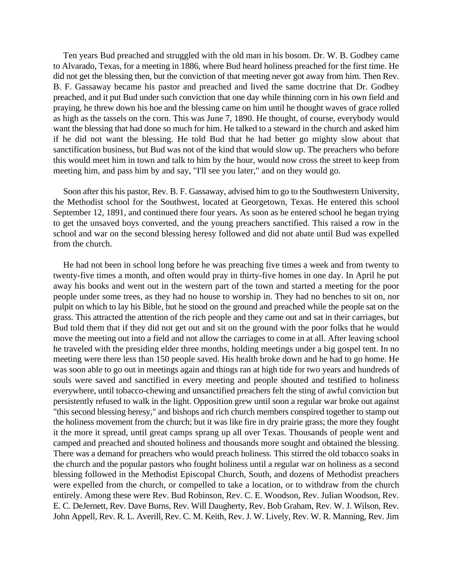Ten years Bud preached and struggled with the old man in his bosom. Dr. W. B. Godbey came to Alvarado, Texas, for a meeting in 1886, where Bud heard holiness preached for the first time. He did not get the blessing then, but the conviction of that meeting never got away from him. Then Rev. B. F. Gassaway became his pastor and preached and lived the same doctrine that Dr. Godbey preached, and it put Bud under such conviction that one day while thinning corn in his own field and praying, he threw down his hoe and the blessing came on him until he thought waves of grace rolled as high as the tassels on the corn. This was June 7, 1890. He thought, of course, everybody would want the blessing that had done so much for him. He talked to a steward in the church and asked him if he did not want the blessing. He told Bud that he had better go mighty slow about that sanctification business, but Bud was not of the kind that would slow up. The preachers who before this would meet him in town and talk to him by the hour, would now cross the street to keep from meeting him, and pass him by and say, "I'll see you later," and on they would go.

Soon after this his pastor, Rev. B. F. Gassaway, advised him to go to the Southwestern University, the Methodist school for the Southwest, located at Georgetown, Texas. He entered this school September 12, 1891, and continued there four years. As soon as he entered school he began trying to get the unsaved boys converted, and the young preachers sanctified. This raised a row in the school and war on the second blessing heresy followed and did not abate until Bud was expelled from the church.

He had not been in school long before he was preaching five times a week and from twenty to twenty-five times a month, and often would pray in thirty-five homes in one day. In April he put away his books and went out in the western part of the town and started a meeting for the poor people under some trees, as they had no house to worship in. They had no benches to sit on, nor pulpit on which to lay his Bible, but he stood on the ground and preached while the people sat on the grass. This attracted the attention of the rich people and they came out and sat in their carriages, but Bud told them that if they did not get out and sit on the ground with the poor folks that he would move the meeting out into a field and not allow the carriages to come in at all. After leaving school he traveled with the presiding elder three months, holding meetings under a big gospel tent. In no meeting were there less than 150 people saved. His health broke down and he had to go home. He was soon able to go out in meetings again and things ran at high tide for two years and hundreds of souls were saved and sanctified in every meeting and people shouted and testified to holiness everywhere, until tobacco-chewing and unsanctified preachers felt the sting of awful conviction but persistently refused to walk in the light. Opposition grew until soon a regular war broke out against "this second blessing heresy," and bishops and rich church members conspired together to stamp out the holiness movement from the church; but it was like fire in dry prairie grass; the more they fought it the more it spread, until great camps sprang up all over Texas. Thousands of people went and camped and preached and shouted holiness and thousands more sought and obtained the blessing. There was a demand for preachers who would preach holiness. This stirred the old tobacco soaks in the church and the popular pastors who fought holiness until a regular war on holiness as a second blessing followed in the Methodist Episcopal Church, South, and dozens of Methodist preachers were expelled from the church, or compelled to take a location, or to withdraw from the church entirely. Among these were Rev. Bud Robinson, Rev. C. E. Woodson, Rev. Julian Woodson, Rev. E. C. DeJernett, Rev. Dave Burns, Rev. Will Daugherty, Rev. Bob Graham, Rev. W. J. Wilson, Rev. John Appell, Rev. R. L. Averill, Rev. C. M. Keith, Rev. J. W. Lively, Rev. W. R. Manning, Rev. Jim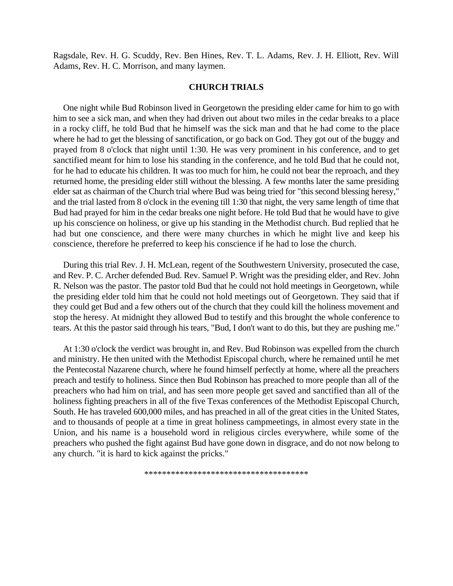Ragsdale, Rev. H. G. Scuddy, Rev. Ben Hines, Rev. T. L. Adams, Rev. J. H. Elliott, Rev. Will Adams, Rev. H. C. Morrison, and many laymen.

### **CHURCH TRIALS**

One night while Bud Robinson lived in Georgetown the presiding elder came for him to go with him to see a sick man, and when they had driven out about two miles in the cedar breaks to a place in a rocky cliff, he told Bud that he himself was the sick man and that he had come to the place where he had to get the blessing of sanctification, or go back on God. They got out of the buggy and prayed from 8 o'clock that night until 1:30. He was very prominent in his conference, and to get sanctified meant for him to lose his standing in the conference, and he told Bud that he could not, for he had to educate his children. It was too much for him, he could not bear the reproach, and they returned home, the presiding elder still without the blessing. A few months later the same presiding elder sat as chairman of the Church trial where Bud was being tried for "this second blessing heresy," and the trial lasted from 8 o'clock in the evening till 1:30 that night, the very same length of time that Bud had prayed for him in the cedar breaks one night before. He told Bud that he would have to give up his conscience on holiness, or give up his standing in the Methodist church. Bud replied that he had but one conscience, and there were many churches in which he might live and keep his conscience, therefore he preferred to keep his conscience if he had to lose the church.

During this trial Rev. J. H. McLean, regent of the Southwestern University, prosecuted the case, and Rev. P. C. Archer defended Bud. Rev. Samuel P. Wright was the presiding elder, and Rev. John R. Nelson was the pastor. The pastor told Bud that he could not hold meetings in Georgetown, while the presiding elder told him that he could not hold meetings out of Georgetown. They said that if they could get Bud and a few others out of the church that they could kill the holiness movement and stop the heresy. At midnight they allowed Bud to testify and this brought the whole conference to tears. At this the pastor said through his tears, "Bud, I don't want to do this, but they are pushing me."

At 1:30 o'clock the verdict was brought in, and Rev. Bud Robinson was expelled from the church and ministry. He then united with the Methodist Episcopal church, where he remained until he met the Pentecostal Nazarene church, where he found himself perfectly at home, where all the preachers preach and testify to holiness. Since then Bud Robinson has preached to more people than all of the preachers who had him on trial, and has seen more people get saved and sanctified than all of the holiness fighting preachers in all of the five Texas conferences of the Methodist Episcopal Church, South. He has traveled 600,000 miles, and has preached in all of the great cities in the United States, and to thousands of people at a time in great holiness campmeetings, in almost every state in the Union, and his name is a household word in religious circles everywhere, while some of the preachers who pushed the fight against Bud have gone down in disgrace, and do not now belong to any church. "it is hard to kick against the pricks."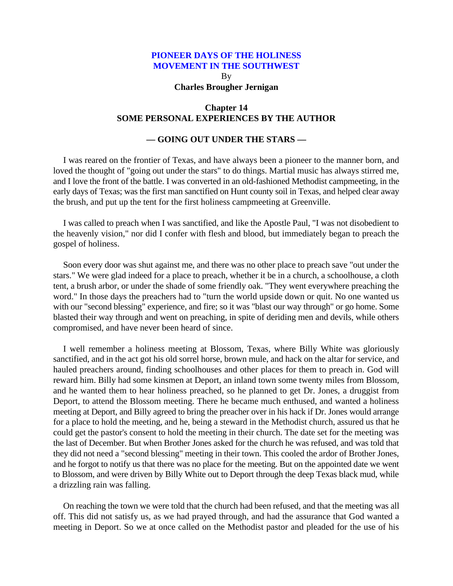By **Charles Brougher Jernigan**

## **Chapter 14 SOME PERSONAL EXPERIENCES BY THE AUTHOR**

## **— GOING OUT UNDER THE STARS —**

I was reared on the frontier of Texas, and have always been a pioneer to the manner born, and loved the thought of "going out under the stars" to do things. Martial music has always stirred me, and I love the front of the battle. I was converted in an old-fashioned Methodist campmeeting, in the early days of Texas; was the first man sanctified on Hunt county soil in Texas, and helped clear away the brush, and put up the tent for the first holiness campmeeting at Greenville.

I was called to preach when I was sanctified, and like the Apostle Paul, "I was not disobedient to the heavenly vision," nor did I confer with flesh and blood, but immediately began to preach the gospel of holiness.

Soon every door was shut against me, and there was no other place to preach save "out under the stars." We were glad indeed for a place to preach, whether it be in a church, a schoolhouse, a cloth tent, a brush arbor, or under the shade of some friendly oak. "They went everywhere preaching the word." In those days the preachers had to "turn the world upside down or quit. No one wanted us with our "second blessing" experience, and fire; so it was "blast our way through" or go home. Some blasted their way through and went on preaching, in spite of deriding men and devils, while others compromised, and have never been heard of since.

I well remember a holiness meeting at Blossom, Texas, where Billy White was gloriously sanctified, and in the act got his old sorrel horse, brown mule, and hack on the altar for service, and hauled preachers around, finding schoolhouses and other places for them to preach in. God will reward him. Billy had some kinsmen at Deport, an inland town some twenty miles from Blossom, and he wanted them to hear holiness preached, so he planned to get Dr. Jones, a druggist from Deport, to attend the Blossom meeting. There he became much enthused, and wanted a holiness meeting at Deport, and Billy agreed to bring the preacher over in his hack if Dr. Jones would arrange for a place to hold the meeting, and he, being a steward in the Methodist church, assured us that he could get the pastor's consent to hold the meeting in their church. The date set for the meeting was the last of December. But when Brother Jones asked for the church he was refused, and was told that they did not need a "second blessing" meeting in their town. This cooled the ardor of Brother Jones, and he forgot to notify us that there was no place for the meeting. But on the appointed date we went to Blossom, and were driven by Billy White out to Deport through the deep Texas black mud, while a drizzling rain was falling.

On reaching the town we were told that the church had been refused, and that the meeting was all off. This did not satisfy us, as we had prayed through, and had the assurance that God wanted a meeting in Deport. So we at once called on the Methodist pastor and pleaded for the use of his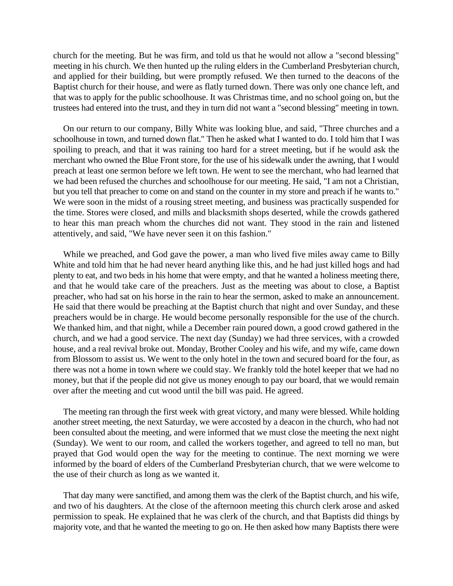church for the meeting. But he was firm, and told us that he would not allow a "second blessing" meeting in his church. We then hunted up the ruling elders in the Cumberland Presbyterian church, and applied for their building, but were promptly refused. We then turned to the deacons of the Baptist church for their house, and were as flatly turned down. There was only one chance left, and that was to apply for the public schoolhouse. It was Christmas time, and no school going on, but the trustees had entered into the trust, and they in turn did not want a "second blessing" meeting in town.

On our return to our company, Billy White was looking blue, and said, "Three churches and a schoolhouse in town, and turned down flat." Then he asked what I wanted to do. I told him that I was spoiling to preach, and that it was raining too hard for a street meeting, but if he would ask the merchant who owned the Blue Front store, for the use of his sidewalk under the awning, that I would preach at least one sermon before we left town. He went to see the merchant, who had learned that we had been refused the churches and schoolhouse for our meeting. He said, "I am not a Christian, but you tell that preacher to come on and stand on the counter in my store and preach if he wants to." We were soon in the midst of a rousing street meeting, and business was practically suspended for the time. Stores were closed, and mills and blacksmith shops deserted, while the crowds gathered to hear this man preach whom the churches did not want. They stood in the rain and listened attentively, and said, "We have never seen it on this fashion."

While we preached, and God gave the power, a man who lived five miles away came to Billy White and told him that he had never heard anything like this, and he had just killed hogs and had plenty to eat, and two beds in his home that were empty, and that he wanted a holiness meeting there, and that he would take care of the preachers. Just as the meeting was about to close, a Baptist preacher, who had sat on his horse in the rain to hear the sermon, asked to make an announcement. He said that there would be preaching at the Baptist church that night and over Sunday, and these preachers would be in charge. He would become personally responsible for the use of the church. We thanked him, and that night, while a December rain poured down, a good crowd gathered in the church, and we had a good service. The next day (Sunday) we had three services, with a crowded house, and a real revival broke out. Monday, Brother Cooley and his wife, and my wife, came down from Blossom to assist us. We went to the only hotel in the town and secured board for the four, as there was not a home in town where we could stay. We frankly told the hotel keeper that we had no money, but that if the people did not give us money enough to pay our board, that we would remain over after the meeting and cut wood until the bill was paid. He agreed.

The meeting ran through the first week with great victory, and many were blessed. While holding another street meeting, the next Saturday, we were accosted by a deacon in the church, who had not been consulted about the meeting, and were informed that we must close the meeting the next night (Sunday). We went to our room, and called the workers together, and agreed to tell no man, but prayed that God would open the way for the meeting to continue. The next morning we were informed by the board of elders of the Cumberland Presbyterian church, that we were welcome to the use of their church as long as we wanted it.

That day many were sanctified, and among them was the clerk of the Baptist church, and his wife, and two of his daughters. At the close of the afternoon meeting this church clerk arose and asked permission to speak. He explained that he was clerk of the church, and that Baptists did things by majority vote, and that he wanted the meeting to go on. He then asked how many Baptists there were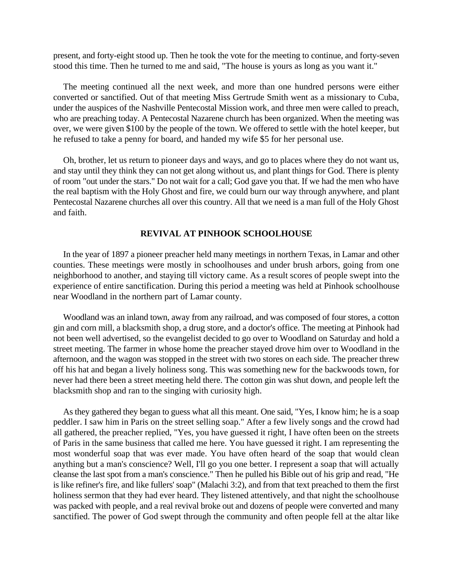present, and forty-eight stood up. Then he took the vote for the meeting to continue, and forty-seven stood this time. Then he turned to me and said, "The house is yours as long as you want it."

The meeting continued all the next week, and more than one hundred persons were either converted or sanctified. Out of that meeting Miss Gertrude Smith went as a missionary to Cuba, under the auspices of the Nashville Pentecostal Mission work, and three men were called to preach, who are preaching today. A Pentecostal Nazarene church has been organized. When the meeting was over, we were given \$100 by the people of the town. We offered to settle with the hotel keeper, but he refused to take a penny for board, and handed my wife \$5 for her personal use.

Oh, brother, let us return to pioneer days and ways, and go to places where they do not want us, and stay until they think they can not get along without us, and plant things for God. There is plenty of room "out under the stars." Do not wait for a call; God gave you that. If we had the men who have the real baptism with the Holy Ghost and fire, we could burn our way through anywhere, and plant Pentecostal Nazarene churches all over this country. All that we need is a man full of the Holy Ghost and faith.

### **REVIVAL AT PINHOOK SCHOOLHOUSE**

In the year of 1897 a pioneer preacher held many meetings in northern Texas, in Lamar and other counties. These meetings were mostly in schoolhouses and under brush arbors, going from one neighborhood to another, and staying till victory came. As a result scores of people swept into the experience of entire sanctification. During this period a meeting was held at Pinhook schoolhouse near Woodland in the northern part of Lamar county.

Woodland was an inland town, away from any railroad, and was composed of four stores, a cotton gin and corn mill, a blacksmith shop, a drug store, and a doctor's office. The meeting at Pinhook had not been well advertised, so the evangelist decided to go over to Woodland on Saturday and hold a street meeting. The farmer in whose home the preacher stayed drove him over to Woodland in the afternoon, and the wagon was stopped in the street with two stores on each side. The preacher threw off his hat and began a lively holiness song. This was something new for the backwoods town, for never had there been a street meeting held there. The cotton gin was shut down, and people left the blacksmith shop and ran to the singing with curiosity high.

As they gathered they began to guess what all this meant. One said, "Yes, I know him; he is a soap peddler. I saw him in Paris on the street selling soap." After a few lively songs and the crowd had all gathered, the preacher replied, "Yes, you have guessed it right, I have often been on the streets of Paris in the same business that called me here. You have guessed it right. I am representing the most wonderful soap that was ever made. You have often heard of the soap that would clean anything but a man's conscience? Well, I'll go you one better. I represent a soap that will actually cleanse the last spot from a man's conscience." Then he pulled his Bible out of his grip and read, "He is like refiner's fire, and like fullers' soap" (Malachi 3:2), and from that text preached to them the first holiness sermon that they had ever heard. They listened attentively, and that night the schoolhouse was packed with people, and a real revival broke out and dozens of people were converted and many sanctified. The power of God swept through the community and often people fell at the altar like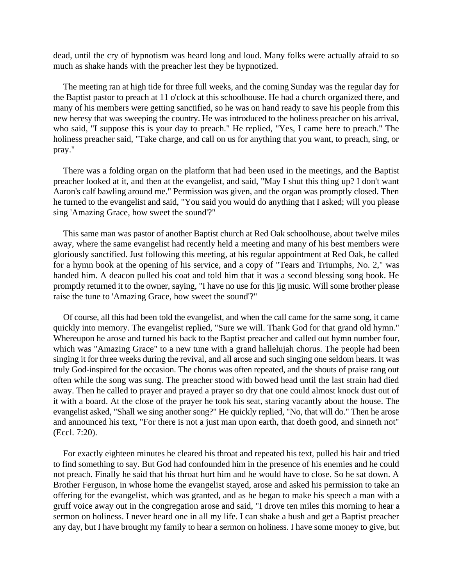dead, until the cry of hypnotism was heard long and loud. Many folks were actually afraid to so much as shake hands with the preacher lest they be hypnotized.

The meeting ran at high tide for three full weeks, and the coming Sunday was the regular day for the Baptist pastor to preach at 11 o'clock at this schoolhouse. He had a church organized there, and many of his members were getting sanctified, so he was on hand ready to save his people from this new heresy that was sweeping the country. He was introduced to the holiness preacher on his arrival, who said, "I suppose this is your day to preach." He replied, "Yes, I came here to preach." The holiness preacher said, "Take charge, and call on us for anything that you want, to preach, sing, or pray."

There was a folding organ on the platform that had been used in the meetings, and the Baptist preacher looked at it, and then at the evangelist, and said, "May I shut this thing up? I don't want Aaron's calf bawling around me." Permission was given, and the organ was promptly closed. Then he turned to the evangelist and said, "You said you would do anything that I asked; will you please sing 'Amazing Grace, how sweet the sound'?"

This same man was pastor of another Baptist church at Red Oak schoolhouse, about twelve miles away, where the same evangelist had recently held a meeting and many of his best members were gloriously sanctified. Just following this meeting, at his regular appointment at Red Oak, he called for a hymn book at the opening of his service, and a copy of "Tears and Triumphs, No. 2," was handed him. A deacon pulled his coat and told him that it was a second blessing song book. He promptly returned it to the owner, saying, "I have no use for this jig music. Will some brother please raise the tune to 'Amazing Grace, how sweet the sound'?"

Of course, all this had been told the evangelist, and when the call came for the same song, it came quickly into memory. The evangelist replied, "Sure we will. Thank God for that grand old hymn." Whereupon he arose and turned his back to the Baptist preacher and called out hymn number four, which was "Amazing Grace" to a new tune with a grand hallelujah chorus. The people had been singing it for three weeks during the revival, and all arose and such singing one seldom hears. It was truly God-inspired for the occasion. The chorus was often repeated, and the shouts of praise rang out often while the song was sung. The preacher stood with bowed head until the last strain had died away. Then he called to prayer and prayed a prayer so dry that one could almost knock dust out of it with a board. At the close of the prayer he took his seat, staring vacantly about the house. The evangelist asked, "Shall we sing another song?" He quickly replied, "No, that will do." Then he arose and announced his text, "For there is not a just man upon earth, that doeth good, and sinneth not" (Eccl. 7:20).

For exactly eighteen minutes he cleared his throat and repeated his text, pulled his hair and tried to find something to say. But God had confounded him in the presence of his enemies and he could not preach. Finally he said that his throat hurt him and he would have to close. So he sat down. A Brother Ferguson, in whose home the evangelist stayed, arose and asked his permission to take an offering for the evangelist, which was granted, and as he began to make his speech a man with a gruff voice away out in the congregation arose and said, "I drove ten miles this morning to hear a sermon on holiness. I never heard one in all my life. I can shake a bush and get a Baptist preacher any day, but I have brought my family to hear a sermon on holiness. I have some money to give, but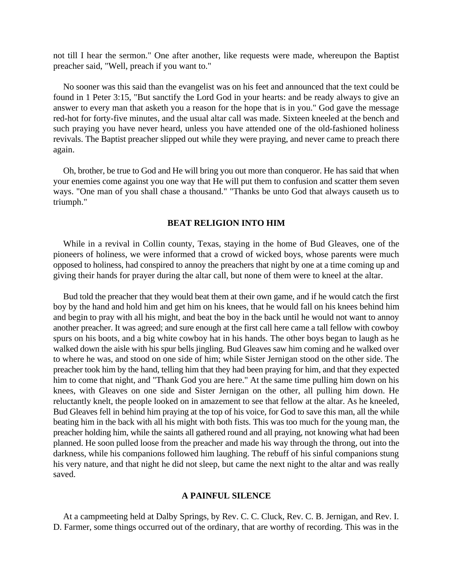not till I hear the sermon." One after another, like requests were made, whereupon the Baptist preacher said, "Well, preach if you want to."

No sooner was this said than the evangelist was on his feet and announced that the text could be found in 1 Peter 3:15, "But sanctify the Lord God in your hearts: and be ready always to give an answer to every man that asketh you a reason for the hope that is in you." God gave the message red-hot for forty-five minutes, and the usual altar call was made. Sixteen kneeled at the bench and such praying you have never heard, unless you have attended one of the old-fashioned holiness revivals. The Baptist preacher slipped out while they were praying, and never came to preach there again.

Oh, brother, be true to God and He will bring you out more than conqueror. He has said that when your enemies come against you one way that He will put them to confusion and scatter them seven ways. "One man of you shall chase a thousand." "Thanks be unto God that always causeth us to triumph."

#### **BEAT RELIGION INTO HIM**

While in a revival in Collin county, Texas, staying in the home of Bud Gleaves, one of the pioneers of holiness, we were informed that a crowd of wicked boys, whose parents were much opposed to holiness, had conspired to annoy the preachers that night by one at a time coming up and giving their hands for prayer during the altar call, but none of them were to kneel at the altar.

Bud told the preacher that they would beat them at their own game, and if he would catch the first boy by the hand and hold him and get him on his knees, that he would fall on his knees behind him and begin to pray with all his might, and beat the boy in the back until he would not want to annoy another preacher. It was agreed; and sure enough at the first call here came a tall fellow with cowboy spurs on his boots, and a big white cowboy hat in his hands. The other boys began to laugh as he walked down the aisle with his spur bells jingling. Bud Gleaves saw him coming and he walked over to where he was, and stood on one side of him; while Sister Jernigan stood on the other side. The preacher took him by the hand, telling him that they had been praying for him, and that they expected him to come that night, and "Thank God you are here." At the same time pulling him down on his knees, with Gleaves on one side and Sister Jernigan on the other, all pulling him down. He reluctantly knelt, the people looked on in amazement to see that fellow at the altar. As he kneeled, Bud Gleaves fell in behind him praying at the top of his voice, for God to save this man, all the while beating him in the back with all his might with both fists. This was too much for the young man, the preacher holding him, while the saints all gathered round and all praying, not knowing what had been planned. He soon pulled loose from the preacher and made his way through the throng, out into the darkness, while his companions followed him laughing. The rebuff of his sinful companions stung his very nature, and that night he did not sleep, but came the next night to the altar and was really saved.

#### **A PAINFUL SILENCE**

At a campmeeting held at Dalby Springs, by Rev. C. C. Cluck, Rev. C. B. Jernigan, and Rev. I. D. Farmer, some things occurred out of the ordinary, that are worthy of recording. This was in the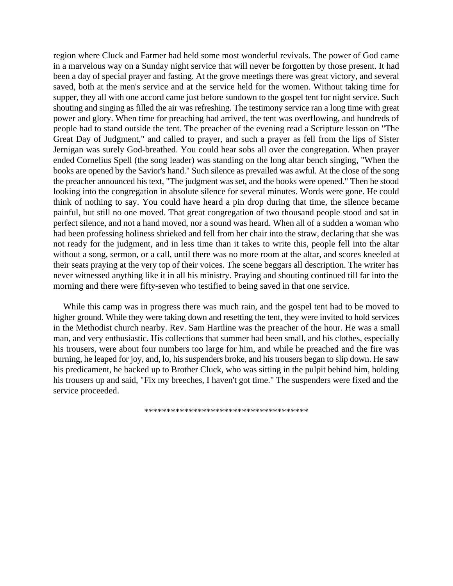region where Cluck and Farmer had held some most wonderful revivals. The power of God came in a marvelous way on a Sunday night service that will never be forgotten by those present. It had been a day of special prayer and fasting. At the grove meetings there was great victory, and several saved, both at the men's service and at the service held for the women. Without taking time for supper, they all with one accord came just before sundown to the gospel tent for night service. Such shouting and singing as filled the air was refreshing. The testimony service ran a long time with great power and glory. When time for preaching had arrived, the tent was overflowing, and hundreds of people had to stand outside the tent. The preacher of the evening read a Scripture lesson on "The Great Day of Judgment," and called to prayer, and such a prayer as fell from the lips of Sister Jernigan was surely God-breathed. You could hear sobs all over the congregation. When prayer ended Cornelius Spell (the song leader) was standing on the long altar bench singing, "When the books are opened by the Savior's hand." Such silence as prevailed was awful. At the close of the song the preacher announced his text, "The judgment was set, and the books were opened." Then he stood looking into the congregation in absolute silence for several minutes. Words were gone. He could think of nothing to say. You could have heard a pin drop during that time, the silence became painful, but still no one moved. That great congregation of two thousand people stood and sat in perfect silence, and not a hand moved, nor a sound was heard. When all of a sudden a woman who had been professing holiness shrieked and fell from her chair into the straw, declaring that she was not ready for the judgment, and in less time than it takes to write this, people fell into the altar without a song, sermon, or a call, until there was no more room at the altar, and scores kneeled at their seats praying at the very top of their voices. The scene beggars all description. The writer has never witnessed anything like it in all his ministry. Praying and shouting continued till far into the morning and there were fifty-seven who testified to being saved in that one service.

While this camp was in progress there was much rain, and the gospel tent had to be moved to higher ground. While they were taking down and resetting the tent, they were invited to hold services in the Methodist church nearby. Rev. Sam Hartline was the preacher of the hour. He was a small man, and very enthusiastic. His collections that summer had been small, and his clothes, especially his trousers, were about four numbers too large for him, and while he preached and the fire was burning, he leaped for joy, and, lo, his suspenders broke, and his trousers began to slip down. He saw his predicament, he backed up to Brother Cluck, who was sitting in the pulpit behind him, holding his trousers up and said, "Fix my breeches, I haven't got time." The suspenders were fixed and the service proceeded.

\*\*\*\*\*\*\*\*\*\*\*\*\*\*\*\*\*\*\*\*\*\*\*\*\*\*\*\*\*\*\*\*\*\*\*\*\*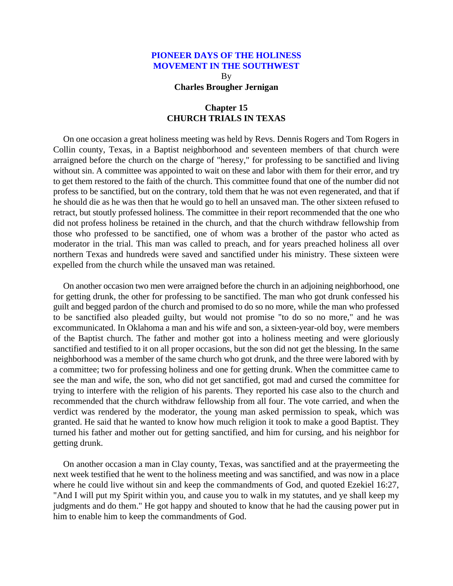By **Charles Brougher Jernigan**

## **Chapter 15 CHURCH TRIALS IN TEXAS**

On one occasion a great holiness meeting was held by Revs. Dennis Rogers and Tom Rogers in Collin county, Texas, in a Baptist neighborhood and seventeen members of that church were arraigned before the church on the charge of "heresy," for professing to be sanctified and living without sin. A committee was appointed to wait on these and labor with them for their error, and try to get them restored to the faith of the church. This committee found that one of the number did not profess to be sanctified, but on the contrary, told them that he was not even regenerated, and that if he should die as he was then that he would go to hell an unsaved man. The other sixteen refused to retract, but stoutly professed holiness. The committee in their report recommended that the one who did not profess holiness be retained in the church, and that the church withdraw fellowship from those who professed to be sanctified, one of whom was a brother of the pastor who acted as moderator in the trial. This man was called to preach, and for years preached holiness all over northern Texas and hundreds were saved and sanctified under his ministry. These sixteen were expelled from the church while the unsaved man was retained.

On another occasion two men were arraigned before the church in an adjoining neighborhood, one for getting drunk, the other for professing to be sanctified. The man who got drunk confessed his guilt and begged pardon of the church and promised to do so no more, while the man who professed to be sanctified also pleaded guilty, but would not promise "to do so no more," and he was excommunicated. In Oklahoma a man and his wife and son, a sixteen-year-old boy, were members of the Baptist church. The father and mother got into a holiness meeting and were gloriously sanctified and testified to it on all proper occasions, but the son did not get the blessing. In the same neighborhood was a member of the same church who got drunk, and the three were labored with by a committee; two for professing holiness and one for getting drunk. When the committee came to see the man and wife, the son, who did not get sanctified, got mad and cursed the committee for trying to interfere with the religion of his parents. They reported his case also to the church and recommended that the church withdraw fellowship from all four. The vote carried, and when the verdict was rendered by the moderator, the young man asked permission to speak, which was granted. He said that he wanted to know how much religion it took to make a good Baptist. They turned his father and mother out for getting sanctified, and him for cursing, and his neighbor for getting drunk.

On another occasion a man in Clay county, Texas, was sanctified and at the prayermeeting the next week testified that he went to the holiness meeting and was sanctified, and was now in a place where he could live without sin and keep the commandments of God, and quoted Ezekiel 16:27, "And I will put my Spirit within you, and cause you to walk in my statutes, and ye shall keep my judgments and do them." He got happy and shouted to know that he had the causing power put in him to enable him to keep the commandments of God.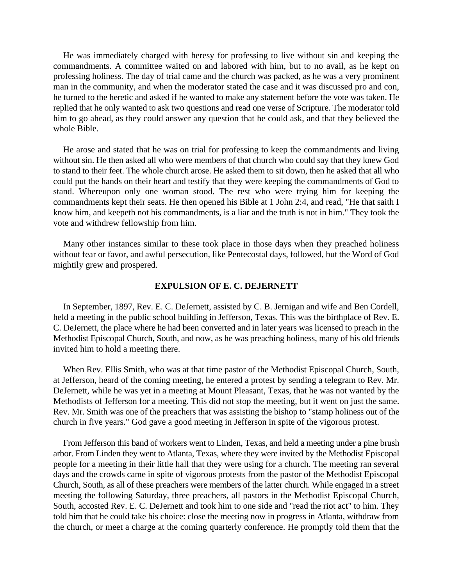He was immediately charged with heresy for professing to live without sin and keeping the commandments. A committee waited on and labored with him, but to no avail, as he kept on professing holiness. The day of trial came and the church was packed, as he was a very prominent man in the community, and when the moderator stated the case and it was discussed pro and con, he turned to the heretic and asked if he wanted to make any statement before the vote was taken. He replied that he only wanted to ask two questions and read one verse of Scripture. The moderator told him to go ahead, as they could answer any question that he could ask, and that they believed the whole Bible.

He arose and stated that he was on trial for professing to keep the commandments and living without sin. He then asked all who were members of that church who could say that they knew God to stand to their feet. The whole church arose. He asked them to sit down, then he asked that all who could put the hands on their heart and testify that they were keeping the commandments of God to stand. Whereupon only one woman stood. The rest who were trying him for keeping the commandments kept their seats. He then opened his Bible at 1 John 2:4, and read, "He that saith I know him, and keepeth not his commandments, is a liar and the truth is not in him." They took the vote and withdrew fellowship from him.

Many other instances similar to these took place in those days when they preached holiness without fear or favor, and awful persecution, like Pentecostal days, followed, but the Word of God mightily grew and prospered.

### **EXPULSION OF E. C. DEJERNETT**

In September, 1897, Rev. E. C. DeJernett, assisted by C. B. Jernigan and wife and Ben Cordell, held a meeting in the public school building in Jefferson, Texas. This was the birthplace of Rev. E. C. DeJernett, the place where he had been converted and in later years was licensed to preach in the Methodist Episcopal Church, South, and now, as he was preaching holiness, many of his old friends invited him to hold a meeting there.

When Rev. Ellis Smith, who was at that time pastor of the Methodist Episcopal Church, South, at Jefferson, heard of the coming meeting, he entered a protest by sending a telegram to Rev. Mr. DeJernett, while he was yet in a meeting at Mount Pleasant, Texas, that he was not wanted by the Methodists of Jefferson for a meeting. This did not stop the meeting, but it went on just the same. Rev. Mr. Smith was one of the preachers that was assisting the bishop to "stamp holiness out of the church in five years." God gave a good meeting in Jefferson in spite of the vigorous protest.

From Jefferson this band of workers went to Linden, Texas, and held a meeting under a pine brush arbor. From Linden they went to Atlanta, Texas, where they were invited by the Methodist Episcopal people for a meeting in their little hall that they were using for a church. The meeting ran several days and the crowds came in spite of vigorous protests from the pastor of the Methodist Episcopal Church, South, as all of these preachers were members of the latter church. While engaged in a street meeting the following Saturday, three preachers, all pastors in the Methodist Episcopal Church, South, accosted Rev. E. C. DeJernett and took him to one side and "read the riot act" to him. They told him that he could take his choice: close the meeting now in progress in Atlanta, withdraw from the church, or meet a charge at the coming quarterly conference. He promptly told them that the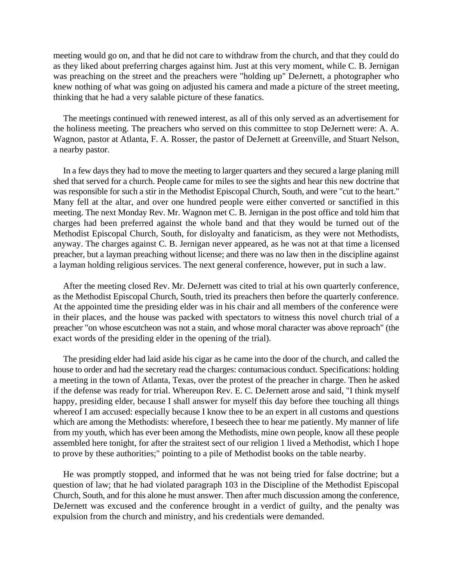meeting would go on, and that he did not care to withdraw from the church, and that they could do as they liked about preferring charges against him. Just at this very moment, while C. B. Jernigan was preaching on the street and the preachers were "holding up" DeJernett, a photographer who knew nothing of what was going on adjusted his camera and made a picture of the street meeting, thinking that he had a very salable picture of these fanatics.

The meetings continued with renewed interest, as all of this only served as an advertisement for the holiness meeting. The preachers who served on this committee to stop DeJernett were: A. A. Wagnon, pastor at Atlanta, F. A. Rosser, the pastor of DeJernett at Greenville, and Stuart Nelson, a nearby pastor.

In a few days they had to move the meeting to larger quarters and they secured a large planing mill shed that served for a church. People came for miles to see the sights and hear this new doctrine that was responsible for such a stir in the Methodist Episcopal Church, South, and were "cut to the heart." Many fell at the altar, and over one hundred people were either converted or sanctified in this meeting. The next Monday Rev. Mr. Wagnon met C. B. Jernigan in the post office and told him that charges had been preferred against the whole band and that they would be turned out of the Methodist Episcopal Church, South, for disloyalty and fanaticism, as they were not Methodists, anyway. The charges against C. B. Jernigan never appeared, as he was not at that time a licensed preacher, but a layman preaching without license; and there was no law then in the discipline against a layman holding religious services. The next general conference, however, put in such a law.

After the meeting closed Rev. Mr. DeJernett was cited to trial at his own quarterly conference, as the Methodist Episcopal Church, South, tried its preachers then before the quarterly conference. At the appointed time the presiding elder was in his chair and all members of the conference were in their places, and the house was packed with spectators to witness this novel church trial of a preacher "on whose escutcheon was not a stain, and whose moral character was above reproach" (the exact words of the presiding elder in the opening of the trial).

The presiding elder had laid aside his cigar as he came into the door of the church, and called the house to order and had the secretary read the charges: contumacious conduct. Specifications: holding a meeting in the town of Atlanta, Texas, over the protest of the preacher in charge. Then he asked if the defense was ready for trial. Whereupon Rev. E. C. DeJernett arose and said, "I think myself happy, presiding elder, because I shall answer for myself this day before thee touching all things whereof I am accused: especially because I know thee to be an expert in all customs and questions which are among the Methodists: wherefore, I beseech thee to hear me patiently. My manner of life from my youth, which has ever been among the Methodists, mine own people, know all these people assembled here tonight, for after the straitest sect of our religion 1 lived a Methodist, which I hope to prove by these authorities;" pointing to a pile of Methodist books on the table nearby.

He was promptly stopped, and informed that he was not being tried for false doctrine; but a question of law; that he had violated paragraph 103 in the Discipline of the Methodist Episcopal Church, South, and for this alone he must answer. Then after much discussion among the conference, DeJernett was excused and the conference brought in a verdict of guilty, and the penalty was expulsion from the church and ministry, and his credentials were demanded.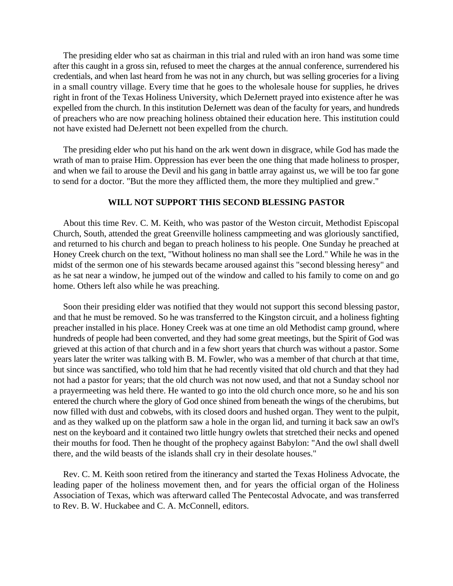The presiding elder who sat as chairman in this trial and ruled with an iron hand was some time after this caught in a gross sin, refused to meet the charges at the annual conference, surrendered his credentials, and when last heard from he was not in any church, but was selling groceries for a living in a small country village. Every time that he goes to the wholesale house for supplies, he drives right in front of the Texas Holiness University, which DeJernett prayed into existence after he was expelled from the church. In this institution DeJernett was dean of the faculty for years, and hundreds of preachers who are now preaching holiness obtained their education here. This institution could not have existed had DeJernett not been expelled from the church.

The presiding elder who put his hand on the ark went down in disgrace, while God has made the wrath of man to praise Him. Oppression has ever been the one thing that made holiness to prosper, and when we fail to arouse the Devil and his gang in battle array against us, we will be too far gone to send for a doctor. "But the more they afflicted them, the more they multiplied and grew."

### **WILL NOT SUPPORT THIS SECOND BLESSING PASTOR**

About this time Rev. C. M. Keith, who was pastor of the Weston circuit, Methodist Episcopal Church, South, attended the great Greenville holiness campmeeting and was gloriously sanctified, and returned to his church and began to preach holiness to his people. One Sunday he preached at Honey Creek church on the text, "Without holiness no man shall see the Lord." While he was in the midst of the sermon one of his stewards became aroused against this "second blessing heresy" and as he sat near a window, he jumped out of the window and called to his family to come on and go home. Others left also while he was preaching.

Soon their presiding elder was notified that they would not support this second blessing pastor, and that he must be removed. So he was transferred to the Kingston circuit, and a holiness fighting preacher installed in his place. Honey Creek was at one time an old Methodist camp ground, where hundreds of people had been converted, and they had some great meetings, but the Spirit of God was grieved at this action of that church and in a few short years that church was without a pastor. Some years later the writer was talking with B. M. Fowler, who was a member of that church at that time, but since was sanctified, who told him that he had recently visited that old church and that they had not had a pastor for years; that the old church was not now used, and that not a Sunday school nor a prayermeeting was held there. He wanted to go into the old church once more, so he and his son entered the church where the glory of God once shined from beneath the wings of the cherubims, but now filled with dust and cobwebs, with its closed doors and hushed organ. They went to the pulpit, and as they walked up on the platform saw a hole in the organ lid, and turning it back saw an owl's nest on the keyboard and it contained two little hungry owlets that stretched their necks and opened their mouths for food. Then he thought of the prophecy against Babylon: "And the owl shall dwell there, and the wild beasts of the islands shall cry in their desolate houses."

Rev. C. M. Keith soon retired from the itinerancy and started the Texas Holiness Advocate, the leading paper of the holiness movement then, and for years the official organ of the Holiness Association of Texas, which was afterward called The Pentecostal Advocate, and was transferred to Rev. B. W. Huckabee and C. A. McConnell, editors.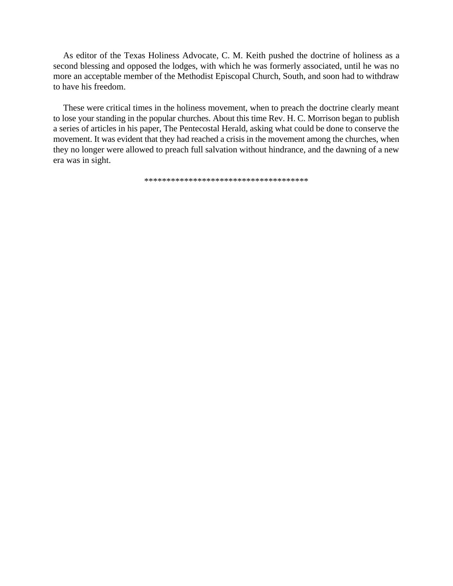As editor of the Texas Holiness Advocate, C. M. Keith pushed the doctrine of holiness as a second blessing and opposed the lodges, with which he was formerly associated, until he was no more an acceptable member of the Methodist Episcopal Church, South, and soon had to withdraw to have his freedom.

These were critical times in the holiness movement, when to preach the doctrine clearly meant to lose your standing in the popular churches. About this time Rev. H. C. Morrison began to publish a series of articles in his paper, The Pentecostal Herald, asking what could be done to conserve the movement. It was evident that they had reached a crisis in the movement among the churches, when they no longer were allowed to preach full salvation without hindrance, and the dawning of a new era was in sight.

\*\*\*\*\*\*\*\*\*\*\*\*\*\*\*\*\*\*\*\*\*\*\*\*\*\*\*\*\*\*\*\*\*\*\*\*\*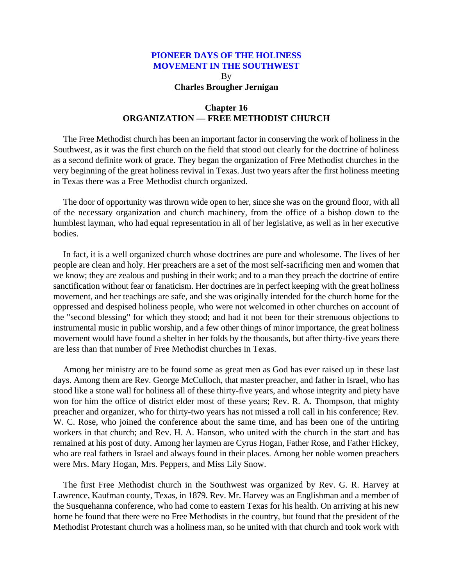By **Charles Brougher Jernigan**

# **Chapter 16 ORGANIZATION — FREE METHODIST CHURCH**

The Free Methodist church has been an important factor in conserving the work of holiness in the Southwest, as it was the first church on the field that stood out clearly for the doctrine of holiness as a second definite work of grace. They began the organization of Free Methodist churches in the very beginning of the great holiness revival in Texas. Just two years after the first holiness meeting in Texas there was a Free Methodist church organized.

The door of opportunity was thrown wide open to her, since she was on the ground floor, with all of the necessary organization and church machinery, from the office of a bishop down to the humblest layman, who had equal representation in all of her legislative, as well as in her executive bodies.

In fact, it is a well organized church whose doctrines are pure and wholesome. The lives of her people are clean and holy. Her preachers are a set of the most self-sacrificing men and women that we know; they are zealous and pushing in their work; and to a man they preach the doctrine of entire sanctification without fear or fanaticism. Her doctrines are in perfect keeping with the great holiness movement, and her teachings are safe, and she was originally intended for the church home for the oppressed and despised holiness people, who were not welcomed in other churches on account of the "second blessing" for which they stood; and had it not been for their strenuous objections to instrumental music in public worship, and a few other things of minor importance, the great holiness movement would have found a shelter in her folds by the thousands, but after thirty-five years there are less than that number of Free Methodist churches in Texas.

Among her ministry are to be found some as great men as God has ever raised up in these last days. Among them are Rev. George McCulloch, that master preacher, and father in Israel, who has stood like a stone wall for holiness all of these thirty-five years, and whose integrity and piety have won for him the office of district elder most of these years; Rev. R. A. Thompson, that mighty preacher and organizer, who for thirty-two years has not missed a roll call in his conference; Rev. W. C. Rose, who joined the conference about the same time, and has been one of the untiring workers in that church; and Rev. H. A. Hanson, who united with the church in the start and has remained at his post of duty. Among her laymen are Cyrus Hogan, Father Rose, and Father Hickey, who are real fathers in Israel and always found in their places. Among her noble women preachers were Mrs. Mary Hogan, Mrs. Peppers, and Miss Lily Snow.

The first Free Methodist church in the Southwest was organized by Rev. G. R. Harvey at Lawrence, Kaufman county, Texas, in 1879. Rev. Mr. Harvey was an Englishman and a member of the Susquehanna conference, who had come to eastern Texas for his health. On arriving at his new home he found that there were no Free Methodists in the country, but found that the president of the Methodist Protestant church was a holiness man, so he united with that church and took work with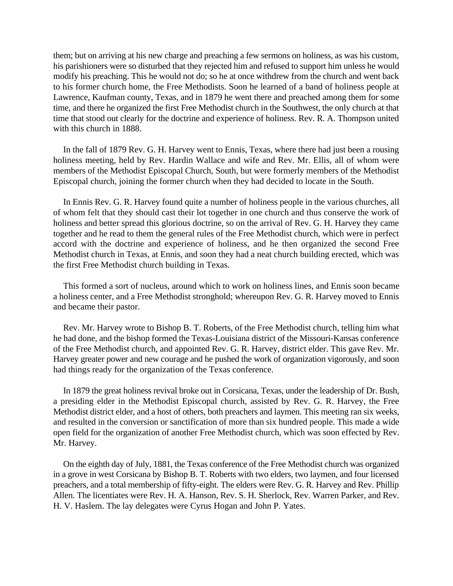them; but on arriving at his new charge and preaching a few sermons on holiness, as was his custom, his parishioners were so disturbed that they rejected him and refused to support him unless he would modify his preaching. This he would not do; so he at once withdrew from the church and went back to his former church home, the Free Methodists. Soon he learned of a band of holiness people at Lawrence, Kaufman county, Texas, and in 1879 he went there and preached among them for some time, and there he organized the first Free Methodist church in the Southwest, the only church at that time that stood out clearly for the doctrine and experience of holiness. Rev. R. A. Thompson united with this church in 1888.

In the fall of 1879 Rev. G. H. Harvey went to Ennis, Texas, where there had just been a rousing holiness meeting, held by Rev. Hardin Wallace and wife and Rev. Mr. Ellis, all of whom were members of the Methodist Episcopal Church, South, but were formerly members of the Methodist Episcopal church, joining the former church when they had decided to locate in the South.

In Ennis Rev. G. R. Harvey found quite a number of holiness people in the various churches, all of whom felt that they should cast their lot together in one church and thus conserve the work of holiness and better spread this glorious doctrine, so on the arrival of Rev. G. H. Harvey they came together and he read to them the general rules of the Free Methodist church, which were in perfect accord with the doctrine and experience of holiness, and he then organized the second Free Methodist church in Texas, at Ennis, and soon they had a neat church building erected, which was the first Free Methodist church building in Texas.

This formed a sort of nucleus, around which to work on holiness lines, and Ennis soon became a holiness center, and a Free Methodist stronghold; whereupon Rev. G. R. Harvey moved to Ennis and became their pastor.

Rev. Mr. Harvey wrote to Bishop B. T. Roberts, of the Free Methodist church, telling him what he had done, and the bishop formed the Texas-Louisiana district of the Missouri-Kansas conference of the Free Methodist church, and appointed Rev. G. R. Harvey, district elder. This gave Rev. Mr. Harvey greater power and new courage and he pushed the work of organization vigorously, and soon had things ready for the organization of the Texas conference.

In 1879 the great holiness revival broke out in Corsicana, Texas, under the leadership of Dr. Bush, a presiding elder in the Methodist Episcopal church, assisted by Rev. G. R. Harvey, the Free Methodist district elder, and a host of others, both preachers and laymen. This meeting ran six weeks, and resulted in the conversion or sanctification of more than six hundred people. This made a wide open field for the organization of another Free Methodist church, which was soon effected by Rev. Mr. Harvey.

On the eighth day of July, 1881, the Texas conference of the Free Methodist church was organized in a grove in west Corsicana by Bishop B. T. Roberts with two elders, two laymen, and four licensed preachers, and a total membership of fifty-eight. The elders were Rev. G. R. Harvey and Rev. Phillip Allen. The licentiates were Rev. H. A. Hanson, Rev. S. H. Sherlock, Rev. Warren Parker, and Rev. H. V. Haslem. The lay delegates were Cyrus Hogan and John P. Yates.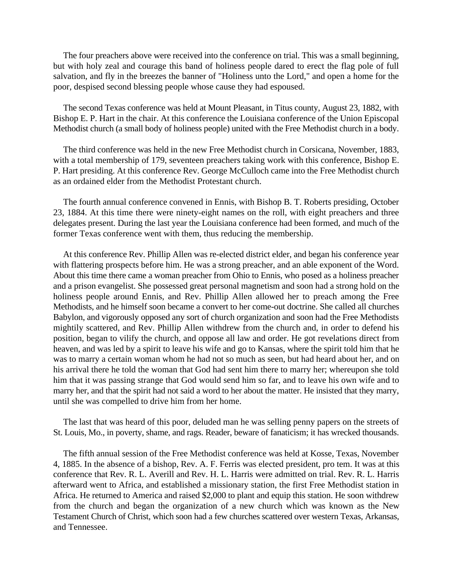The four preachers above were received into the conference on trial. This was a small beginning, but with holy zeal and courage this band of holiness people dared to erect the flag pole of full salvation, and fly in the breezes the banner of "Holiness unto the Lord," and open a home for the poor, despised second blessing people whose cause they had espoused.

The second Texas conference was held at Mount Pleasant, in Titus county, August 23, 1882, with Bishop E. P. Hart in the chair. At this conference the Louisiana conference of the Union Episcopal Methodist church (a small body of holiness people) united with the Free Methodist church in a body.

The third conference was held in the new Free Methodist church in Corsicana, November, 1883, with a total membership of 179, seventeen preachers taking work with this conference, Bishop E. P. Hart presiding. At this conference Rev. George McCulloch came into the Free Methodist church as an ordained elder from the Methodist Protestant church.

The fourth annual conference convened in Ennis, with Bishop B. T. Roberts presiding, October 23, 1884. At this time there were ninety-eight names on the roll, with eight preachers and three delegates present. During the last year the Louisiana conference had been formed, and much of the former Texas conference went with them, thus reducing the membership.

At this conference Rev. Phillip Allen was re-elected district elder, and began his conference year with flattering prospects before him. He was a strong preacher, and an able exponent of the Word. About this time there came a woman preacher from Ohio to Ennis, who posed as a holiness preacher and a prison evangelist. She possessed great personal magnetism and soon had a strong hold on the holiness people around Ennis, and Rev. Phillip Allen allowed her to preach among the Free Methodists, and he himself soon became a convert to her come-out doctrine. She called all churches Babylon, and vigorously opposed any sort of church organization and soon had the Free Methodists mightily scattered, and Rev. Phillip Allen withdrew from the church and, in order to defend his position, began to vilify the church, and oppose all law and order. He got revelations direct from heaven, and was led by a spirit to leave his wife and go to Kansas, where the spirit told him that he was to marry a certain woman whom he had not so much as seen, but had heard about her, and on his arrival there he told the woman that God had sent him there to marry her; whereupon she told him that it was passing strange that God would send him so far, and to leave his own wife and to marry her, and that the spirit had not said a word to her about the matter. He insisted that they marry, until she was compelled to drive him from her home.

The last that was heard of this poor, deluded man he was selling penny papers on the streets of St. Louis, Mo., in poverty, shame, and rags. Reader, beware of fanaticism; it has wrecked thousands.

The fifth annual session of the Free Methodist conference was held at Kosse, Texas, November 4, 1885. In the absence of a bishop, Rev. A. F. Ferris was elected president, pro tem. It was at this conference that Rev. R. L. Averill and Rev. H. L. Harris were admitted on trial. Rev. R. L. Harris afterward went to Africa, and established a missionary station, the first Free Methodist station in Africa. He returned to America and raised \$2,000 to plant and equip this station. He soon withdrew from the church and began the organization of a new church which was known as the New Testament Church of Christ, which soon had a few churches scattered over western Texas, Arkansas, and Tennessee.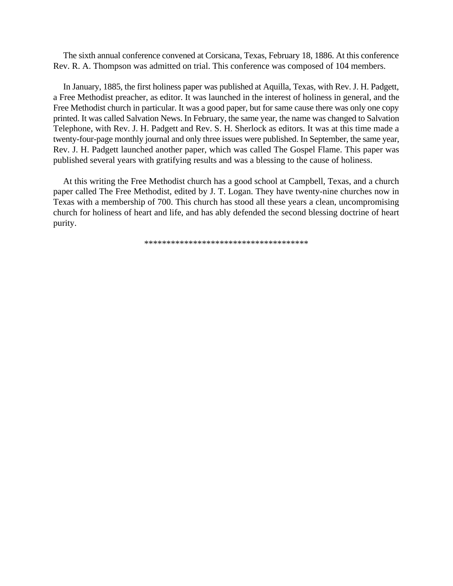The sixth annual conference convened at Corsicana, Texas, February 18, 1886. At this conference Rev. R. A. Thompson was admitted on trial. This conference was composed of 104 members.

In January, 1885, the first holiness paper was published at Aquilla, Texas, with Rev. J. H. Padgett, a Free Methodist preacher, as editor. It was launched in the interest of holiness in general, and the Free Methodist church in particular. It was a good paper, but for same cause there was only one copy printed. It was called Salvation News. In February, the same year, the name was changed to Salvation Telephone, with Rev. J. H. Padgett and Rev. S. H. Sherlock as editors. It was at this time made a twenty-four-page monthly journal and only three issues were published. In September, the same year, Rev. J. H. Padgett launched another paper, which was called The Gospel Flame. This paper was published several years with gratifying results and was a blessing to the cause of holiness.

At this writing the Free Methodist church has a good school at Campbell, Texas, and a church paper called The Free Methodist, edited by J. T. Logan. They have twenty-nine churches now in Texas with a membership of 700. This church has stood all these years a clean, uncompromising church for holiness of heart and life, and has ably defended the second blessing doctrine of heart purity.

\*\*\*\*\*\*\*\*\*\*\*\*\*\*\*\*\*\*\*\*\*\*\*\*\*\*\*\*\*\*\*\*\*\*\*\*\*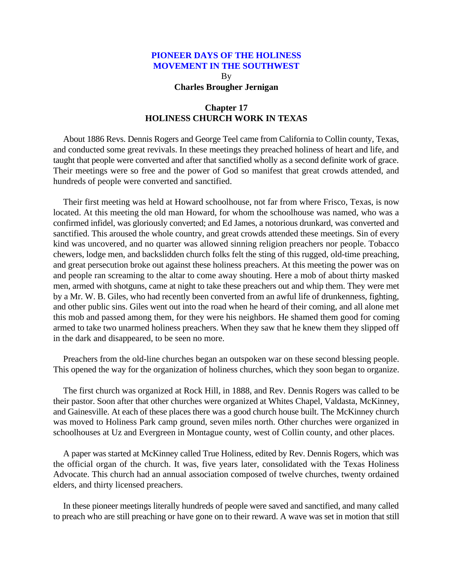#### **PIONEER DAYS OF THE HOLINESS MOVEMENT IN THE SOUTHWEST**

By **Charles Brougher Jernigan**

## **Chapter 17 HOLINESS CHURCH WORK IN TEXAS**

About 1886 Revs. Dennis Rogers and George Teel came from California to Collin county, Texas, and conducted some great revivals. In these meetings they preached holiness of heart and life, and taught that people were converted and after that sanctified wholly as a second definite work of grace. Their meetings were so free and the power of God so manifest that great crowds attended, and hundreds of people were converted and sanctified.

Their first meeting was held at Howard schoolhouse, not far from where Frisco, Texas, is now located. At this meeting the old man Howard, for whom the schoolhouse was named, who was a confirmed infidel, was gloriously converted; and Ed James, a notorious drunkard, was converted and sanctified. This aroused the whole country, and great crowds attended these meetings. Sin of every kind was uncovered, and no quarter was allowed sinning religion preachers nor people. Tobacco chewers, lodge men, and backslidden church folks felt the sting of this rugged, old-time preaching, and great persecution broke out against these holiness preachers. At this meeting the power was on and people ran screaming to the altar to come away shouting. Here a mob of about thirty masked men, armed with shotguns, came at night to take these preachers out and whip them. They were met by a Mr. W. B. Giles, who had recently been converted from an awful life of drunkenness, fighting, and other public sins. Giles went out into the road when he heard of their coming, and all alone met this mob and passed among them, for they were his neighbors. He shamed them good for coming armed to take two unarmed holiness preachers. When they saw that he knew them they slipped off in the dark and disappeared, to be seen no more.

Preachers from the old-line churches began an outspoken war on these second blessing people. This opened the way for the organization of holiness churches, which they soon began to organize.

The first church was organized at Rock Hill, in 1888, and Rev. Dennis Rogers was called to be their pastor. Soon after that other churches were organized at Whites Chapel, Valdasta, McKinney, and Gainesville. At each of these places there was a good church house built. The McKinney church was moved to Holiness Park camp ground, seven miles north. Other churches were organized in schoolhouses at Uz and Evergreen in Montague county, west of Collin county, and other places.

A paper was started at McKinney called True Holiness, edited by Rev. Dennis Rogers, which was the official organ of the church. It was, five years later, consolidated with the Texas Holiness Advocate. This church had an annual association composed of twelve churches, twenty ordained elders, and thirty licensed preachers.

In these pioneer meetings literally hundreds of people were saved and sanctified, and many called to preach who are still preaching or have gone on to their reward. A wave was set in motion that still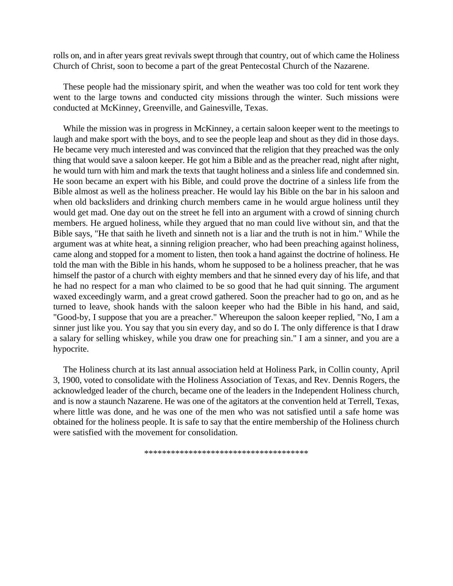rolls on, and in after years great revivals swept through that country, out of which came the Holiness Church of Christ, soon to become a part of the great Pentecostal Church of the Nazarene.

These people had the missionary spirit, and when the weather was too cold for tent work they went to the large towns and conducted city missions through the winter. Such missions were conducted at McKinney, Greenville, and Gainesville, Texas.

While the mission was in progress in McKinney, a certain saloon keeper went to the meetings to laugh and make sport with the boys, and to see the people leap and shout as they did in those days. He became very much interested and was convinced that the religion that they preached was the only thing that would save a saloon keeper. He got him a Bible and as the preacher read, night after night, he would turn with him and mark the texts that taught holiness and a sinless life and condemned sin. He soon became an expert with his Bible, and could prove the doctrine of a sinless life from the Bible almost as well as the holiness preacher. He would lay his Bible on the bar in his saloon and when old backsliders and drinking church members came in he would argue holiness until they would get mad. One day out on the street he fell into an argument with a crowd of sinning church members. He argued holiness, while they argued that no man could live without sin, and that the Bible says, "He that saith he liveth and sinneth not is a liar and the truth is not in him." While the argument was at white heat, a sinning religion preacher, who had been preaching against holiness, came along and stopped for a moment to listen, then took a hand against the doctrine of holiness. He told the man with the Bible in his hands, whom he supposed to be a holiness preacher, that he was himself the pastor of a church with eighty members and that he sinned every day of his life, and that he had no respect for a man who claimed to be so good that he had quit sinning. The argument waxed exceedingly warm, and a great crowd gathered. Soon the preacher had to go on, and as he turned to leave, shook hands with the saloon keeper who had the Bible in his hand, and said, "Good-by, I suppose that you are a preacher." Whereupon the saloon keeper replied, "No, I am a sinner just like you. You say that you sin every day, and so do I. The only difference is that I draw a salary for selling whiskey, while you draw one for preaching sin." I am a sinner, and you are a hypocrite.

The Holiness church at its last annual association held at Holiness Park, in Collin county, April 3, 1900, voted to consolidate with the Holiness Association of Texas, and Rev. Dennis Rogers, the acknowledged leader of the church, became one of the leaders in the Independent Holiness church, and is now a staunch Nazarene. He was one of the agitators at the convention held at Terrell, Texas, where little was done, and he was one of the men who was not satisfied until a safe home was obtained for the holiness people. It is safe to say that the entire membership of the Holiness church were satisfied with the movement for consolidation.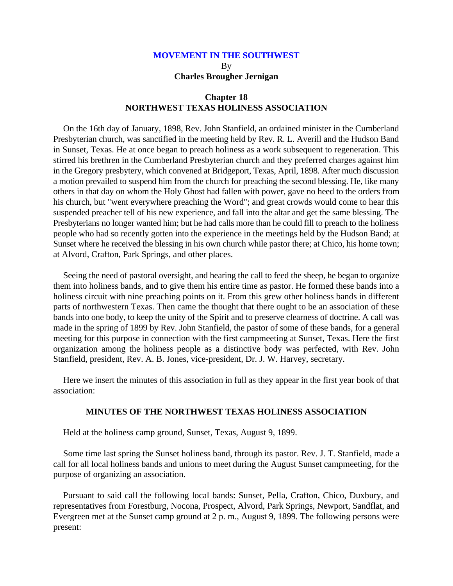# **MOVEMENT IN THE SOUTHWEST** By **Charles Brougher Jernigan**

## **Chapter 18 NORTHWEST TEXAS HOLINESS ASSOCIATION**

On the 16th day of January, 1898, Rev. John Stanfield, an ordained minister in the Cumberland Presbyterian church, was sanctified in the meeting held by Rev. R. L. Averill and the Hudson Band in Sunset, Texas. He at once began to preach holiness as a work subsequent to regeneration. This stirred his brethren in the Cumberland Presbyterian church and they preferred charges against him in the Gregory presbytery, which convened at Bridgeport, Texas, April, 1898. After much discussion a motion prevailed to suspend him from the church for preaching the second blessing. He, like many others in that day on whom the Holy Ghost had fallen with power, gave no heed to the orders from his church, but "went everywhere preaching the Word"; and great crowds would come to hear this suspended preacher tell of his new experience, and fall into the altar and get the same blessing. The Presbyterians no longer wanted him; but he had calls more than he could fill to preach to the holiness people who had so recently gotten into the experience in the meetings held by the Hudson Band; at Sunset where he received the blessing in his own church while pastor there; at Chico, his home town; at Alvord, Crafton, Park Springs, and other places.

Seeing the need of pastoral oversight, and hearing the call to feed the sheep, he began to organize them into holiness bands, and to give them his entire time as pastor. He formed these bands into a holiness circuit with nine preaching points on it. From this grew other holiness bands in different parts of northwestern Texas. Then came the thought that there ought to be an association of these bands into one body, to keep the unity of the Spirit and to preserve clearness of doctrine. A call was made in the spring of 1899 by Rev. John Stanfield, the pastor of some of these bands, for a general meeting for this purpose in connection with the first campmeeting at Sunset, Texas. Here the first organization among the holiness people as a distinctive body was perfected, with Rev. John Stanfield, president, Rev. A. B. Jones, vice-president, Dr. J. W. Harvey, secretary.

Here we insert the minutes of this association in full as they appear in the first year book of that association:

### **MINUTES OF THE NORTHWEST TEXAS HOLINESS ASSOCIATION**

Held at the holiness camp ground, Sunset, Texas, August 9, 1899.

Some time last spring the Sunset holiness band, through its pastor. Rev. J. T. Stanfield, made a call for all local holiness bands and unions to meet during the August Sunset campmeeting, for the purpose of organizing an association.

Pursuant to said call the following local bands: Sunset, Pella, Crafton, Chico, Duxbury, and representatives from Forestburg, Nocona, Prospect, Alvord, Park Springs, Newport, Sandflat, and Evergreen met at the Sunset camp ground at 2 p. m., August 9, 1899. The following persons were present: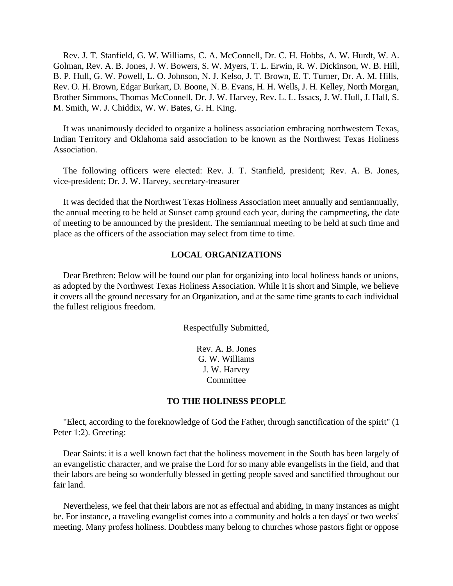Rev. J. T. Stanfield, G. W. Williams, C. A. McConnell, Dr. C. H. Hobbs, A. W. Hurdt, W. A. Golman, Rev. A. B. Jones, J. W. Bowers, S. W. Myers, T. L. Erwin, R. W. Dickinson, W. B. Hill, B. P. Hull, G. W. Powell, L. O. Johnson, N. J. Kelso, J. T. Brown, E. T. Turner, Dr. A. M. Hills, Rev. O. H. Brown, Edgar Burkart, D. Boone, N. B. Evans, H. H. Wells, J. H. Kelley, North Morgan, Brother Simmons, Thomas McConnell, Dr. J. W. Harvey, Rev. L. L. Issacs, J. W. Hull, J. Hall, S. M. Smith, W. J. Chiddix, W. W. Bates, G. H. King.

It was unanimously decided to organize a holiness association embracing northwestern Texas, Indian Territory and Oklahoma said association to be known as the Northwest Texas Holiness Association.

The following officers were elected: Rev. J. T. Stanfield, president; Rev. A. B. Jones, vice-president; Dr. J. W. Harvey, secretary-treasurer

It was decided that the Northwest Texas Holiness Association meet annually and semiannually, the annual meeting to be held at Sunset camp ground each year, during the campmeeting, the date of meeting to be announced by the president. The semiannual meeting to be held at such time and place as the officers of the association may select from time to time.

### **LOCAL ORGANIZATIONS**

Dear Brethren: Below will be found our plan for organizing into local holiness hands or unions, as adopted by the Northwest Texas Holiness Association. While it is short and Simple, we believe it covers all the ground necessary for an Organization, and at the same time grants to each individual the fullest religious freedom.

Respectfully Submitted,

Rev. A. B. Jones G. W. Williams J. W. Harvey Committee

#### **TO THE HOLINESS PEOPLE**

"Elect, according to the foreknowledge of God the Father, through sanctification of the spirit" (1 Peter 1:2). Greeting:

Dear Saints: it is a well known fact that the holiness movement in the South has been largely of an evangelistic character, and we praise the Lord for so many able evangelists in the field, and that their labors are being so wonderfully blessed in getting people saved and sanctified throughout our fair land.

Nevertheless, we feel that their labors are not as effectual and abiding, in many instances as might be. For instance, a traveling evangelist comes into a community and holds a ten days' or two weeks' meeting. Many profess holiness. Doubtless many belong to churches whose pastors fight or oppose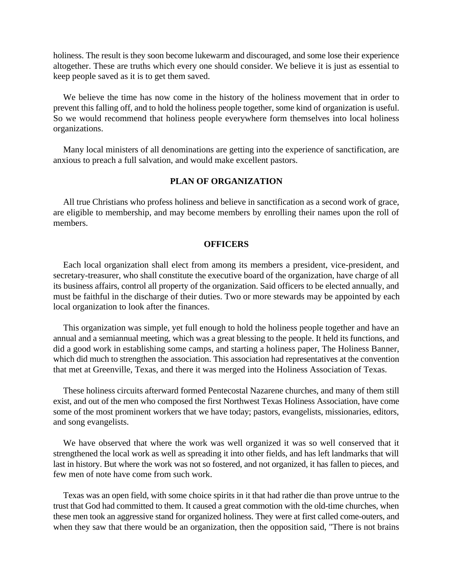holiness. The result is they soon become lukewarm and discouraged, and some lose their experience altogether. These are truths which every one should consider. We believe it is just as essential to keep people saved as it is to get them saved.

We believe the time has now come in the history of the holiness movement that in order to prevent this falling off, and to hold the holiness people together, some kind of organization is useful. So we would recommend that holiness people everywhere form themselves into local holiness organizations.

Many local ministers of all denominations are getting into the experience of sanctification, are anxious to preach a full salvation, and would make excellent pastors.

## **PLAN OF ORGANIZATION**

All true Christians who profess holiness and believe in sanctification as a second work of grace, are eligible to membership, and may become members by enrolling their names upon the roll of members.

### **OFFICERS**

Each local organization shall elect from among its members a president, vice-president, and secretary-treasurer, who shall constitute the executive board of the organization, have charge of all its business affairs, control all property of the organization. Said officers to be elected annually, and must be faithful in the discharge of their duties. Two or more stewards may be appointed by each local organization to look after the finances.

This organization was simple, yet full enough to hold the holiness people together and have an annual and a semiannual meeting, which was a great blessing to the people. It held its functions, and did a good work in establishing some camps, and starting a holiness paper, The Holiness Banner, which did much to strengthen the association. This association had representatives at the convention that met at Greenville, Texas, and there it was merged into the Holiness Association of Texas.

These holiness circuits afterward formed Pentecostal Nazarene churches, and many of them still exist, and out of the men who composed the first Northwest Texas Holiness Association, have come some of the most prominent workers that we have today; pastors, evangelists, missionaries, editors, and song evangelists.

We have observed that where the work was well organized it was so well conserved that it strengthened the local work as well as spreading it into other fields, and has left landmarks that will last in history. But where the work was not so fostered, and not organized, it has fallen to pieces, and few men of note have come from such work.

Texas was an open field, with some choice spirits in it that had rather die than prove untrue to the trust that God had committed to them. It caused a great commotion with the old-time churches, when these men took an aggressive stand for organized holiness. They were at first called come-outers, and when they saw that there would be an organization, then the opposition said, "There is not brains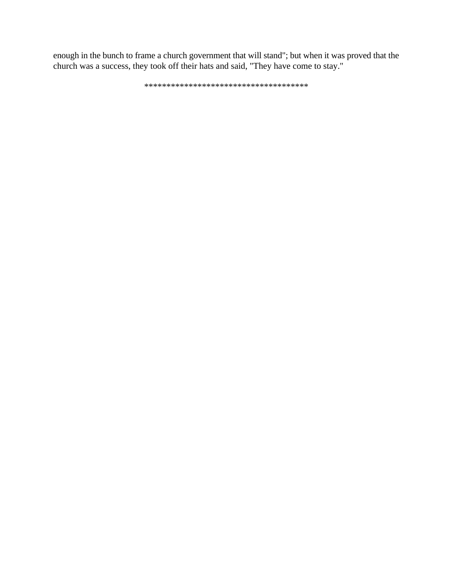enough in the bunch to frame a church government that will stand"; but when it was proved that the church was a success, they took off their hats and said, "They have come to stay."

\*\*\*\*\*\*\*\*\*\*\*\*\*\*\*\*\*\*\*\*\*\*\*\*\*\*\*\*\*\*\*\*\*\*\*\*\*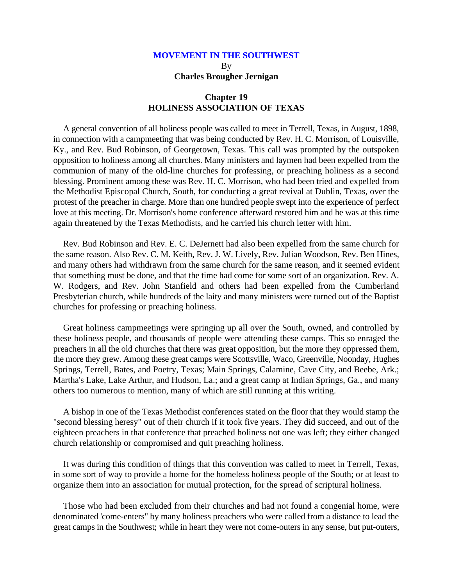# **MOVEMENT IN THE SOUTHWEST** By **Charles Brougher Jernigan**

## **Chapter 19 HOLINESS ASSOCIATION OF TEXAS**

A general convention of all holiness people was called to meet in Terrell, Texas, in August, 1898, in connection with a campmeeting that was being conducted by Rev. H. C. Morrison, of Louisville, Ky., and Rev. Bud Robinson, of Georgetown, Texas. This call was prompted by the outspoken opposition to holiness among all churches. Many ministers and laymen had been expelled from the communion of many of the old-line churches for professing, or preaching holiness as a second blessing. Prominent among these was Rev. H. C. Morrison, who had been tried and expelled from the Methodist Episcopal Church, South, for conducting a great revival at Dublin, Texas, over the protest of the preacher in charge. More than one hundred people swept into the experience of perfect love at this meeting. Dr. Morrison's home conference afterward restored him and he was at this time again threatened by the Texas Methodists, and he carried his church letter with him.

Rev. Bud Robinson and Rev. E. C. DeJernett had also been expelled from the same church for the same reason. Also Rev. C. M. Keith, Rev. J. W. Lively, Rev. Julian Woodson, Rev. Ben Hines, and many others had withdrawn from the same church for the same reason, and it seemed evident that something must be done, and that the time had come for some sort of an organization. Rev. A. W. Rodgers, and Rev. John Stanfield and others had been expelled from the Cumberland Presbyterian church, while hundreds of the laity and many ministers were turned out of the Baptist churches for professing or preaching holiness.

Great holiness campmeetings were springing up all over the South, owned, and controlled by these holiness people, and thousands of people were attending these camps. This so enraged the preachers in all the old churches that there was great opposition, but the more they oppressed them, the more they grew. Among these great camps were Scottsville, Waco, Greenville, Noonday, Hughes Springs, Terrell, Bates, and Poetry, Texas; Main Springs, Calamine, Cave City, and Beebe, Ark.; Martha's Lake, Lake Arthur, and Hudson, La.; and a great camp at Indian Springs, Ga., and many others too numerous to mention, many of which are still running at this writing.

A bishop in one of the Texas Methodist conferences stated on the floor that they would stamp the "second blessing heresy" out of their church if it took five years. They did succeed, and out of the eighteen preachers in that conference that preached holiness not one was left; they either changed church relationship or compromised and quit preaching holiness.

It was during this condition of things that this convention was called to meet in Terrell, Texas, in some sort of way to provide a home for the homeless holiness people of the South; or at least to organize them into an association for mutual protection, for the spread of scriptural holiness.

Those who had been excluded from their churches and had not found a congenial home, were denominated 'come-enters" by many holiness preachers who were called from a distance to lead the great camps in the Southwest; while in heart they were not come-outers in any sense, but put-outers,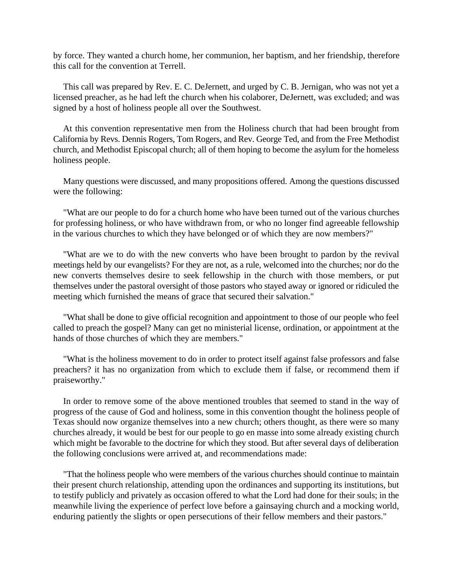by force. They wanted a church home, her communion, her baptism, and her friendship, therefore this call for the convention at Terrell.

This call was prepared by Rev. E. C. DeJernett, and urged by C. B. Jernigan, who was not yet a licensed preacher, as he had left the church when his colaborer, DeJernett, was excluded; and was signed by a host of holiness people all over the Southwest.

At this convention representative men from the Holiness church that had been brought from California by Revs. Dennis Rogers, Tom Rogers, and Rev. George Ted, and from the Free Methodist church, and Methodist Episcopal church; all of them hoping to become the asylum for the homeless holiness people.

Many questions were discussed, and many propositions offered. Among the questions discussed were the following:

"What are our people to do for a church home who have been turned out of the various churches for professing holiness, or who have withdrawn from, or who no longer find agreeable fellowship in the various churches to which they have belonged or of which they are now members?"

"What are we to do with the new converts who have been brought to pardon by the revival meetings held by our evangelists? For they are not, as a rule, welcomed into the churches; nor do the new converts themselves desire to seek fellowship in the church with those members, or put themselves under the pastoral oversight of those pastors who stayed away or ignored or ridiculed the meeting which furnished the means of grace that secured their salvation."

"What shall be done to give official recognition and appointment to those of our people who feel called to preach the gospel? Many can get no ministerial license, ordination, or appointment at the hands of those churches of which they are members."

"What is the holiness movement to do in order to protect itself against false professors and false preachers? it has no organization from which to exclude them if false, or recommend them if praiseworthy."

In order to remove some of the above mentioned troubles that seemed to stand in the way of progress of the cause of God and holiness, some in this convention thought the holiness people of Texas should now organize themselves into a new church; others thought, as there were so many churches already, it would be best for our people to go en masse into some already existing church which might be favorable to the doctrine for which they stood. But after several days of deliberation the following conclusions were arrived at, and recommendations made:

"That the holiness people who were members of the various churches should continue to maintain their present church relationship, attending upon the ordinances and supporting its institutions, but to testify publicly and privately as occasion offered to what the Lord had done for their souls; in the meanwhile living the experience of perfect love before a gainsaying church and a mocking world, enduring patiently the slights or open persecutions of their fellow members and their pastors."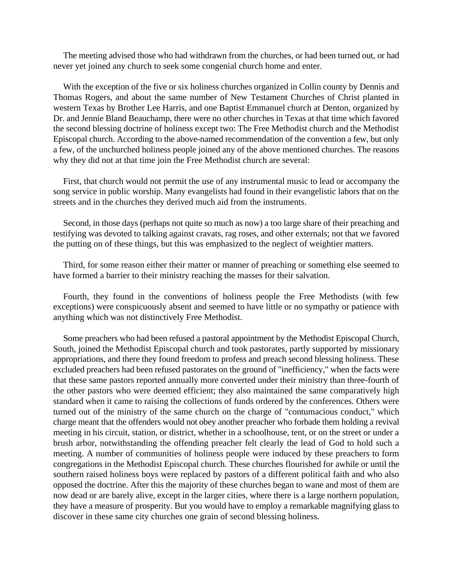The meeting advised those who had withdrawn from the churches, or had been turned out, or had never yet joined any church to seek some congenial church home and enter.

With the exception of the five or six holiness churches organized in Collin county by Dennis and Thomas Rogers, and about the same number of New Testament Churches of Christ planted in western Texas by Brother Lee Harris, and one Baptist Emmanuel church at Denton, organized by Dr. and Jennie Bland Beauchamp, there were no other churches in Texas at that time which favored the second blessing doctrine of holiness except two: The Free Methodist church and the Methodist Episcopal church. According to the above-named recommendation of the convention a few, but only a few, of the unchurched holiness people joined any of the above mentioned churches. The reasons why they did not at that time join the Free Methodist church are several:

First, that church would not permit the use of any instrumental music to lead or accompany the song service in public worship. Many evangelists had found in their evangelistic labors that on the streets and in the churches they derived much aid from the instruments.

Second, in those days (perhaps not quite so much as now) a too large share of their preaching and testifying was devoted to talking against cravats, rag roses, and other externals; not that we favored the putting on of these things, but this was emphasized to the neglect of weightier matters.

Third, for some reason either their matter or manner of preaching or something else seemed to have formed a barrier to their ministry reaching the masses for their salvation.

Fourth, they found in the conventions of holiness people the Free Methodists (with few exceptions) were conspicuously absent and seemed to have little or no sympathy or patience with anything which was not distinctively Free Methodist.

Some preachers who had been refused a pastoral appointment by the Methodist Episcopal Church, South, joined the Methodist Episcopal church and took pastorates, partly supported by missionary appropriations, and there they found freedom to profess and preach second blessing holiness. These excluded preachers had been refused pastorates on the ground of "inefficiency," when the facts were that these same pastors reported annually more converted under their ministry than three-fourth of the other pastors who were deemed efficient; they also maintained the same comparatively high standard when it came to raising the collections of funds ordered by the conferences. Others were turned out of the ministry of the same church on the charge of "contumacious conduct," which charge meant that the offenders would not obey another preacher who forbade them holding a revival meeting in his circuit, station, or district, whether in a schoolhouse, tent, or on the street or under a brush arbor, notwithstanding the offending preacher felt clearly the lead of God to hold such a meeting. A number of communities of holiness people were induced by these preachers to form congregations in the Methodist Episcopal church. These churches flourished for awhile or until the southern raised holiness boys were replaced by pastors of a different political faith and who also opposed the doctrine. After this the majority of these churches began to wane and most of them are now dead or are barely alive, except in the larger cities, where there is a large northern population, they have a measure of prosperity. But you would have to employ a remarkable magnifying glass to discover in these same city churches one grain of second blessing holiness.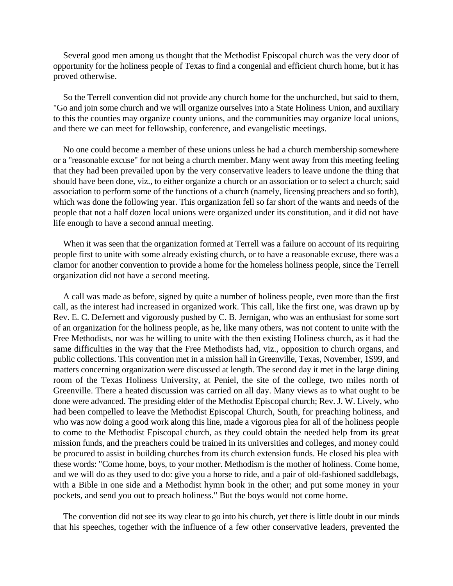Several good men among us thought that the Methodist Episcopal church was the very door of opportunity for the holiness people of Texas to find a congenial and efficient church home, but it has proved otherwise.

So the Terrell convention did not provide any church home for the unchurched, but said to them, "Go and join some church and we will organize ourselves into a State Holiness Union, and auxiliary to this the counties may organize county unions, and the communities may organize local unions, and there we can meet for fellowship, conference, and evangelistic meetings.

No one could become a member of these unions unless he had a church membership somewhere or a "reasonable excuse" for not being a church member. Many went away from this meeting feeling that they had been prevailed upon by the very conservative leaders to leave undone the thing that should have been done, viz., to either organize a church or an association or to select a church; said association to perform some of the functions of a church (namely, licensing preachers and so forth), which was done the following year. This organization fell so far short of the wants and needs of the people that not a half dozen local unions were organized under its constitution, and it did not have life enough to have a second annual meeting.

When it was seen that the organization formed at Terrell was a failure on account of its requiring people first to unite with some already existing church, or to have a reasonable excuse, there was a clamor for another convention to provide a home for the homeless holiness people, since the Terrell organization did not have a second meeting.

A call was made as before, signed by quite a number of holiness people, even more than the first call, as the interest had increased in organized work. This call, like the first one, was drawn up by Rev. E. C. DeJernett and vigorously pushed by C. B. Jernigan, who was an enthusiast for some sort of an organization for the holiness people, as he, like many others, was not content to unite with the Free Methodists, nor was he willing to unite with the then existing Holiness church, as it had the same difficulties in the way that the Free Methodists had, viz., opposition to church organs, and public collections. This convention met in a mission hall in Greenville, Texas, November, 1S99, and matters concerning organization were discussed at length. The second day it met in the large dining room of the Texas Holiness University, at Peniel, the site of the college, two miles north of Greenville. There a heated discussion was carried on all day. Many views as to what ought to be done were advanced. The presiding elder of the Methodist Episcopal church; Rev. J. W. Lively, who had been compelled to leave the Methodist Episcopal Church, South, for preaching holiness, and who was now doing a good work along this line, made a vigorous plea for all of the holiness people to come to the Methodist Episcopal church, as they could obtain the needed help from its great mission funds, and the preachers could be trained in its universities and colleges, and money could be procured to assist in building churches from its church extension funds. He closed his plea with these words: "Come home, boys, to your mother. Methodism is the mother of holiness. Come home, and we will do as they used to do: give you a horse to ride, and a pair of old-fashioned saddlebags, with a Bible in one side and a Methodist hymn book in the other; and put some money in your pockets, and send you out to preach holiness." But the boys would not come home.

The convention did not see its way clear to go into his church, yet there is little doubt in our minds that his speeches, together with the influence of a few other conservative leaders, prevented the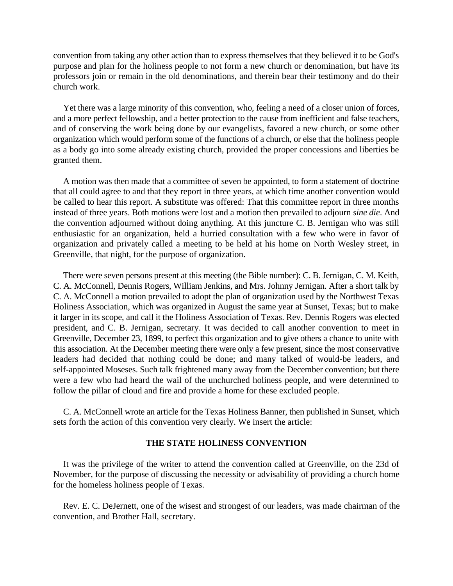convention from taking any other action than to express themselves that they believed it to be God's purpose and plan for the holiness people to not form a new church or denomination, but have its professors join or remain in the old denominations, and therein bear their testimony and do their church work.

Yet there was a large minority of this convention, who, feeling a need of a closer union of forces, and a more perfect fellowship, and a better protection to the cause from inefficient and false teachers, and of conserving the work being done by our evangelists, favored a new church, or some other organization which would perform some of the functions of a church, or else that the holiness people as a body go into some already existing church, provided the proper concessions and liberties be granted them.

A motion was then made that a committee of seven be appointed, to form a statement of doctrine that all could agree to and that they report in three years, at which time another convention would be called to hear this report. A substitute was offered: That this committee report in three months instead of three years. Both motions were lost and a motion then prevailed to adjourn *sine die*. And the convention adjourned without doing anything. At this juncture C. B. Jernigan who was still enthusiastic for an organization, held a hurried consultation with a few who were in favor of organization and privately called a meeting to be held at his home on North Wesley street, in Greenville, that night, for the purpose of organization.

There were seven persons present at this meeting (the Bible number): C. B. Jernigan, C. M. Keith, C. A. McConnell, Dennis Rogers, William Jenkins, and Mrs. Johnny Jernigan. After a short talk by C. A. McConnell a motion prevailed to adopt the plan of organization used by the Northwest Texas Holiness Association, which was organized in August the same year at Sunset, Texas; but to make it larger in its scope, and call it the Holiness Association of Texas. Rev. Dennis Rogers was elected president, and C. B. Jernigan, secretary. It was decided to call another convention to meet in Greenville, December 23, 1899, to perfect this organization and to give others a chance to unite with this association. At the December meeting there were only a few present, since the most conservative leaders had decided that nothing could be done; and many talked of would-be leaders, and self-appointed Moseses. Such talk frightened many away from the December convention; but there were a few who had heard the wail of the unchurched holiness people, and were determined to follow the pillar of cloud and fire and provide a home for these excluded people.

C. A. McConnell wrote an article for the Texas Holiness Banner, then published in Sunset, which sets forth the action of this convention very clearly. We insert the article:

### **THE STATE HOLINESS CONVENTION**

It was the privilege of the writer to attend the convention called at Greenville, on the 23d of November, for the purpose of discussing the necessity or advisability of providing a church home for the homeless holiness people of Texas.

Rev. E. C. DeJernett, one of the wisest and strongest of our leaders, was made chairman of the convention, and Brother Hall, secretary.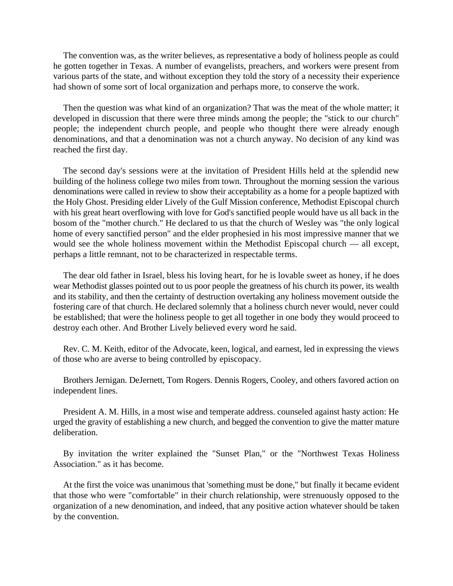The convention was, as the writer believes, as representative a body of holiness people as could he gotten together in Texas. A number of evangelists, preachers, and workers were present from various parts of the state, and without exception they told the story of a necessity their experience had shown of some sort of local organization and perhaps more, to conserve the work.

Then the question was what kind of an organization? That was the meat of the whole matter; it developed in discussion that there were three minds among the people; the "stick to our church" people; the independent church people, and people who thought there were already enough denominations, and that a denomination was not a church anyway. No decision of any kind was reached the first day.

The second day's sessions were at the invitation of President Hills held at the splendid new building of the holiness college two miles from town. Throughout the morning session the various denominations were called in review to show their acceptability as a home for a people baptized with the Holy Ghost. Presiding elder Lively of the Gulf Mission conference, Methodist Episcopal church with his great heart overflowing with love for God's sanctified people would have us all back in the bosom of the "mother church." He declared to us that the church of Wesley was "the only logical home of every sanctified person" and the elder prophesied in his most impressive manner that we would see the whole holiness movement within the Methodist Episcopal church — all except, perhaps a little remnant, not to be characterized in respectable terms.

The dear old father in Israel, bless his loving heart, for he is lovable sweet as honey, if he does wear Methodist glasses pointed out to us poor people the greatness of his church its power, its wealth and its stability, and then the certainty of destruction overtaking any holiness movement outside the fostering care of that church. He declared solemnly that a holiness church never would, never could be established; that were the holiness people to get all together in one body they would proceed to destroy each other. And Brother Lively believed every word he said.

Rev. C. M. Keith, editor of the Advocate, keen, logical, and earnest, led in expressing the views of those who are averse to being controlled by episcopacy.

Brothers Jernigan. DeJernett, Tom Rogers. Dennis Rogers, Cooley, and others favored action on independent lines.

President A. M. Hills, in a most wise and temperate address. counseled against hasty action: He urged the gravity of establishing a new church, and begged the convention to give the matter mature deliberation.

By invitation the writer explained the "Sunset Plan," or the "Northwest Texas Holiness Association." as it has become.

At the first the voice was unanimous that 'something must be done," but finally it became evident that those who were "comfortable" in their church relationship, were strenuously opposed to the organization of a new denomination, and indeed, that any positive action whatever should be taken by the convention.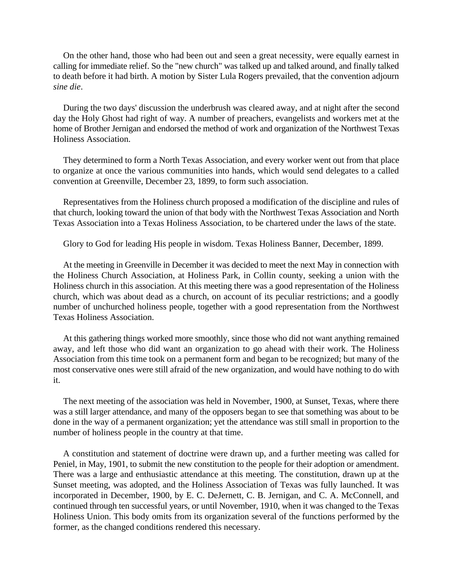On the other hand, those who had been out and seen a great necessity, were equally earnest in calling for immediate relief. So the "new church" was talked up and talked around, and finally talked to death before it had birth. A motion by Sister Lula Rogers prevailed, that the convention adjourn *sine die*.

During the two days' discussion the underbrush was cleared away, and at night after the second day the Holy Ghost had right of way. A number of preachers, evangelists and workers met at the home of Brother Jernigan and endorsed the method of work and organization of the Northwest Texas Holiness Association.

They determined to form a North Texas Association, and every worker went out from that place to organize at once the various communities into hands, which would send delegates to a called convention at Greenville, December 23, 1899, to form such association.

Representatives from the Holiness church proposed a modification of the discipline and rules of that church, looking toward the union of that body with the Northwest Texas Association and North Texas Association into a Texas Holiness Association, to be chartered under the laws of the state.

Glory to God for leading His people in wisdom. Texas Holiness Banner, December, 1899.

At the meeting in Greenville in December it was decided to meet the next May in connection with the Holiness Church Association, at Holiness Park, in Collin county, seeking a union with the Holiness church in this association. At this meeting there was a good representation of the Holiness church, which was about dead as a church, on account of its peculiar restrictions; and a goodly number of unchurched holiness people, together with a good representation from the Northwest Texas Holiness Association.

At this gathering things worked more smoothly, since those who did not want anything remained away, and left those who did want an organization to go ahead with their work. The Holiness Association from this time took on a permanent form and began to be recognized; but many of the most conservative ones were still afraid of the new organization, and would have nothing to do with it.

The next meeting of the association was held in November, 1900, at Sunset, Texas, where there was a still larger attendance, and many of the opposers began to see that something was about to be done in the way of a permanent organization; yet the attendance was still small in proportion to the number of holiness people in the country at that time.

A constitution and statement of doctrine were drawn up, and a further meeting was called for Peniel, in May, 1901, to submit the new constitution to the people for their adoption or amendment. There was a large and enthusiastic attendance at this meeting. The constitution, drawn up at the Sunset meeting, was adopted, and the Holiness Association of Texas was fully launched. It was incorporated in December, 1900, by E. C. DeJernett, C. B. Jernigan, and C. A. McConnell, and continued through ten successful years, or until November, 1910, when it was changed to the Texas Holiness Union. This body omits from its organization several of the functions performed by the former, as the changed conditions rendered this necessary.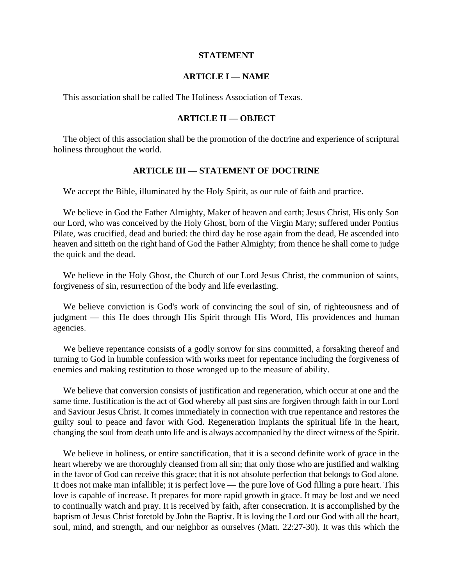### **STATEMENT**

## **ARTICLE I — NAME**

This association shall be called The Holiness Association of Texas.

## **ARTICLE II — OBJECT**

The object of this association shall be the promotion of the doctrine and experience of scriptural holiness throughout the world.

## **ARTICLE III — STATEMENT OF DOCTRINE**

We accept the Bible, illuminated by the Holy Spirit, as our rule of faith and practice.

We believe in God the Father Almighty, Maker of heaven and earth; Jesus Christ, His only Son our Lord, who was conceived by the Holy Ghost, born of the Virgin Mary; suffered under Pontius Pilate, was crucified, dead and buried: the third day he rose again from the dead, He ascended into heaven and sitteth on the right hand of God the Father Almighty; from thence he shall come to judge the quick and the dead.

We believe in the Holy Ghost, the Church of our Lord Jesus Christ, the communion of saints, forgiveness of sin, resurrection of the body and life everlasting.

We believe conviction is God's work of convincing the soul of sin, of righteousness and of judgment — this He does through His Spirit through His Word, His providences and human agencies.

We believe repentance consists of a godly sorrow for sins committed, a forsaking thereof and turning to God in humble confession with works meet for repentance including the forgiveness of enemies and making restitution to those wronged up to the measure of ability.

We believe that conversion consists of justification and regeneration, which occur at one and the same time. Justification is the act of God whereby all past sins are forgiven through faith in our Lord and Saviour Jesus Christ. It comes immediately in connection with true repentance and restores the guilty soul to peace and favor with God. Regeneration implants the spiritual life in the heart, changing the soul from death unto life and is always accompanied by the direct witness of the Spirit.

We believe in holiness, or entire sanctification, that it is a second definite work of grace in the heart whereby we are thoroughly cleansed from all sin; that only those who are justified and walking in the favor of God can receive this grace; that it is not absolute perfection that belongs to God alone. It does not make man infallible; it is perfect love — the pure love of God filling a pure heart. This love is capable of increase. It prepares for more rapid growth in grace. It may be lost and we need to continually watch and pray. It is received by faith, after consecration. It is accomplished by the baptism of Jesus Christ foretold by John the Baptist. It is loving the Lord our God with all the heart, soul, mind, and strength, and our neighbor as ourselves (Matt. 22:27-30). It was this which the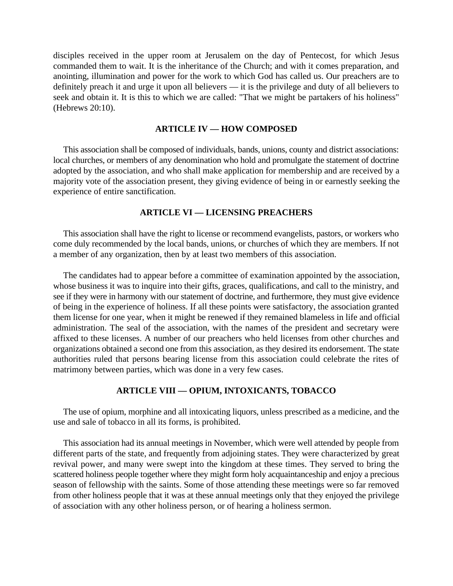disciples received in the upper room at Jerusalem on the day of Pentecost, for which Jesus commanded them to wait. It is the inheritance of the Church; and with it comes preparation, and anointing, illumination and power for the work to which God has called us. Our preachers are to definitely preach it and urge it upon all believers — it is the privilege and duty of all believers to seek and obtain it. It is this to which we are called: "That we might be partakers of his holiness" (Hebrews 20:10).

#### **ARTICLE IV — HOW COMPOSED**

This association shall be composed of individuals, bands, unions, county and district associations: local churches, or members of any denomination who hold and promulgate the statement of doctrine adopted by the association, and who shall make application for membership and are received by a majority vote of the association present, they giving evidence of being in or earnestly seeking the experience of entire sanctification.

### **ARTICLE VI — LICENSING PREACHERS**

This association shall have the right to license or recommend evangelists, pastors, or workers who come duly recommended by the local bands, unions, or churches of which they are members. If not a member of any organization, then by at least two members of this association.

The candidates had to appear before a committee of examination appointed by the association, whose business it was to inquire into their gifts, graces, qualifications, and call to the ministry, and see if they were in harmony with our statement of doctrine, and furthermore, they must give evidence of being in the experience of holiness. If all these points were satisfactory, the association granted them license for one year, when it might be renewed if they remained blameless in life and official administration. The seal of the association, with the names of the president and secretary were affixed to these licenses. A number of our preachers who held licenses from other churches and organizations obtained a second one from this association, as they desired its endorsement. The state authorities ruled that persons bearing license from this association could celebrate the rites of matrimony between parties, which was done in a very few cases.

## **ARTICLE VIII — OPIUM, INTOXICANTS, TOBACCO**

The use of opium, morphine and all intoxicating liquors, unless prescribed as a medicine, and the use and sale of tobacco in all its forms, is prohibited.

This association had its annual meetings in November, which were well attended by people from different parts of the state, and frequently from adjoining states. They were characterized by great revival power, and many were swept into the kingdom at these times. They served to bring the scattered holiness people together where they might form holy acquaintanceship and enjoy a precious season of fellowship with the saints. Some of those attending these meetings were so far removed from other holiness people that it was at these annual meetings only that they enjoyed the privilege of association with any other holiness person, or of hearing a holiness sermon.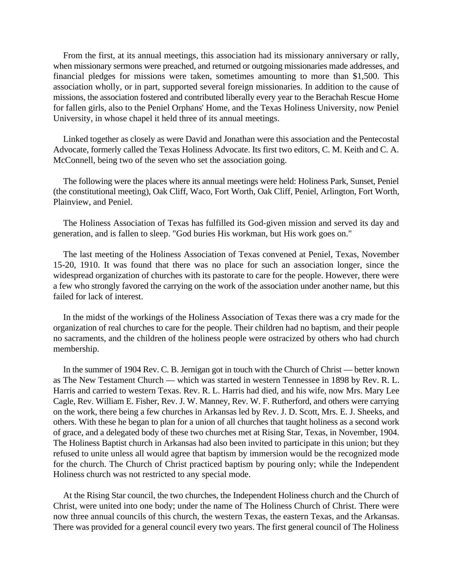From the first, at its annual meetings, this association had its missionary anniversary or rally, when missionary sermons were preached, and returned or outgoing missionaries made addresses, and financial pledges for missions were taken, sometimes amounting to more than \$1,500. This association wholly, or in part, supported several foreign missionaries. In addition to the cause of missions, the association fostered and contributed liberally every year to the Berachah Rescue Home for fallen girls, also to the Peniel Orphans' Home, and the Texas Holiness University, now Peniel University, in whose chapel it held three of its annual meetings.

Linked together as closely as were David and Jonathan were this association and the Pentecostal Advocate, formerly called the Texas Holiness Advocate. Its first two editors, C. M. Keith and C. A. McConnell, being two of the seven who set the association going.

The following were the places where its annual meetings were held: Holiness Park, Sunset, Peniel (the constitutional meeting), Oak Cliff, Waco, Fort Worth, Oak Cliff, Peniel, Arlington, Fort Worth, Plainview, and Peniel.

The Holiness Association of Texas has fulfilled its God-given mission and served its day and generation, and is fallen to sleep. "God buries His workman, but His work goes on."

The last meeting of the Holiness Association of Texas convened at Peniel, Texas, November 15-20, 1910. It was found that there was no place for such an association longer, since the widespread organization of churches with its pastorate to care for the people. However, there were a few who strongly favored the carrying on the work of the association under another name, but this failed for lack of interest.

In the midst of the workings of the Holiness Association of Texas there was a cry made for the organization of real churches to care for the people. Their children had no baptism, and their people no sacraments, and the children of the holiness people were ostracized by others who had church membership.

In the summer of 1904 Rev. C. B. Jernigan got in touch with the Church of Christ — better known as The New Testament Church — which was started in western Tennessee in 1898 by Rev. R. L. Harris and carried to western Texas. Rev. R. L. Harris had died, and his wife, now Mrs. Mary Lee Cagle, Rev. William E. Fisher, Rev. J. W. Manney, Rev. W. F. Rutherford, and others were carrying on the work, there being a few churches in Arkansas led by Rev. J. D. Scott, Mrs. E. J. Sheeks, and others. With these he began to plan for a union of all churches that taught holiness as a second work of grace, and a delegated body of these two churches met at Rising Star, Texas, in November, 1904. The Holiness Baptist church in Arkansas had also been invited to participate in this union; but they refused to unite unless all would agree that baptism by immersion would be the recognized mode for the church. The Church of Christ practiced baptism by pouring only; while the Independent Holiness church was not restricted to any special mode.

At the Rising Star council, the two churches, the Independent Holiness church and the Church of Christ, were united into one body; under the name of The Holiness Church of Christ. There were now three annual councils of this church, the western Texas, the eastern Texas, and the Arkansas. There was provided for a general council every two years. The first general council of The Holiness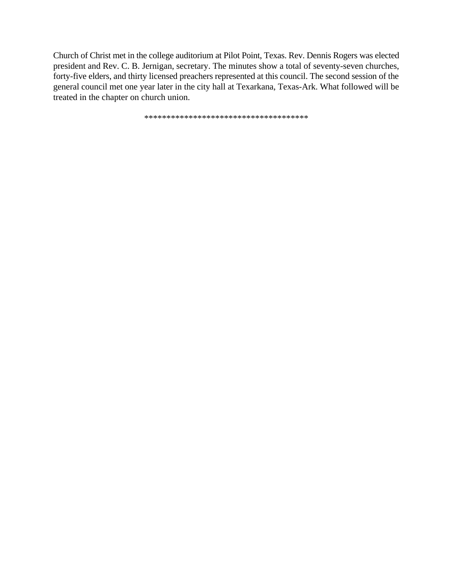Church of Christ met in the college auditorium at Pilot Point, Texas. Rev. Dennis Rogers was elected president and Rev. C. B. Jernigan, secretary. The minutes show a total of seventy-seven churches, forty-five elders, and thirty licensed preachers represented at this council. The second session of the general council met one year later in the city hall at Texarkana, Texas-Ark. What followed will be treated in the chapter on church union.

\*\*\*\*\*\*\*\*\*\*\*\*\*\*\*\*\*\*\*\*\*\*\*\*\*\*\*\*\*\*\*\*\*\*\*\*\*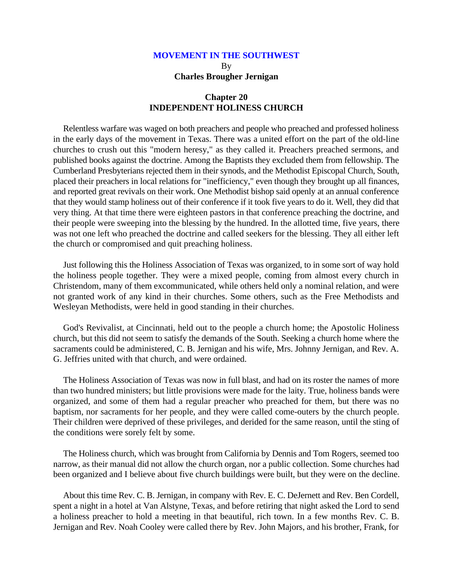# **MOVEMENT IN THE SOUTHWEST** By **Charles Brougher Jernigan**

## **Chapter 20 INDEPENDENT HOLINESS CHURCH**

Relentless warfare was waged on both preachers and people who preached and professed holiness in the early days of the movement in Texas. There was a united effort on the part of the old-line churches to crush out this "modern heresy," as they called it. Preachers preached sermons, and published books against the doctrine. Among the Baptists they excluded them from fellowship. The Cumberland Presbyterians rejected them in their synods, and the Methodist Episcopal Church, South, placed their preachers in local relations for "inefficiency," even though they brought up all finances, and reported great revivals on their work. One Methodist bishop said openly at an annual conference that they would stamp holiness out of their conference if it took five years to do it. Well, they did that very thing. At that time there were eighteen pastors in that conference preaching the doctrine, and their people were sweeping into the blessing by the hundred. In the allotted time, five years, there was not one left who preached the doctrine and called seekers for the blessing. They all either left the church or compromised and quit preaching holiness.

Just following this the Holiness Association of Texas was organized, to in some sort of way hold the holiness people together. They were a mixed people, coming from almost every church in Christendom, many of them excommunicated, while others held only a nominal relation, and were not granted work of any kind in their churches. Some others, such as the Free Methodists and Wesleyan Methodists, were held in good standing in their churches.

God's Revivalist, at Cincinnati, held out to the people a church home; the Apostolic Holiness church, but this did not seem to satisfy the demands of the South. Seeking a church home where the sacraments could be administered, C. B. Jernigan and his wife, Mrs. Johnny Jernigan, and Rev. A. G. Jeffries united with that church, and were ordained.

The Holiness Association of Texas was now in full blast, and had on its roster the names of more than two hundred ministers; but little provisions were made for the laity. True, holiness bands were organized, and some of them had a regular preacher who preached for them, but there was no baptism, nor sacraments for her people, and they were called come-outers by the church people. Their children were deprived of these privileges, and derided for the same reason, until the sting of the conditions were sorely felt by some.

The Holiness church, which was brought from California by Dennis and Tom Rogers, seemed too narrow, as their manual did not allow the church organ, nor a public collection. Some churches had been organized and I believe about five church buildings were built, but they were on the decline.

About this time Rev. C. B. Jernigan, in company with Rev. E. C. DeJernett and Rev. Ben Cordell, spent a night in a hotel at Van Alstyne, Texas, and before retiring that night asked the Lord to send a holiness preacher to hold a meeting in that beautiful, rich town. In a few months Rev. C. B. Jernigan and Rev. Noah Cooley were called there by Rev. John Majors, and his brother, Frank, for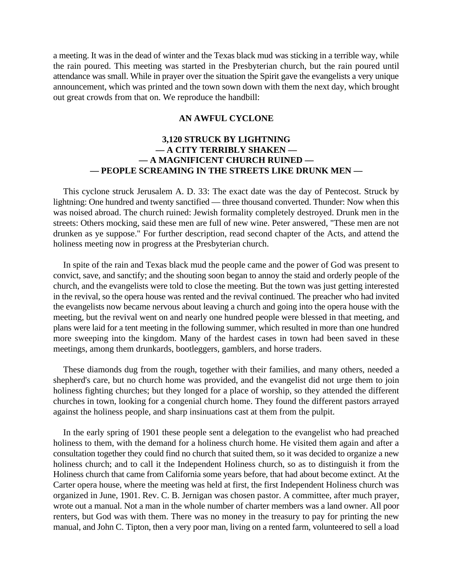a meeting. It was in the dead of winter and the Texas black mud was sticking in a terrible way, while the rain poured. This meeting was started in the Presbyterian church, but the rain poured until attendance was small. While in prayer over the situation the Spirit gave the evangelists a very unique announcement, which was printed and the town sown down with them the next day, which brought out great crowds from that on. We reproduce the handbill:

### **AN AWFUL CYCLONE**

## **3,120 STRUCK BY LIGHTNING — A CITY TERRIBLY SHAKEN — — A MAGNIFICENT CHURCH RUINED — — PEOPLE SCREAMING IN THE STREETS LIKE DRUNK MEN —**

This cyclone struck Jerusalem A. D. 33: The exact date was the day of Pentecost. Struck by lightning: One hundred and twenty sanctified — three thousand converted. Thunder: Now when this was noised abroad. The church ruined: Jewish formality completely destroyed. Drunk men in the streets: Others mocking, said these men are full of new wine. Peter answered, "These men are not drunken as ye suppose." For further description, read second chapter of the Acts, and attend the holiness meeting now in progress at the Presbyterian church.

In spite of the rain and Texas black mud the people came and the power of God was present to convict, save, and sanctify; and the shouting soon began to annoy the staid and orderly people of the church, and the evangelists were told to close the meeting. But the town was just getting interested in the revival, so the opera house was rented and the revival continued. The preacher who had invited the evangelists now became nervous about leaving a church and going into the opera house with the meeting, but the revival went on and nearly one hundred people were blessed in that meeting, and plans were laid for a tent meeting in the following summer, which resulted in more than one hundred more sweeping into the kingdom. Many of the hardest cases in town had been saved in these meetings, among them drunkards, bootleggers, gamblers, and horse traders.

These diamonds dug from the rough, together with their families, and many others, needed a shepherd's care, but no church home was provided, and the evangelist did not urge them to join holiness fighting churches; but they longed for a place of worship, so they attended the different churches in town, looking for a congenial church home. They found the different pastors arrayed against the holiness people, and sharp insinuations cast at them from the pulpit.

In the early spring of 1901 these people sent a delegation to the evangelist who had preached holiness to them, with the demand for a holiness church home. He visited them again and after a consultation together they could find no church that suited them, so it was decided to organize a new holiness church; and to call it the Independent Holiness church, so as to distinguish it from the Holiness church that came from California some years before, that had about become extinct. At the Carter opera house, where the meeting was held at first, the first Independent Holiness church was organized in June, 1901. Rev. C. B. Jernigan was chosen pastor. A committee, after much prayer, wrote out a manual. Not a man in the whole number of charter members was a land owner. All poor renters, but God was with them. There was no money in the treasury to pay for printing the new manual, and John C. Tipton, then a very poor man, living on a rented farm, volunteered to sell a load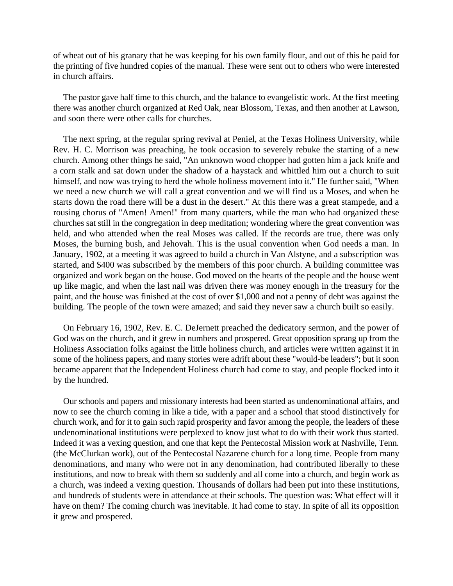of wheat out of his granary that he was keeping for his own family flour, and out of this he paid for the printing of five hundred copies of the manual. These were sent out to others who were interested in church affairs.

The pastor gave half time to this church, and the balance to evangelistic work. At the first meeting there was another church organized at Red Oak, near Blossom, Texas, and then another at Lawson, and soon there were other calls for churches.

The next spring, at the regular spring revival at Peniel, at the Texas Holiness University, while Rev. H. C. Morrison was preaching, he took occasion to severely rebuke the starting of a new church. Among other things he said, "An unknown wood chopper had gotten him a jack knife and a corn stalk and sat down under the shadow of a haystack and whittled him out a church to suit himself, and now was trying to herd the whole holiness movement into it." He further said, "When we need a new church we will call a great convention and we will find us a Moses, and when he starts down the road there will be a dust in the desert." At this there was a great stampede, and a rousing chorus of "Amen! Amen!" from many quarters, while the man who had organized these churches sat still in the congregation in deep meditation; wondering where the great convention was held, and who attended when the real Moses was called. If the records are true, there was only Moses, the burning bush, and Jehovah. This is the usual convention when God needs a man. In January, 1902, at a meeting it was agreed to build a church in Van Alstyne, and a subscription was started, and \$400 was subscribed by the members of this poor church. A building committee was organized and work began on the house. God moved on the hearts of the people and the house went up like magic, and when the last nail was driven there was money enough in the treasury for the paint, and the house was finished at the cost of over \$1,000 and not a penny of debt was against the building. The people of the town were amazed; and said they never saw a church built so easily.

On February 16, 1902, Rev. E. C. DeJernett preached the dedicatory sermon, and the power of God was on the church, and it grew in numbers and prospered. Great opposition sprang up from the Holiness Association folks against the little holiness church, and articles were written against it in some of the holiness papers, and many stories were adrift about these "would-be leaders"; but it soon became apparent that the Independent Holiness church had come to stay, and people flocked into it by the hundred.

Our schools and papers and missionary interests had been started as undenominational affairs, and now to see the church coming in like a tide, with a paper and a school that stood distinctively for church work, and for it to gain such rapid prosperity and favor among the people, the leaders of these undenominational institutions were perplexed to know just what to do with their work thus started. Indeed it was a vexing question, and one that kept the Pentecostal Mission work at Nashville, Tenn. (the McClurkan work), out of the Pentecostal Nazarene church for a long time. People from many denominations, and many who were not in any denomination, had contributed liberally to these institutions, and now to break with them so suddenly and all come into a church, and begin work as a church, was indeed a vexing question. Thousands of dollars had been put into these institutions, and hundreds of students were in attendance at their schools. The question was: What effect will it have on them? The coming church was inevitable. It had come to stay. In spite of all its opposition it grew and prospered.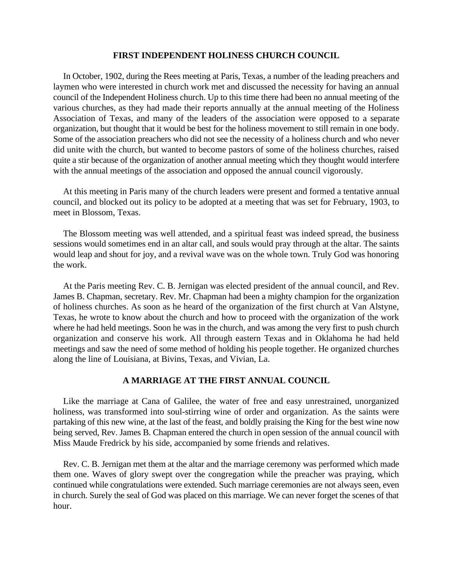#### **FIRST INDEPENDENT HOLINESS CHURCH COUNCIL**

In October, 1902, during the Rees meeting at Paris, Texas, a number of the leading preachers and laymen who were interested in church work met and discussed the necessity for having an annual council of the Independent Holiness church. Up to this time there had been no annual meeting of the various churches, as they had made their reports annually at the annual meeting of the Holiness Association of Texas, and many of the leaders of the association were opposed to a separate organization, but thought that it would be best for the holiness movement to still remain in one body. Some of the association preachers who did not see the necessity of a holiness church and who never did unite with the church, but wanted to become pastors of some of the holiness churches, raised quite a stir because of the organization of another annual meeting which they thought would interfere with the annual meetings of the association and opposed the annual council vigorously.

At this meeting in Paris many of the church leaders were present and formed a tentative annual council, and blocked out its policy to be adopted at a meeting that was set for February, 1903, to meet in Blossom, Texas.

The Blossom meeting was well attended, and a spiritual feast was indeed spread, the business sessions would sometimes end in an altar call, and souls would pray through at the altar. The saints would leap and shout for joy, and a revival wave was on the whole town. Truly God was honoring the work.

At the Paris meeting Rev. C. B. Jernigan was elected president of the annual council, and Rev. James B. Chapman, secretary. Rev. Mr. Chapman had been a mighty champion for the organization of holiness churches. As soon as he heard of the organization of the first church at Van Alstyne, Texas, he wrote to know about the church and how to proceed with the organization of the work where he had held meetings. Soon he was in the church, and was among the very first to push church organization and conserve his work. All through eastern Texas and in Oklahoma he had held meetings and saw the need of some method of holding his people together. He organized churches along the line of Louisiana, at Bivins, Texas, and Vivian, La.

### **A MARRIAGE AT THE FIRST ANNUAL COUNCIL**

Like the marriage at Cana of Galilee, the water of free and easy unrestrained, unorganized holiness, was transformed into soul-stirring wine of order and organization. As the saints were partaking of this new wine, at the last of the feast, and boldly praising the King for the best wine now being served, Rev. James B. Chapman entered the church in open session of the annual council with Miss Maude Fredrick by his side, accompanied by some friends and relatives.

Rev. C. B. Jernigan met them at the altar and the marriage ceremony was performed which made them one. Waves of glory swept over the congregation while the preacher was praying, which continued while congratulations were extended. Such marriage ceremonies are not always seen, even in church. Surely the seal of God was placed on this marriage. We can never forget the scenes of that hour.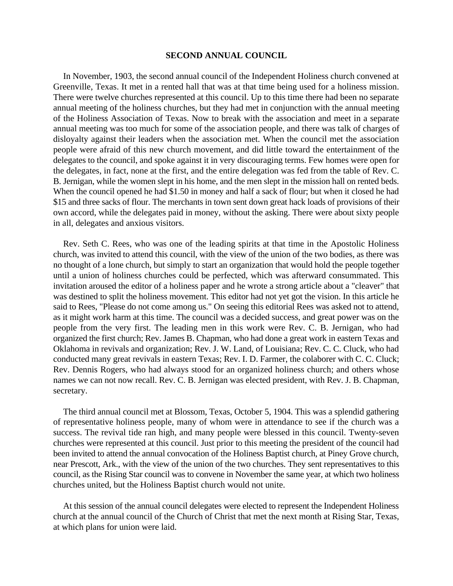#### **SECOND ANNUAL COUNCIL**

In November, 1903, the second annual council of the Independent Holiness church convened at Greenville, Texas. It met in a rented hall that was at that time being used for a holiness mission. There were twelve churches represented at this council. Up to this time there had been no separate annual meeting of the holiness churches, but they had met in conjunction with the annual meeting of the Holiness Association of Texas. Now to break with the association and meet in a separate annual meeting was too much for some of the association people, and there was talk of charges of disloyalty against their leaders when the association met. When the council met the association people were afraid of this new church movement, and did little toward the entertainment of the delegates to the council, and spoke against it in very discouraging terms. Few homes were open for the delegates, in fact, none at the first, and the entire delegation was fed from the table of Rev. C. B. Jernigan, while the women slept in his home, and the men slept in the mission hall on rented beds. When the council opened he had \$1.50 in money and half a sack of flour; but when it closed he had \$15 and three sacks of flour. The merchants in town sent down great hack loads of provisions of their own accord, while the delegates paid in money, without the asking. There were about sixty people in all, delegates and anxious visitors.

Rev. Seth C. Rees, who was one of the leading spirits at that time in the Apostolic Holiness church, was invited to attend this council, with the view of the union of the two bodies, as there was no thought of a lone church, but simply to start an organization that would hold the people together until a union of holiness churches could be perfected, which was afterward consummated. This invitation aroused the editor of a holiness paper and he wrote a strong article about a "cleaver" that was destined to split the holiness movement. This editor had not yet got the vision. In this article he said to Rees, "Please do not come among us." On seeing this editorial Rees was asked not to attend, as it might work harm at this time. The council was a decided success, and great power was on the people from the very first. The leading men in this work were Rev. C. B. Jernigan, who had organized the first church; Rev. James B. Chapman, who had done a great work in eastern Texas and Oklahoma in revivals and organization; Rev. J. W. Land, of Louisiana; Rev. C. C. Cluck, who had conducted many great revivals in eastern Texas; Rev. I. D. Farmer, the colaborer with C. C. Cluck; Rev. Dennis Rogers, who had always stood for an organized holiness church; and others whose names we can not now recall. Rev. C. B. Jernigan was elected president, with Rev. J. B. Chapman, secretary.

The third annual council met at Blossom, Texas, October 5, 1904. This was a splendid gathering of representative holiness people, many of whom were in attendance to see if the church was a success. The revival tide ran high, and many people were blessed in this council. Twenty-seven churches were represented at this council. Just prior to this meeting the president of the council had been invited to attend the annual convocation of the Holiness Baptist church, at Piney Grove church, near Prescott, Ark., with the view of the union of the two churches. They sent representatives to this council, as the Rising Star council was to convene in November the same year, at which two holiness churches united, but the Holiness Baptist church would not unite.

At this session of the annual council delegates were elected to represent the Independent Holiness church at the annual council of the Church of Christ that met the next month at Rising Star, Texas, at which plans for union were laid.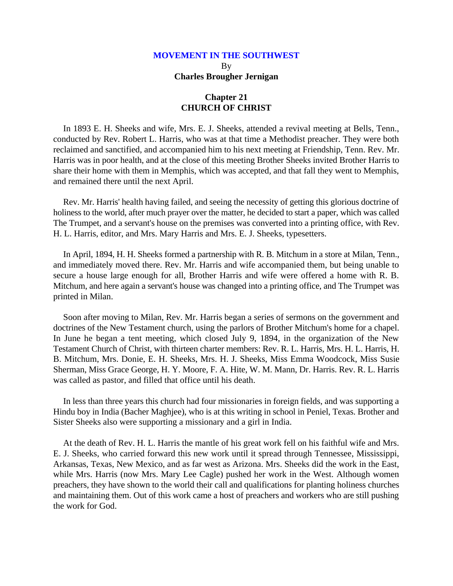## **MOVEMENT IN THE SOUTHWEST** By **Charles Brougher Jernigan**

## **Chapter 21 CHURCH OF CHRIST**

In 1893 E. H. Sheeks and wife, Mrs. E. J. Sheeks, attended a revival meeting at Bells, Tenn., conducted by Rev. Robert L. Harris, who was at that time a Methodist preacher. They were both reclaimed and sanctified, and accompanied him to his next meeting at Friendship, Tenn. Rev. Mr. Harris was in poor health, and at the close of this meeting Brother Sheeks invited Brother Harris to share their home with them in Memphis, which was accepted, and that fall they went to Memphis, and remained there until the next April.

Rev. Mr. Harris' health having failed, and seeing the necessity of getting this glorious doctrine of holiness to the world, after much prayer over the matter, he decided to start a paper, which was called The Trumpet, and a servant's house on the premises was converted into a printing office, with Rev. H. L. Harris, editor, and Mrs. Mary Harris and Mrs. E. J. Sheeks, typesetters.

In April, 1894, H. H. Sheeks formed a partnership with R. B. Mitchum in a store at Milan, Tenn., and immediately moved there. Rev. Mr. Harris and wife accompanied them, but being unable to secure a house large enough for all, Brother Harris and wife were offered a home with R. B. Mitchum, and here again a servant's house was changed into a printing office, and The Trumpet was printed in Milan.

Soon after moving to Milan, Rev. Mr. Harris began a series of sermons on the government and doctrines of the New Testament church, using the parlors of Brother Mitchum's home for a chapel. In June he began a tent meeting, which closed July 9, 1894, in the organization of the New Testament Church of Christ, with thirteen charter members: Rev. R. L. Harris, Mrs. H. L. Harris, H. B. Mitchum, Mrs. Donie, E. H. Sheeks, Mrs. H. J. Sheeks, Miss Emma Woodcock, Miss Susie Sherman, Miss Grace George, H. Y. Moore, F. A. Hite, W. M. Mann, Dr. Harris. Rev. R. L. Harris was called as pastor, and filled that office until his death.

In less than three years this church had four missionaries in foreign fields, and was supporting a Hindu boy in India (Bacher Maghjee), who is at this writing in school in Peniel, Texas. Brother and Sister Sheeks also were supporting a missionary and a girl in India.

At the death of Rev. H. L. Harris the mantle of his great work fell on his faithful wife and Mrs. E. J. Sheeks, who carried forward this new work until it spread through Tennessee, Mississippi, Arkansas, Texas, New Mexico, and as far west as Arizona. Mrs. Sheeks did the work in the East, while Mrs. Harris (now Mrs. Mary Lee Cagle) pushed her work in the West. Although women preachers, they have shown to the world their call and qualifications for planting holiness churches and maintaining them. Out of this work came a host of preachers and workers who are still pushing the work for God.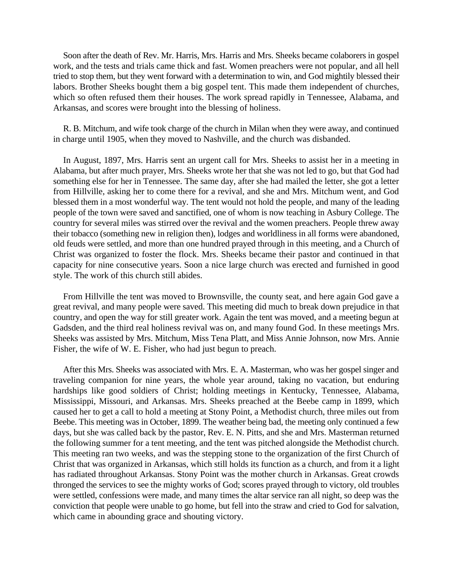Soon after the death of Rev. Mr. Harris, Mrs. Harris and Mrs. Sheeks became colaborers in gospel work, and the tests and trials came thick and fast. Women preachers were not popular, and all hell tried to stop them, but they went forward with a determination to win, and God mightily blessed their labors. Brother Sheeks bought them a big gospel tent. This made them independent of churches, which so often refused them their houses. The work spread rapidly in Tennessee, Alabama, and Arkansas, and scores were brought into the blessing of holiness.

R. B. Mitchum, and wife took charge of the church in Milan when they were away, and continued in charge until 1905, when they moved to Nashville, and the church was disbanded.

In August, 1897, Mrs. Harris sent an urgent call for Mrs. Sheeks to assist her in a meeting in Alabama, but after much prayer, Mrs. Sheeks wrote her that she was not led to go, but that God had something else for her in Tennessee. The same day, after she had mailed the letter, she got a letter from Hillville, asking her to come there for a revival, and she and Mrs. Mitchum went, and God blessed them in a most wonderful way. The tent would not hold the people, and many of the leading people of the town were saved and sanctified, one of whom is now teaching in Asbury College. The country for several miles was stirred over the revival and the women preachers. People threw away their tobacco (something new in religion then), lodges and worldliness in all forms were abandoned, old feuds were settled, and more than one hundred prayed through in this meeting, and a Church of Christ was organized to foster the flock. Mrs. Sheeks became their pastor and continued in that capacity for nine consecutive years. Soon a nice large church was erected and furnished in good style. The work of this church still abides.

From Hillville the tent was moved to Brownsville, the county seat, and here again God gave a great revival, and many people were saved. This meeting did much to break down prejudice in that country, and open the way for still greater work. Again the tent was moved, and a meeting begun at Gadsden, and the third real holiness revival was on, and many found God. In these meetings Mrs. Sheeks was assisted by Mrs. Mitchum, Miss Tena Platt, and Miss Annie Johnson, now Mrs. Annie Fisher, the wife of W. E. Fisher, who had just begun to preach.

After this Mrs. Sheeks was associated with Mrs. E. A. Masterman, who was her gospel singer and traveling companion for nine years, the whole year around, taking no vacation, but enduring hardships like good soldiers of Christ; holding meetings in Kentucky, Tennessee, Alabama, Mississippi, Missouri, and Arkansas. Mrs. Sheeks preached at the Beebe camp in 1899, which caused her to get a call to hold a meeting at Stony Point, a Methodist church, three miles out from Beebe. This meeting was in October, 1899. The weather being bad, the meeting only continued a few days, but she was called back by the pastor, Rev. E. N. Pitts, and she and Mrs. Masterman returned the following summer for a tent meeting, and the tent was pitched alongside the Methodist church. This meeting ran two weeks, and was the stepping stone to the organization of the first Church of Christ that was organized in Arkansas, which still holds its function as a church, and from it a light has radiated throughout Arkansas. Stony Point was the mother church in Arkansas. Great crowds thronged the services to see the mighty works of God; scores prayed through to victory, old troubles were settled, confessions were made, and many times the altar service ran all night, so deep was the conviction that people were unable to go home, but fell into the straw and cried to God for salvation, which came in abounding grace and shouting victory.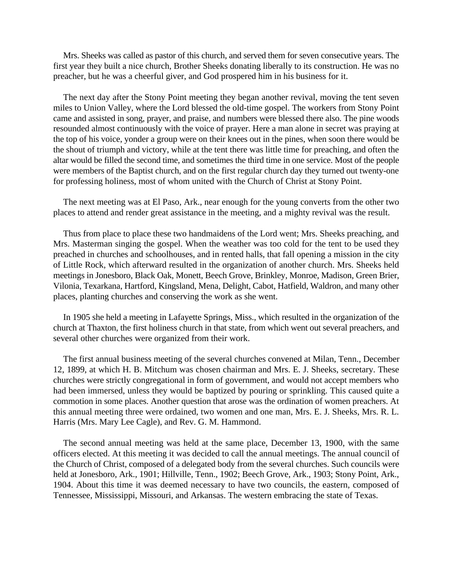Mrs. Sheeks was called as pastor of this church, and served them for seven consecutive years. The first year they built a nice church, Brother Sheeks donating liberally to its construction. He was no preacher, but he was a cheerful giver, and God prospered him in his business for it.

The next day after the Stony Point meeting they began another revival, moving the tent seven miles to Union Valley, where the Lord blessed the old-time gospel. The workers from Stony Point came and assisted in song, prayer, and praise, and numbers were blessed there also. The pine woods resounded almost continuously with the voice of prayer. Here a man alone in secret was praying at the top of his voice, yonder a group were on their knees out in the pines, when soon there would be the shout of triumph and victory, while at the tent there was little time for preaching, and often the altar would be filled the second time, and sometimes the third time in one service. Most of the people were members of the Baptist church, and on the first regular church day they turned out twenty-one for professing holiness, most of whom united with the Church of Christ at Stony Point.

The next meeting was at El Paso, Ark., near enough for the young converts from the other two places to attend and render great assistance in the meeting, and a mighty revival was the result.

Thus from place to place these two handmaidens of the Lord went; Mrs. Sheeks preaching, and Mrs. Masterman singing the gospel. When the weather was too cold for the tent to be used they preached in churches and schoolhouses, and in rented halls, that fall opening a mission in the city of Little Rock, which afterward resulted in the organization of another church. Mrs. Sheeks held meetings in Jonesboro, Black Oak, Monett, Beech Grove, Brinkley, Monroe, Madison, Green Brier, Vilonia, Texarkana, Hartford, Kingsland, Mena, Delight, Cabot, Hatfield, Waldron, and many other places, planting churches and conserving the work as she went.

In 1905 she held a meeting in Lafayette Springs, Miss., which resulted in the organization of the church at Thaxton, the first holiness church in that state, from which went out several preachers, and several other churches were organized from their work.

The first annual business meeting of the several churches convened at Milan, Tenn., December 12, 1899, at which H. B. Mitchum was chosen chairman and Mrs. E. J. Sheeks, secretary. These churches were strictly congregational in form of government, and would not accept members who had been immersed, unless they would be baptized by pouring or sprinkling. This caused quite a commotion in some places. Another question that arose was the ordination of women preachers. At this annual meeting three were ordained, two women and one man, Mrs. E. J. Sheeks, Mrs. R. L. Harris (Mrs. Mary Lee Cagle), and Rev. G. M. Hammond.

The second annual meeting was held at the same place, December 13, 1900, with the same officers elected. At this meeting it was decided to call the annual meetings. The annual council of the Church of Christ, composed of a delegated body from the several churches. Such councils were held at Jonesboro, Ark., 1901; Hillville, Tenn., 1902; Beech Grove, Ark., 1903; Stony Point, Ark., 1904. About this time it was deemed necessary to have two councils, the eastern, composed of Tennessee, Mississippi, Missouri, and Arkansas. The western embracing the state of Texas.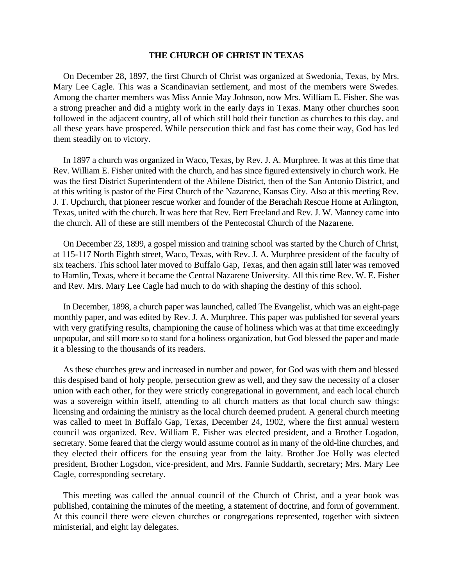#### **THE CHURCH OF CHRIST IN TEXAS**

On December 28, 1897, the first Church of Christ was organized at Swedonia, Texas, by Mrs. Mary Lee Cagle. This was a Scandinavian settlement, and most of the members were Swedes. Among the charter members was Miss Annie May Johnson, now Mrs. William E. Fisher. She was a strong preacher and did a mighty work in the early days in Texas. Many other churches soon followed in the adjacent country, all of which still hold their function as churches to this day, and all these years have prospered. While persecution thick and fast has come their way, God has led them steadily on to victory.

In 1897 a church was organized in Waco, Texas, by Rev. J. A. Murphree. It was at this time that Rev. William E. Fisher united with the church, and has since figured extensively in church work. He was the first District Superintendent of the Abilene District, then of the San Antonio District, and at this writing is pastor of the First Church of the Nazarene, Kansas City. Also at this meeting Rev. J. T. Upchurch, that pioneer rescue worker and founder of the Berachah Rescue Home at Arlington, Texas, united with the church. It was here that Rev. Bert Freeland and Rev. J. W. Manney came into the church. All of these are still members of the Pentecostal Church of the Nazarene.

On December 23, 1899, a gospel mission and training school was started by the Church of Christ, at 115-117 North Eighth street, Waco, Texas, with Rev. J. A. Murphree president of the faculty of six teachers. This school later moved to Buffalo Gap, Texas, and then again still later was removed to Hamlin, Texas, where it became the Central Nazarene University. All this time Rev. W. E. Fisher and Rev. Mrs. Mary Lee Cagle had much to do with shaping the destiny of this school.

In December, 1898, a church paper was launched, called The Evangelist, which was an eight-page monthly paper, and was edited by Rev. J. A. Murphree. This paper was published for several years with very gratifying results, championing the cause of holiness which was at that time exceedingly unpopular, and still more so to stand for a holiness organization, but God blessed the paper and made it a blessing to the thousands of its readers.

As these churches grew and increased in number and power, for God was with them and blessed this despised band of holy people, persecution grew as well, and they saw the necessity of a closer union with each other, for they were strictly congregational in government, and each local church was a sovereign within itself, attending to all church matters as that local church saw things: licensing and ordaining the ministry as the local church deemed prudent. A general church meeting was called to meet in Buffalo Gap, Texas, December 24, 1902, where the first annual western council was organized. Rev. William E. Fisher was elected president, and a Brother Logadon, secretary. Some feared that the clergy would assume control as in many of the old-line churches, and they elected their officers for the ensuing year from the laity. Brother Joe Holly was elected president, Brother Logsdon, vice-president, and Mrs. Fannie Suddarth, secretary; Mrs. Mary Lee Cagle, corresponding secretary.

This meeting was called the annual council of the Church of Christ, and a year book was published, containing the minutes of the meeting, a statement of doctrine, and form of government. At this council there were eleven churches or congregations represented, together with sixteen ministerial, and eight lay delegates.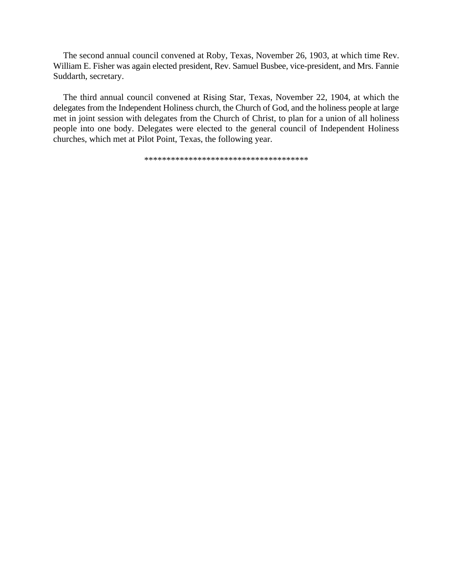The second annual council convened at Roby, Texas, November 26, 1903, at which time Rev. William E. Fisher was again elected president, Rev. Samuel Busbee, vice-president, and Mrs. Fannie Suddarth, secretary.

The third annual council convened at Rising Star, Texas, November 22, 1904, at which the delegates from the Independent Holiness church, the Church of God, and the holiness people at large met in joint session with delegates from the Church of Christ, to plan for a union of all holiness people into one body. Delegates were elected to the general council of Independent Holiness churches, which met at Pilot Point, Texas, the following year.

\*\*\*\*\*\*\*\*\*\*\*\*\*\*\*\*\*\*\*\*\*\*\*\*\*\*\*\*\*\*\*\*\*\*\*\*\*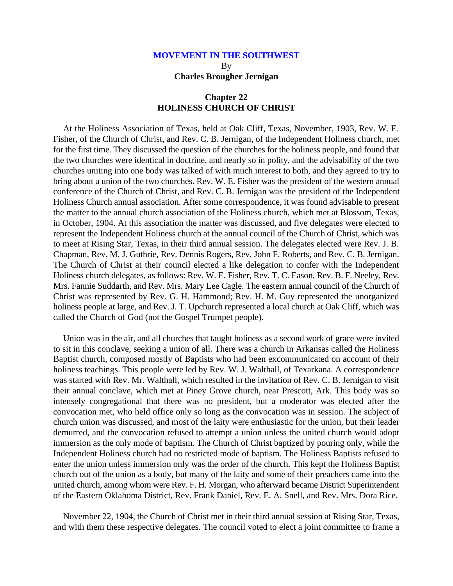## **MOVEMENT IN THE SOUTHWEST** By **Charles Brougher Jernigan**

## **Chapter 22 HOLINESS CHURCH OF CHRIST**

At the Holiness Association of Texas, held at Oak Cliff, Texas, November, 1903, Rev. W. E. Fisher, of the Church of Christ, and Rev. C. B. Jernigan, of the Independent Holiness church, met for the first time. They discussed the question of the churches for the holiness people, and found that the two churches were identical in doctrine, and nearly so in polity, and the advisability of the two churches uniting into one body was talked of with much interest to both, and they agreed to try to bring about a union of the two churches. Rev. W. E. Fisher was the president of the western annual conference of the Church of Christ, and Rev. C. B. Jernigan was the president of the Independent Holiness Church annual association. After some correspondence, it was found advisable to present the matter to the annual church association of the Holiness church, which met at Blossom, Texas, in October, 1904. At this association the matter was discussed, and five delegates were elected to represent the Independent Holiness church at the annual council of the Church of Christ, which was to meet at Rising Star, Texas, in their third annual session. The delegates elected were Rev. J. B. Chapman, Rev. M. J. Guthrie, Rev. Dennis Rogers, Rev. John F. Roberts, and Rev. C. B. Jernigan. The Church of Christ at their council elected a like delegation to confer with the Independent Holiness church delegates, as follows: Rev. W. E. Fisher, Rev. T. C. Eason, Rev. B. F. Neeley, Rev. Mrs. Fannie Suddarth, and Rev. Mrs. Mary Lee Cagle. The eastern annual council of the Church of Christ was represented by Rev. G. H. Hammond; Rev. H. M. Guy represented the unorganized holiness people at large, and Rev. J. T. Upchurch represented a local church at Oak Cliff, which was called the Church of God (not the Gospel Trumpet people).

Union was in the air, and all churches that taught holiness as a second work of grace were invited to sit in this conclave, seeking a union of all. There was a church in Arkansas called the Holiness Baptist church, composed mostly of Baptists who had been excommunicated on account of their holiness teachings. This people were led by Rev. W. J. Walthall, of Texarkana. A correspondence was started with Rev. Mr. Walthall, which resulted in the invitation of Rev. C. B. Jernigan to visit their annual conclave, which met at Piney Grove church, near Prescott, Ark. This body was so intensely congregational that there was no president, but a moderator was elected after the convocation met, who held office only so long as the convocation was in session. The subject of church union was discussed, and most of the laity were enthusiastic for the union, but their leader demurred, and the convocation refused to attempt a union unless the united church would adopt immersion as the only mode of baptism. The Church of Christ baptized by pouring only, while the Independent Holiness church had no restricted mode of baptism. The Holiness Baptists refused to enter the union unless immersion only was the order of the church. This kept the Holiness Baptist church out of the union as a body, but many of the laity and some of their preachers came into the united church, among whom were Rev. F. H. Morgan, who afterward became District Superintendent of the Eastern Oklahoma District, Rev. Frank Daniel, Rev. E. A. Snell, and Rev. Mrs. Dora Rice.

November 22, 1904, the Church of Christ met in their third annual session at Rising Star, Texas, and with them these respective delegates. The council voted to elect a joint committee to frame a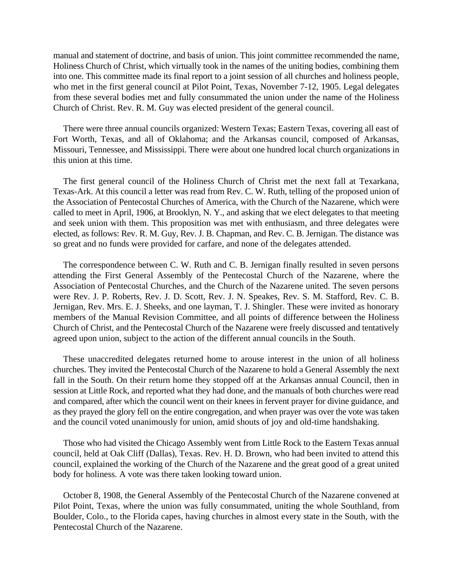manual and statement of doctrine, and basis of union. This joint committee recommended the name, Holiness Church of Christ, which virtually took in the names of the uniting bodies, combining them into one. This committee made its final report to a joint session of all churches and holiness people, who met in the first general council at Pilot Point, Texas, November 7-12, 1905. Legal delegates from these several bodies met and fully consummated the union under the name of the Holiness Church of Christ. Rev. R. M. Guy was elected president of the general council.

There were three annual councils organized: Western Texas; Eastern Texas, covering all east of Fort Worth, Texas, and all of Oklahoma; and the Arkansas council, composed of Arkansas, Missouri, Tennessee, and Mississippi. There were about one hundred local church organizations in this union at this time.

The first general council of the Holiness Church of Christ met the next fall at Texarkana, Texas-Ark. At this council a letter was read from Rev. C. W. Ruth, telling of the proposed union of the Association of Pentecostal Churches of America, with the Church of the Nazarene, which were called to meet in April, 1906, at Brooklyn, N. Y., and asking that we elect delegates to that meeting and seek union with them. This proposition was met with enthusiasm, and three delegates were elected, as follows: Rev. R. M. Guy, Rev. J. B. Chapman, and Rev. C. B. Jernigan. The distance was so great and no funds were provided for carfare, and none of the delegates attended.

The correspondence between C. W. Ruth and C. B. Jernigan finally resulted in seven persons attending the First General Assembly of the Pentecostal Church of the Nazarene, where the Association of Pentecostal Churches, and the Church of the Nazarene united. The seven persons were Rev. J. P. Roberts, Rev. J. D. Scott, Rev. J. N. Speakes, Rev. S. M. Stafford, Rev. C. B. Jernigan, Rev. Mrs. E. J. Sheeks, and one layman, T. J. Shingler. These were invited as honorary members of the Manual Revision Committee, and all points of difference between the Holiness Church of Christ, and the Pentecostal Church of the Nazarene were freely discussed and tentatively agreed upon union, subject to the action of the different annual councils in the South.

These unaccredited delegates returned home to arouse interest in the union of all holiness churches. They invited the Pentecostal Church of the Nazarene to hold a General Assembly the next fall in the South. On their return home they stopped off at the Arkansas annual Council, then in session at Little Rock, and reported what they had done, and the manuals of both churches were read and compared, after which the council went on their knees in fervent prayer for divine guidance, and as they prayed the glory fell on the entire congregation, and when prayer was over the vote was taken and the council voted unanimously for union, amid shouts of joy and old-time handshaking.

Those who had visited the Chicago Assembly went from Little Rock to the Eastern Texas annual council, held at Oak Cliff (Dallas), Texas. Rev. H. D. Brown, who had been invited to attend this council, explained the working of the Church of the Nazarene and the great good of a great united body for holiness. A vote was there taken looking toward union.

October 8, 1908, the General Assembly of the Pentecostal Church of the Nazarene convened at Pilot Point, Texas, where the union was fully consummated, uniting the whole Southland, from Boulder, Colo., to the Florida capes, having churches in almost every state in the South, with the Pentecostal Church of the Nazarene.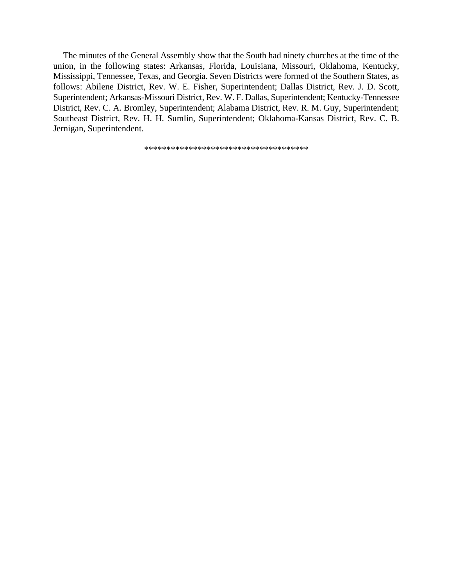The minutes of the General Assembly show that the South had ninety churches at the time of the union, in the following states: Arkansas, Florida, Louisiana, Missouri, Oklahoma, Kentucky, Mississippi, Tennessee, Texas, and Georgia. Seven Districts were formed of the Southern States, as follows: Abilene District, Rev. W. E. Fisher, Superintendent; Dallas District, Rev. J. D. Scott, Superintendent; Arkansas-Missouri District, Rev. W. F. Dallas, Superintendent; Kentucky-Tennessee District, Rev. C. A. Bromley, Superintendent; Alabama District, Rev. R. M. Guy, Superintendent; Southeast District, Rev. H. H. Sumlin, Superintendent; Oklahoma-Kansas District, Rev. C. B. Jernigan, Superintendent.

\*\*\*\*\*\*\*\*\*\*\*\*\*\*\*\*\*\*\*\*\*\*\*\*\*\*\*\*\*\*\*\*\*\*\*\*\*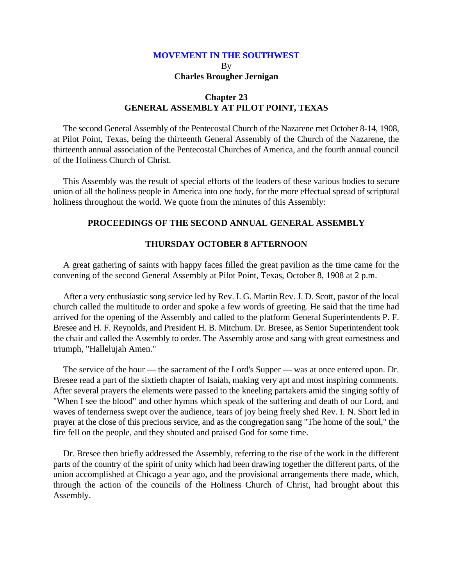# **MOVEMENT IN THE SOUTHWEST** By **Charles Brougher Jernigan**

## **Chapter 23 GENERAL ASSEMBLY AT PILOT POINT, TEXAS**

The second General Assembly of the Pentecostal Church of the Nazarene met October 8-14, 1908, at Pilot Point, Texas, being the thirteenth General Assembly of the Church of the Nazarene, the thirteenth annual association of the Pentecostal Churches of America, and the fourth annual council of the Holiness Church of Christ.

This Assembly was the result of special efforts of the leaders of these various bodies to secure union of all the holiness people in America into one body, for the more effectual spread of scriptural holiness throughout the world. We quote from the minutes of this Assembly:

## **PROCEEDINGS OF THE SECOND ANNUAL GENERAL ASSEMBLY**

## **THURSDAY OCTOBER 8 AFTERNOON**

A great gathering of saints with happy faces filled the great pavilion as the time came for the convening of the second General Assembly at Pilot Point, Texas, October 8, 1908 at 2 p.m.

After a very enthusiastic song service led by Rev. I. G. Martin Rev. J. D. Scott, pastor of the local church called the multitude to order and spoke a few words of greeting. He said that the time had arrived for the opening of the Assembly and called to the platform General Superintendents P. F. Bresee and H. F. Reynolds, and President H. B. Mitchum. Dr. Bresee, as Senior Superintendent took the chair and called the Assembly to order. The Assembly arose and sang with great earnestness and triumph, "Hallelujah Amen."

The service of the hour — the sacrament of the Lord's Supper — was at once entered upon. Dr. Bresee read a part of the sixtieth chapter of Isaiah, making very apt and most inspiring comments. After several prayers the elements were passed to the kneeling partakers amid the singing softly of "When I see the blood" and other hymns which speak of the suffering and death of our Lord, and waves of tenderness swept over the audience, tears of joy being freely shed Rev. I. N. Short led in prayer at the close of this precious service, and as the congregation sang "The home of the soul," the fire fell on the people, and they shouted and praised God for some time.

Dr. Bresee then briefly addressed the Assembly, referring to the rise of the work in the different parts of the country of the spirit of unity which had been drawing together the different parts, of the union accomplished at Chicago a year ago, and the provisional arrangements there made, which, through the action of the councils of the Holiness Church of Christ, had brought about this Assembly.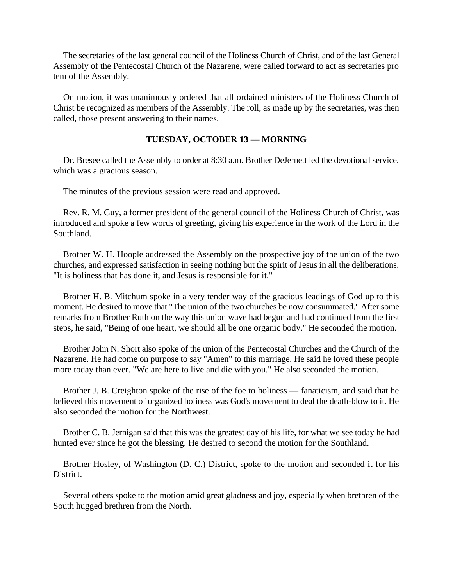The secretaries of the last general council of the Holiness Church of Christ, and of the last General Assembly of the Pentecostal Church of the Nazarene, were called forward to act as secretaries pro tem of the Assembly.

On motion, it was unanimously ordered that all ordained ministers of the Holiness Church of Christ be recognized as members of the Assembly. The roll, as made up by the secretaries, was then called, those present answering to their names.

# **TUESDAY, OCTOBER 13 — MORNING**

Dr. Bresee called the Assembly to order at 8:30 a.m. Brother DeJernett led the devotional service, which was a gracious season.

The minutes of the previous session were read and approved.

Rev. R. M. Guy, a former president of the general council of the Holiness Church of Christ, was introduced and spoke a few words of greeting, giving his experience in the work of the Lord in the Southland.

Brother W. H. Hoople addressed the Assembly on the prospective joy of the union of the two churches, and expressed satisfaction in seeing nothing but the spirit of Jesus in all the deliberations. "It is holiness that has done it, and Jesus is responsible for it."

Brother H. B. Mitchum spoke in a very tender way of the gracious leadings of God up to this moment. He desired to move that "The union of the two churches be now consummated." After some remarks from Brother Ruth on the way this union wave had begun and had continued from the first steps, he said, "Being of one heart, we should all be one organic body." He seconded the motion.

Brother John N. Short also spoke of the union of the Pentecostal Churches and the Church of the Nazarene. He had come on purpose to say "Amen" to this marriage. He said he loved these people more today than ever. "We are here to live and die with you." He also seconded the motion.

Brother J. B. Creighton spoke of the rise of the foe to holiness — fanaticism, and said that he believed this movement of organized holiness was God's movement to deal the death-blow to it. He also seconded the motion for the Northwest.

Brother C. B. Jernigan said that this was the greatest day of his life, for what we see today he had hunted ever since he got the blessing. He desired to second the motion for the Southland.

Brother Hosley, of Washington (D. C.) District, spoke to the motion and seconded it for his District.

Several others spoke to the motion amid great gladness and joy, especially when brethren of the South hugged brethren from the North.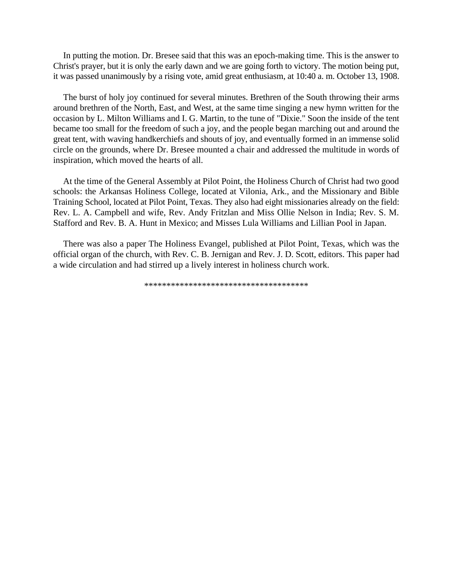In putting the motion. Dr. Bresee said that this was an epoch-making time. This is the answer to Christ's prayer, but it is only the early dawn and we are going forth to victory. The motion being put, it was passed unanimously by a rising vote, amid great enthusiasm, at 10:40 a. m. October 13, 1908.

The burst of holy joy continued for several minutes. Brethren of the South throwing their arms around brethren of the North, East, and West, at the same time singing a new hymn written for the occasion by L. Milton Williams and I. G. Martin, to the tune of "Dixie." Soon the inside of the tent became too small for the freedom of such a joy, and the people began marching out and around the great tent, with waving handkerchiefs and shouts of joy, and eventually formed in an immense solid circle on the grounds, where Dr. Bresee mounted a chair and addressed the multitude in words of inspiration, which moved the hearts of all.

At the time of the General Assembly at Pilot Point, the Holiness Church of Christ had two good schools: the Arkansas Holiness College, located at Vilonia, Ark., and the Missionary and Bible Training School, located at Pilot Point, Texas. They also had eight missionaries already on the field: Rev. L. A. Campbell and wife, Rev. Andy Fritzlan and Miss Ollie Nelson in India; Rev. S. M. Stafford and Rev. B. A. Hunt in Mexico; and Misses Lula Williams and Lillian Pool in Japan.

There was also a paper The Holiness Evangel, published at Pilot Point, Texas, which was the official organ of the church, with Rev. C. B. Jernigan and Rev. J. D. Scott, editors. This paper had a wide circulation and had stirred up a lively interest in holiness church work.

\*\*\*\*\*\*\*\*\*\*\*\*\*\*\*\*\*\*\*\*\*\*\*\*\*\*\*\*\*\*\*\*\*\*\*\*\*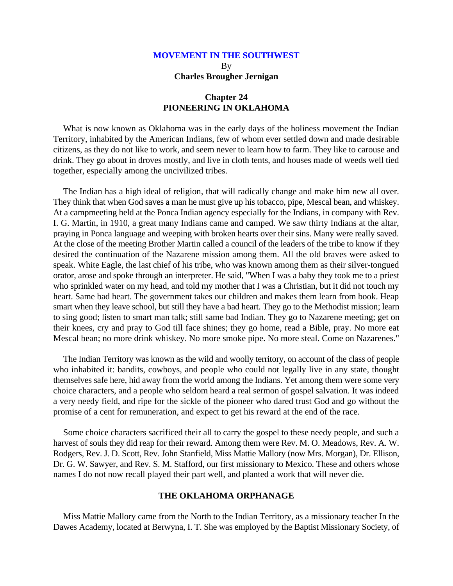# **MOVEMENT IN THE SOUTHWEST** By **Charles Brougher Jernigan**

## **Chapter 24 PIONEERING IN OKLAHOMA**

What is now known as Oklahoma was in the early days of the holiness movement the Indian Territory, inhabited by the American Indians, few of whom ever settled down and made desirable citizens, as they do not like to work, and seem never to learn how to farm. They like to carouse and drink. They go about in droves mostly, and live in cloth tents, and houses made of weeds well tied together, especially among the uncivilized tribes.

The Indian has a high ideal of religion, that will radically change and make him new all over. They think that when God saves a man he must give up his tobacco, pipe, Mescal bean, and whiskey. At a campmeeting held at the Ponca Indian agency especially for the Indians, in company with Rev. I. G. Martin, in 1910, a great many Indians came and camped. We saw thirty Indians at the altar, praying in Ponca language and weeping with broken hearts over their sins. Many were really saved. At the close of the meeting Brother Martin called a council of the leaders of the tribe to know if they desired the continuation of the Nazarene mission among them. All the old braves were asked to speak. White Eagle, the last chief of his tribe, who was known among them as their silver-tongued orator, arose and spoke through an interpreter. He said, "When I was a baby they took me to a priest who sprinkled water on my head, and told my mother that I was a Christian, but it did not touch my heart. Same bad heart. The government takes our children and makes them learn from book. Heap smart when they leave school, but still they have a bad heart. They go to the Methodist mission; learn to sing good; listen to smart man talk; still same bad Indian. They go to Nazarene meeting; get on their knees, cry and pray to God till face shines; they go home, read a Bible, pray. No more eat Mescal bean; no more drink whiskey. No more smoke pipe. No more steal. Come on Nazarenes."

The Indian Territory was known as the wild and woolly territory, on account of the class of people who inhabited it: bandits, cowboys, and people who could not legally live in any state, thought themselves safe here, hid away from the world among the Indians. Yet among them were some very choice characters, and a people who seldom heard a real sermon of gospel salvation. It was indeed a very needy field, and ripe for the sickle of the pioneer who dared trust God and go without the promise of a cent for remuneration, and expect to get his reward at the end of the race.

Some choice characters sacrificed their all to carry the gospel to these needy people, and such a harvest of souls they did reap for their reward. Among them were Rev. M. O. Meadows, Rev. A. W. Rodgers, Rev. J. D. Scott, Rev. John Stanfield, Miss Mattie Mallory (now Mrs. Morgan), Dr. Ellison, Dr. G. W. Sawyer, and Rev. S. M. Stafford, our first missionary to Mexico. These and others whose names I do not now recall played their part well, and planted a work that will never die.

#### **THE OKLAHOMA ORPHANAGE**

Miss Mattie Mallory came from the North to the Indian Territory, as a missionary teacher In the Dawes Academy, located at Berwyna, I. T. She was employed by the Baptist Missionary Society, of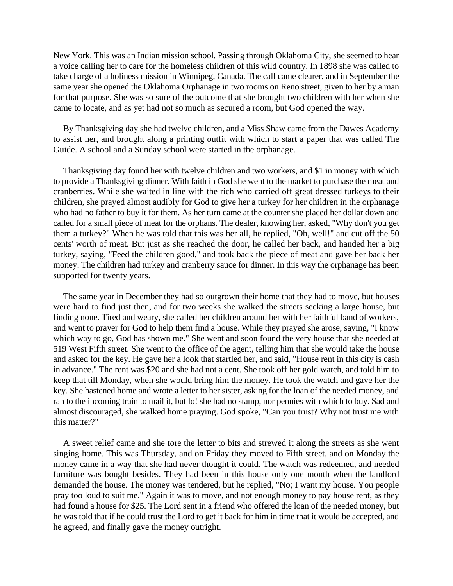New York. This was an Indian mission school. Passing through Oklahoma City, she seemed to hear a voice calling her to care for the homeless children of this wild country. In 1898 she was called to take charge of a holiness mission in Winnipeg, Canada. The call came clearer, and in September the same year she opened the Oklahoma Orphanage in two rooms on Reno street, given to her by a man for that purpose. She was so sure of the outcome that she brought two children with her when she came to locate, and as yet had not so much as secured a room, but God opened the way.

By Thanksgiving day she had twelve children, and a Miss Shaw came from the Dawes Academy to assist her, and brought along a printing outfit with which to start a paper that was called The Guide. A school and a Sunday school were started in the orphanage.

Thanksgiving day found her with twelve children and two workers, and \$1 in money with which to provide a Thanksgiving dinner. With faith in God she went to the market to purchase the meat and cranberries. While she waited in line with the rich who carried off great dressed turkeys to their children, she prayed almost audibly for God to give her a turkey for her children in the orphanage who had no father to buy it for them. As her turn came at the counter she placed her dollar down and called for a small piece of meat for the orphans. The dealer, knowing her, asked, "Why don't you get them a turkey?" When he was told that this was her all, he replied, "Oh, well!" and cut off the 50 cents' worth of meat. But just as she reached the door, he called her back, and handed her a big turkey, saying, "Feed the children good," and took back the piece of meat and gave her back her money. The children had turkey and cranberry sauce for dinner. In this way the orphanage has been supported for twenty years.

The same year in December they had so outgrown their home that they had to move, but houses were hard to find just then, and for two weeks she walked the streets seeking a large house, but finding none. Tired and weary, she called her children around her with her faithful band of workers, and went to prayer for God to help them find a house. While they prayed she arose, saying, "I know which way to go, God has shown me." She went and soon found the very house that she needed at 519 West Fifth street. She went to the office of the agent, telling him that she would take the house and asked for the key. He gave her a look that startled her, and said, "House rent in this city is cash in advance." The rent was \$20 and she had not a cent. She took off her gold watch, and told him to keep that till Monday, when she would bring him the money. He took the watch and gave her the key. She hastened home and wrote a letter to her sister, asking for the loan of the needed money, and ran to the incoming train to mail it, but lo! she had no stamp, nor pennies with which to buy. Sad and almost discouraged, she walked home praying. God spoke, "Can you trust? Why not trust me with this matter?"

A sweet relief came and she tore the letter to bits and strewed it along the streets as she went singing home. This was Thursday, and on Friday they moved to Fifth street, and on Monday the money came in a way that she had never thought it could. The watch was redeemed, and needed furniture was bought besides. They had been in this house only one month when the landlord demanded the house. The money was tendered, but he replied, "No; I want my house. You people pray too loud to suit me." Again it was to move, and not enough money to pay house rent, as they had found a house for \$25. The Lord sent in a friend who offered the loan of the needed money, but he was told that if he could trust the Lord to get it back for him in time that it would be accepted, and he agreed, and finally gave the money outright.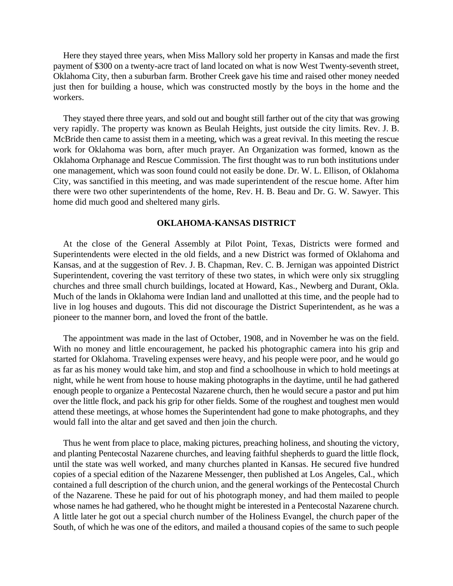Here they stayed three years, when Miss Mallory sold her property in Kansas and made the first payment of \$300 on a twenty-acre tract of land located on what is now West Twenty-seventh street, Oklahoma City, then a suburban farm. Brother Creek gave his time and raised other money needed just then for building a house, which was constructed mostly by the boys in the home and the workers.

They stayed there three years, and sold out and bought still farther out of the city that was growing very rapidly. The property was known as Beulah Heights, just outside the city limits. Rev. J. B. McBride then came to assist them in a meeting, which was a great revival. In this meeting the rescue work for Oklahoma was born, after much prayer. An Organization was formed, known as the Oklahoma Orphanage and Rescue Commission. The first thought was to run both institutions under one management, which was soon found could not easily be done. Dr. W. L. Ellison, of Oklahoma City, was sanctified in this meeting, and was made superintendent of the rescue home. After him there were two other superintendents of the home, Rev. H. B. Beau and Dr. G. W. Sawyer. This home did much good and sheltered many girls.

#### **OKLAHOMA-KANSAS DISTRICT**

At the close of the General Assembly at Pilot Point, Texas, Districts were formed and Superintendents were elected in the old fields, and a new District was formed of Oklahoma and Kansas, and at the suggestion of Rev. J. B. Chapman, Rev. C. B. Jernigan was appointed District Superintendent, covering the vast territory of these two states, in which were only six struggling churches and three small church buildings, located at Howard, Kas., Newberg and Durant, Okla. Much of the lands in Oklahoma were Indian land and unallotted at this time, and the people had to live in log houses and dugouts. This did not discourage the District Superintendent, as he was a pioneer to the manner born, and loved the front of the battle.

The appointment was made in the last of October, 1908, and in November he was on the field. With no money and little encouragement, he packed his photographic camera into his grip and started for Oklahoma. Traveling expenses were heavy, and his people were poor, and he would go as far as his money would take him, and stop and find a schoolhouse in which to hold meetings at night, while he went from house to house making photographs in the daytime, until he had gathered enough people to organize a Pentecostal Nazarene church, then he would secure a pastor and put him over the little flock, and pack his grip for other fields. Some of the roughest and toughest men would attend these meetings, at whose homes the Superintendent had gone to make photographs, and they would fall into the altar and get saved and then join the church.

Thus he went from place to place, making pictures, preaching holiness, and shouting the victory, and planting Pentecostal Nazarene churches, and leaving faithful shepherds to guard the little flock, until the state was well worked, and many churches planted in Kansas. He secured five hundred copies of a special edition of the Nazarene Messenger, then published at Los Angeles, Cal., which contained a full description of the church union, and the general workings of the Pentecostal Church of the Nazarene. These he paid for out of his photograph money, and had them mailed to people whose names he had gathered, who he thought might be interested in a Pentecostal Nazarene church. A little later he got out a special church number of the Holiness Evangel, the church paper of the South, of which he was one of the editors, and mailed a thousand copies of the same to such people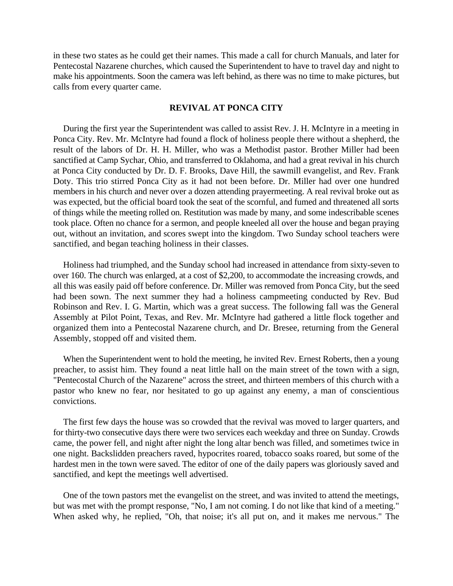in these two states as he could get their names. This made a call for church Manuals, and later for Pentecostal Nazarene churches, which caused the Superintendent to have to travel day and night to make his appointments. Soon the camera was left behind, as there was no time to make pictures, but calls from every quarter came.

### **REVIVAL AT PONCA CITY**

During the first year the Superintendent was called to assist Rev. J. H. McIntyre in a meeting in Ponca City. Rev. Mr. McIntyre had found a flock of holiness people there without a shepherd, the result of the labors of Dr. H. H. Miller, who was a Methodist pastor. Brother Miller had been sanctified at Camp Sychar, Ohio, and transferred to Oklahoma, and had a great revival in his church at Ponca City conducted by Dr. D. F. Brooks, Dave Hill, the sawmill evangelist, and Rev. Frank Doty. This trio stirred Ponca City as it had not been before. Dr. Miller had over one hundred members in his church and never over a dozen attending prayermeeting. A real revival broke out as was expected, but the official board took the seat of the scornful, and fumed and threatened all sorts of things while the meeting rolled on. Restitution was made by many, and some indescribable scenes took place. Often no chance for a sermon, and people kneeled all over the house and began praying out, without an invitation, and scores swept into the kingdom. Two Sunday school teachers were sanctified, and began teaching holiness in their classes.

Holiness had triumphed, and the Sunday school had increased in attendance from sixty-seven to over 160. The church was enlarged, at a cost of \$2,200, to accommodate the increasing crowds, and all this was easily paid off before conference. Dr. Miller was removed from Ponca City, but the seed had been sown. The next summer they had a holiness campmeeting conducted by Rev. Bud Robinson and Rev. I. G. Martin, which was a great success. The following fall was the General Assembly at Pilot Point, Texas, and Rev. Mr. McIntyre had gathered a little flock together and organized them into a Pentecostal Nazarene church, and Dr. Bresee, returning from the General Assembly, stopped off and visited them.

When the Superintendent went to hold the meeting, he invited Rev. Ernest Roberts, then a young preacher, to assist him. They found a neat little hall on the main street of the town with a sign, "Pentecostal Church of the Nazarene" across the street, and thirteen members of this church with a pastor who knew no fear, nor hesitated to go up against any enemy, a man of conscientious convictions.

The first few days the house was so crowded that the revival was moved to larger quarters, and for thirty-two consecutive days there were two services each weekday and three on Sunday. Crowds came, the power fell, and night after night the long altar bench was filled, and sometimes twice in one night. Backslidden preachers raved, hypocrites roared, tobacco soaks roared, but some of the hardest men in the town were saved. The editor of one of the daily papers was gloriously saved and sanctified, and kept the meetings well advertised.

One of the town pastors met the evangelist on the street, and was invited to attend the meetings, but was met with the prompt response, "No, I am not coming. I do not like that kind of a meeting." When asked why, he replied, "Oh, that noise; it's all put on, and it makes me nervous." The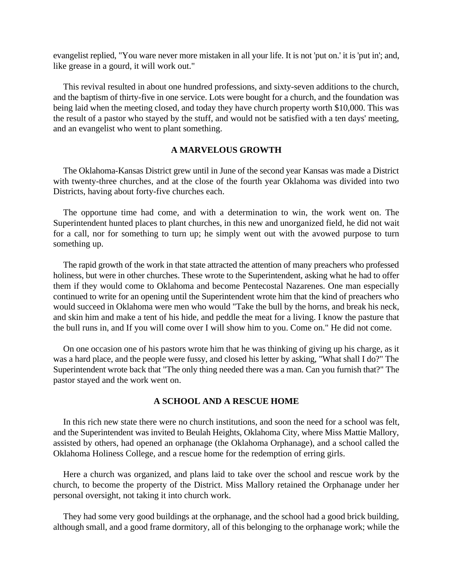evangelist replied, "You ware never more mistaken in all your life. It is not 'put on.' it is 'put in'; and, like grease in a gourd, it will work out."

This revival resulted in about one hundred professions, and sixty-seven additions to the church, and the baptism of thirty-five in one service. Lots were bought for a church, and the foundation was being laid when the meeting closed, and today they have church property worth \$10,000. This was the result of a pastor who stayed by the stuff, and would not be satisfied with a ten days' meeting, and an evangelist who went to plant something.

## **A MARVELOUS GROWTH**

The Oklahoma-Kansas District grew until in June of the second year Kansas was made a District with twenty-three churches, and at the close of the fourth year Oklahoma was divided into two Districts, having about forty-five churches each.

The opportune time had come, and with a determination to win, the work went on. The Superintendent hunted places to plant churches, in this new and unorganized field, he did not wait for a call, nor for something to turn up; he simply went out with the avowed purpose to turn something up.

The rapid growth of the work in that state attracted the attention of many preachers who professed holiness, but were in other churches. These wrote to the Superintendent, asking what he had to offer them if they would come to Oklahoma and become Pentecostal Nazarenes. One man especially continued to write for an opening until the Superintendent wrote him that the kind of preachers who would succeed in Oklahoma were men who would "Take the bull by the horns, and break his neck, and skin him and make a tent of his hide, and peddle the meat for a living. I know the pasture that the bull runs in, and If you will come over I will show him to you. Come on." He did not come.

On one occasion one of his pastors wrote him that he was thinking of giving up his charge, as it was a hard place, and the people were fussy, and closed his letter by asking, "What shall I do?" The Superintendent wrote back that "The only thing needed there was a man. Can you furnish that?" The pastor stayed and the work went on.

## **A SCHOOL AND A RESCUE HOME**

In this rich new state there were no church institutions, and soon the need for a school was felt, and the Superintendent was invited to Beulah Heights, Oklahoma City, where Miss Mattie Mallory, assisted by others, had opened an orphanage (the Oklahoma Orphanage), and a school called the Oklahoma Holiness College, and a rescue home for the redemption of erring girls.

Here a church was organized, and plans laid to take over the school and rescue work by the church, to become the property of the District. Miss Mallory retained the Orphanage under her personal oversight, not taking it into church work.

They had some very good buildings at the orphanage, and the school had a good brick building, although small, and a good frame dormitory, all of this belonging to the orphanage work; while the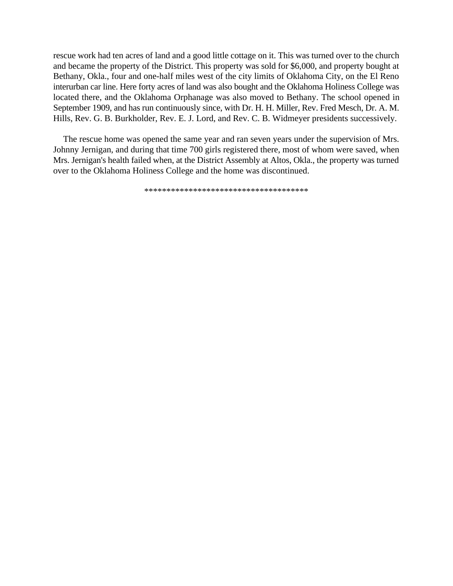rescue work had ten acres of land and a good little cottage on it. This was turned over to the church and became the property of the District. This property was sold for \$6,000, and property bought at Bethany, Okla., four and one-half miles west of the city limits of Oklahoma City, on the El Reno interurban car line. Here forty acres of land was also bought and the Oklahoma Holiness College was located there, and the Oklahoma Orphanage was also moved to Bethany. The school opened in September 1909, and has run continuously since, with Dr. H. H. Miller, Rev. Fred Mesch, Dr. A. M. Hills, Rev. G. B. Burkholder, Rev. E. J. Lord, and Rev. C. B. Widmeyer presidents successively.

The rescue home was opened the same year and ran seven years under the supervision of Mrs. Johnny Jernigan, and during that time 700 girls registered there, most of whom were saved, when Mrs. Jernigan's health failed when, at the District Assembly at Altos, Okla., the property was turned over to the Oklahoma Holiness College and the home was discontinued.

\*\*\*\*\*\*\*\*\*\*\*\*\*\*\*\*\*\*\*\*\*\*\*\*\*\*\*\*\*\*\*\*\*\*\*\*\*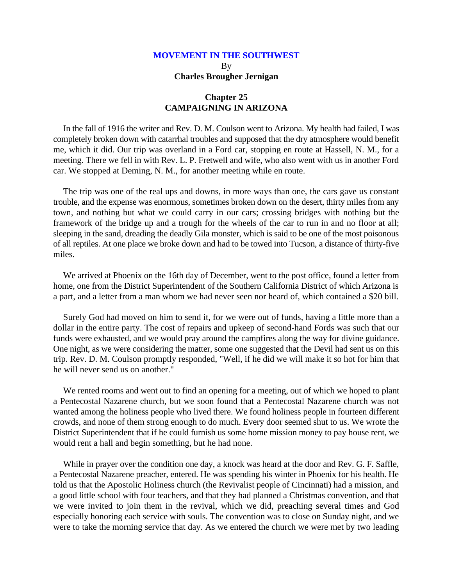### **Chapter 25 CAMPAIGNING IN ARIZONA**

In the fall of 1916 the writer and Rev. D. M. Coulson went to Arizona. My health had failed, I was completely broken down with catarrhal troubles and supposed that the dry atmosphere would benefit me, which it did. Our trip was overland in a Ford car, stopping en route at Hassell, N. M., for a meeting. There we fell in with Rev. L. P. Fretwell and wife, who also went with us in another Ford car. We stopped at Deming, N. M., for another meeting while en route.

The trip was one of the real ups and downs, in more ways than one, the cars gave us constant trouble, and the expense was enormous, sometimes broken down on the desert, thirty miles from any town, and nothing but what we could carry in our cars; crossing bridges with nothing but the framework of the bridge up and a trough for the wheels of the car to run in and no floor at all; sleeping in the sand, dreading the deadly Gila monster, which is said to be one of the most poisonous of all reptiles. At one place we broke down and had to be towed into Tucson, a distance of thirty-five miles.

We arrived at Phoenix on the 16th day of December, went to the post office, found a letter from home, one from the District Superintendent of the Southern California District of which Arizona is a part, and a letter from a man whom we had never seen nor heard of, which contained a \$20 bill.

Surely God had moved on him to send it, for we were out of funds, having a little more than a dollar in the entire party. The cost of repairs and upkeep of second-hand Fords was such that our funds were exhausted, and we would pray around the campfires along the way for divine guidance. One night, as we were considering the matter, some one suggested that the Devil had sent us on this trip. Rev. D. M. Coulson promptly responded, "Well, if he did we will make it so hot for him that he will never send us on another."

We rented rooms and went out to find an opening for a meeting, out of which we hoped to plant a Pentecostal Nazarene church, but we soon found that a Pentecostal Nazarene church was not wanted among the holiness people who lived there. We found holiness people in fourteen different crowds, and none of them strong enough to do much. Every door seemed shut to us. We wrote the District Superintendent that if he could furnish us some home mission money to pay house rent, we would rent a hall and begin something, but he had none.

While in prayer over the condition one day, a knock was heard at the door and Rev. G. F. Saffle, a Pentecostal Nazarene preacher, entered. He was spending his winter in Phoenix for his health. He told us that the Apostolic Holiness church (the Revivalist people of Cincinnati) had a mission, and a good little school with four teachers, and that they had planned a Christmas convention, and that we were invited to join them in the revival, which we did, preaching several times and God especially honoring each service with souls. The convention was to close on Sunday night, and we were to take the morning service that day. As we entered the church we were met by two leading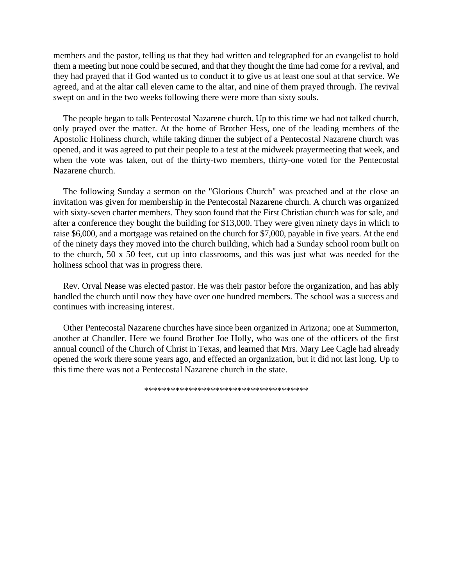members and the pastor, telling us that they had written and telegraphed for an evangelist to hold them a meeting but none could be secured, and that they thought the time had come for a revival, and they had prayed that if God wanted us to conduct it to give us at least one soul at that service. We agreed, and at the altar call eleven came to the altar, and nine of them prayed through. The revival swept on and in the two weeks following there were more than sixty souls.

The people began to talk Pentecostal Nazarene church. Up to this time we had not talked church, only prayed over the matter. At the home of Brother Hess, one of the leading members of the Apostolic Holiness church, while taking dinner the subject of a Pentecostal Nazarene church was opened, and it was agreed to put their people to a test at the midweek prayermeeting that week, and when the vote was taken, out of the thirty-two members, thirty-one voted for the Pentecostal Nazarene church.

The following Sunday a sermon on the "Glorious Church" was preached and at the close an invitation was given for membership in the Pentecostal Nazarene church. A church was organized with sixty-seven charter members. They soon found that the First Christian church was for sale, and after a conference they bought the building for \$13,000. They were given ninety days in which to raise \$6,000, and a mortgage was retained on the church for \$7,000, payable in five years. At the end of the ninety days they moved into the church building, which had a Sunday school room built on to the church, 50 x 50 feet, cut up into classrooms, and this was just what was needed for the holiness school that was in progress there.

Rev. Orval Nease was elected pastor. He was their pastor before the organization, and has ably handled the church until now they have over one hundred members. The school was a success and continues with increasing interest.

Other Pentecostal Nazarene churches have since been organized in Arizona; one at Summerton, another at Chandler. Here we found Brother Joe Holly, who was one of the officers of the first annual council of the Church of Christ in Texas, and learned that Mrs. Mary Lee Cagle had already opened the work there some years ago, and effected an organization, but it did not last long. Up to this time there was not a Pentecostal Nazarene church in the state.

\*\*\*\*\*\*\*\*\*\*\*\*\*\*\*\*\*\*\*\*\*\*\*\*\*\*\*\*\*\*\*\*\*\*\*\*\*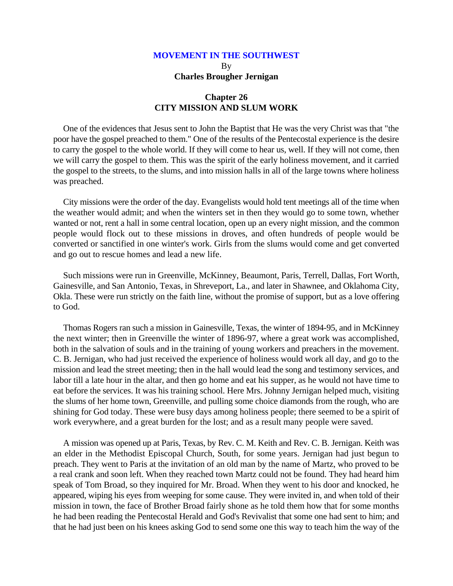### **Chapter 26 CITY MISSION AND SLUM WORK**

One of the evidences that Jesus sent to John the Baptist that He was the very Christ was that "the poor have the gospel preached to them." One of the results of the Pentecostal experience is the desire to carry the gospel to the whole world. If they will come to hear us, well. If they will not come, then we will carry the gospel to them. This was the spirit of the early holiness movement, and it carried the gospel to the streets, to the slums, and into mission halls in all of the large towns where holiness was preached.

City missions were the order of the day. Evangelists would hold tent meetings all of the time when the weather would admit; and when the winters set in then they would go to some town, whether wanted or not, rent a hall in some central location, open up an every night mission, and the common people would flock out to these missions in droves, and often hundreds of people would be converted or sanctified in one winter's work. Girls from the slums would come and get converted and go out to rescue homes and lead a new life.

Such missions were run in Greenville, McKinney, Beaumont, Paris, Terrell, Dallas, Fort Worth, Gainesville, and San Antonio, Texas, in Shreveport, La., and later in Shawnee, and Oklahoma City, Okla. These were run strictly on the faith line, without the promise of support, but as a love offering to God.

Thomas Rogers ran such a mission in Gainesville, Texas, the winter of 1894-95, and in McKinney the next winter; then in Greenville the winter of 1896-97, where a great work was accomplished, both in the salvation of souls and in the training of young workers and preachers in the movement. C. B. Jernigan, who had just received the experience of holiness would work all day, and go to the mission and lead the street meeting; then in the hall would lead the song and testimony services, and labor till a late hour in the altar, and then go home and eat his supper, as he would not have time to eat before the services. It was his training school. Here Mrs. Johnny Jernigan helped much, visiting the slums of her home town, Greenville, and pulling some choice diamonds from the rough, who are shining for God today. These were busy days among holiness people; there seemed to be a spirit of work everywhere, and a great burden for the lost; and as a result many people were saved.

A mission was opened up at Paris, Texas, by Rev. C. M. Keith and Rev. C. B. Jernigan. Keith was an elder in the Methodist Episcopal Church, South, for some years. Jernigan had just begun to preach. They went to Paris at the invitation of an old man by the name of Martz, who proved to be a real crank and soon left. When they reached town Martz could not be found. They had heard him speak of Tom Broad, so they inquired for Mr. Broad. When they went to his door and knocked, he appeared, wiping his eyes from weeping for some cause. They were invited in, and when told of their mission in town, the face of Brother Broad fairly shone as he told them how that for some months he had been reading the Pentecostal Herald and God's Revivalist that some one had sent to him; and that he had just been on his knees asking God to send some one this way to teach him the way of the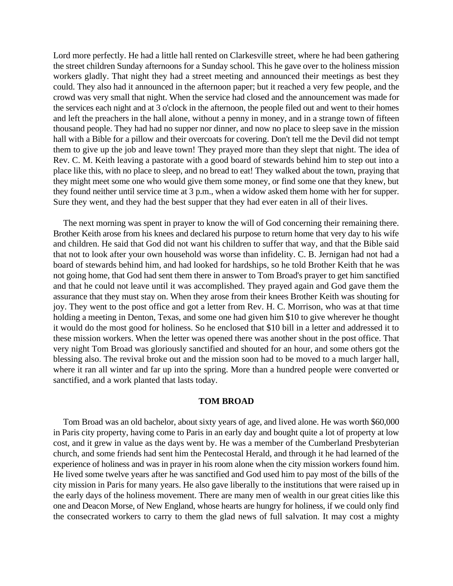Lord more perfectly. He had a little hall rented on Clarkesville street, where he had been gathering the street children Sunday afternoons for a Sunday school. This he gave over to the holiness mission workers gladly. That night they had a street meeting and announced their meetings as best they could. They also had it announced in the afternoon paper; but it reached a very few people, and the crowd was very small that night. When the service had closed and the announcement was made for the services each night and at 3 o'clock in the afternoon, the people filed out and went to their homes and left the preachers in the hall alone, without a penny in money, and in a strange town of fifteen thousand people. They had had no supper nor dinner, and now no place to sleep save in the mission hall with a Bible for a pillow and their overcoats for covering. Don't tell me the Devil did not tempt them to give up the job and leave town! They prayed more than they slept that night. The idea of Rev. C. M. Keith leaving a pastorate with a good board of stewards behind him to step out into a place like this, with no place to sleep, and no bread to eat! They walked about the town, praying that they might meet some one who would give them some money, or find some one that they knew, but they found neither until service time at 3 p.m., when a widow asked them home with her for supper. Sure they went, and they had the best supper that they had ever eaten in all of their lives.

The next morning was spent in prayer to know the will of God concerning their remaining there. Brother Keith arose from his knees and declared his purpose to return home that very day to his wife and children. He said that God did not want his children to suffer that way, and that the Bible said that not to look after your own household was worse than infidelity. C. B. Jernigan had not had a board of stewards behind him, and had looked for hardships, so he told Brother Keith that he was not going home, that God had sent them there in answer to Tom Broad's prayer to get him sanctified and that he could not leave until it was accomplished. They prayed again and God gave them the assurance that they must stay on. When they arose from their knees Brother Keith was shouting for joy. They went to the post office and got a letter from Rev. H. C. Morrison, who was at that time holding a meeting in Denton, Texas, and some one had given him \$10 to give wherever he thought it would do the most good for holiness. So he enclosed that \$10 bill in a letter and addressed it to these mission workers. When the letter was opened there was another shout in the post office. That very night Tom Broad was gloriously sanctified and shouted for an hour, and some others got the blessing also. The revival broke out and the mission soon had to be moved to a much larger hall, where it ran all winter and far up into the spring. More than a hundred people were converted or sanctified, and a work planted that lasts today.

#### **TOM BROAD**

Tom Broad was an old bachelor, about sixty years of age, and lived alone. He was worth \$60,000 in Paris city property, having come to Paris in an early day and bought quite a lot of property at low cost, and it grew in value as the days went by. He was a member of the Cumberland Presbyterian church, and some friends had sent him the Pentecostal Herald, and through it he had learned of the experience of holiness and was in prayer in his room alone when the city mission workers found him. He lived some twelve years after he was sanctified and God used him to pay most of the bills of the city mission in Paris for many years. He also gave liberally to the institutions that were raised up in the early days of the holiness movement. There are many men of wealth in our great cities like this one and Deacon Morse, of New England, whose hearts are hungry for holiness, if we could only find the consecrated workers to carry to them the glad news of full salvation. It may cost a mighty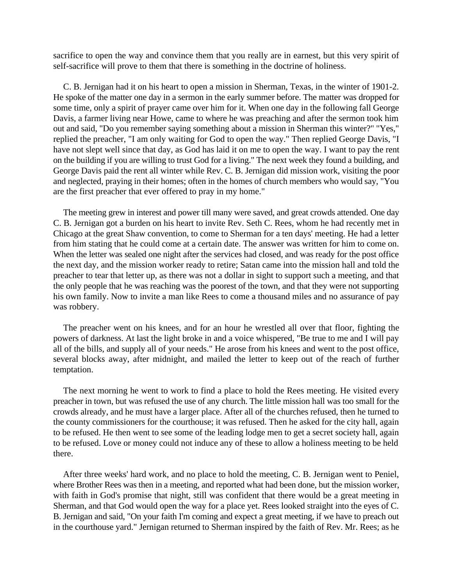sacrifice to open the way and convince them that you really are in earnest, but this very spirit of self-sacrifice will prove to them that there is something in the doctrine of holiness.

C. B. Jernigan had it on his heart to open a mission in Sherman, Texas, in the winter of 1901-2. He spoke of the matter one day in a sermon in the early summer before. The matter was dropped for some time, only a spirit of prayer came over him for it. When one day in the following fall George Davis, a farmer living near Howe, came to where he was preaching and after the sermon took him out and said, "Do you remember saying something about a mission in Sherman this winter?" "Yes," replied the preacher, "I am only waiting for God to open the way." Then replied George Davis, "I have not slept well since that day, as God has laid it on me to open the way. I want to pay the rent on the building if you are willing to trust God for a living." The next week they found a building, and George Davis paid the rent all winter while Rev. C. B. Jernigan did mission work, visiting the poor and neglected, praying in their homes; often in the homes of church members who would say, "You are the first preacher that ever offered to pray in my home."

The meeting grew in interest and power till many were saved, and great crowds attended. One day C. B. Jernigan got a burden on his heart to invite Rev. Seth C. Rees, whom he had recently met in Chicago at the great Shaw convention, to come to Sherman for a ten days' meeting. He had a letter from him stating that he could come at a certain date. The answer was written for him to come on. When the letter was sealed one night after the services had closed, and was ready for the post office the next day, and the mission worker ready to retire; Satan came into the mission hall and told the preacher to tear that letter up, as there was not a dollar in sight to support such a meeting, and that the only people that he was reaching was the poorest of the town, and that they were not supporting his own family. Now to invite a man like Rees to come a thousand miles and no assurance of pay was robbery.

The preacher went on his knees, and for an hour he wrestled all over that floor, fighting the powers of darkness. At last the light broke in and a voice whispered, "Be true to me and I will pay all of the bills, and supply all of your needs." He arose from his knees and went to the post office, several blocks away, after midnight, and mailed the letter to keep out of the reach of further temptation.

The next morning he went to work to find a place to hold the Rees meeting. He visited every preacher in town, but was refused the use of any church. The little mission hall was too small for the crowds already, and he must have a larger place. After all of the churches refused, then he turned to the county commissioners for the courthouse; it was refused. Then he asked for the city hall, again to be refused. He then went to see some of the leading lodge men to get a secret society hall, again to be refused. Love or money could not induce any of these to allow a holiness meeting to be held there.

After three weeks' hard work, and no place to hold the meeting, C. B. Jernigan went to Peniel, where Brother Rees was then in a meeting, and reported what had been done, but the mission worker, with faith in God's promise that night, still was confident that there would be a great meeting in Sherman, and that God would open the way for a place yet. Rees looked straight into the eyes of C. B. Jernigan and said, "On your faith I'm coming and expect a great meeting, if we have to preach out in the courthouse yard." Jernigan returned to Sherman inspired by the faith of Rev. Mr. Rees; as he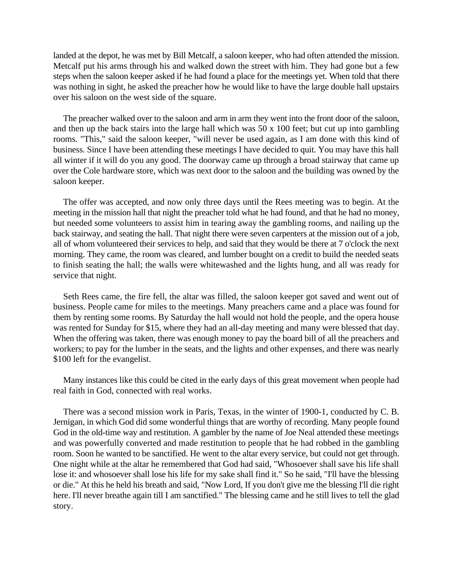landed at the depot, he was met by Bill Metcalf, a saloon keeper, who had often attended the mission. Metcalf put his arms through his and walked down the street with him. They had gone but a few steps when the saloon keeper asked if he had found a place for the meetings yet. When told that there was nothing in sight, he asked the preacher how he would like to have the large double hall upstairs over his saloon on the west side of the square.

The preacher walked over to the saloon and arm in arm they went into the front door of the saloon, and then up the back stairs into the large hall which was 50 x 100 feet; but cut up into gambling rooms. "This," said the saloon keeper, "will never be used again, as I am done with this kind of business. Since I have been attending these meetings I have decided to quit. You may have this hall all winter if it will do you any good. The doorway came up through a broad stairway that came up over the Cole hardware store, which was next door to the saloon and the building was owned by the saloon keeper.

The offer was accepted, and now only three days until the Rees meeting was to begin. At the meeting in the mission hall that night the preacher told what he had found, and that he had no money, but needed some volunteers to assist him in tearing away the gambling rooms, and nailing up the back stairway, and seating the hall. That night there were seven carpenters at the mission out of a job, all of whom volunteered their services to help, and said that they would be there at 7 o'clock the next morning. They came, the room was cleared, and lumber bought on a credit to build the needed seats to finish seating the hall; the walls were whitewashed and the lights hung, and all was ready for service that night.

Seth Rees came, the fire fell, the altar was filled, the saloon keeper got saved and went out of business. People came for miles to the meetings. Many preachers came and a place was found for them by renting some rooms. By Saturday the hall would not hold the people, and the opera house was rented for Sunday for \$15, where they had an all-day meeting and many were blessed that day. When the offering was taken, there was enough money to pay the board bill of all the preachers and workers; to pay for the lumber in the seats, and the lights and other expenses, and there was nearly \$100 left for the evangelist.

Many instances like this could be cited in the early days of this great movement when people had real faith in God, connected with real works.

There was a second mission work in Paris, Texas, in the winter of 1900-1, conducted by C. B. Jernigan, in which God did some wonderful things that are worthy of recording. Many people found God in the old-time way and restitution. A gambler by the name of Joe Neal attended these meetings and was powerfully converted and made restitution to people that he had robbed in the gambling room. Soon he wanted to be sanctified. He went to the altar every service, but could not get through. One night while at the altar he remembered that God had said, "Whosoever shall save his life shall lose it: and whosoever shall lose his life for my sake shall find it." So he said, "I'll have the blessing or die." At this he held his breath and said, "Now Lord, If you don't give me the blessing I'll die right here. I'll never breathe again till I am sanctified." The blessing came and he still lives to tell the glad story.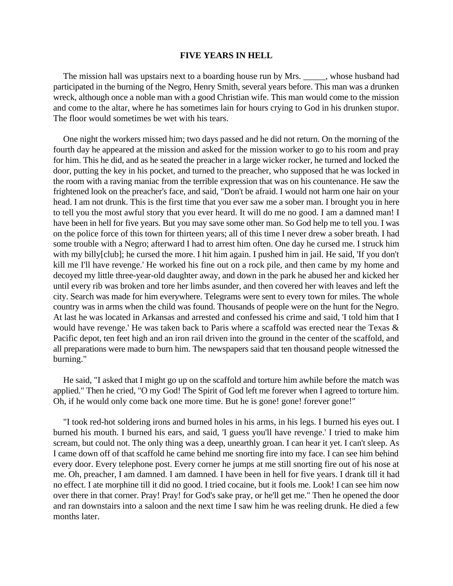#### **FIVE YEARS IN HELL**

The mission hall was upstairs next to a boarding house run by Mrs.  $\ldots$ , whose husband had participated in the burning of the Negro, Henry Smith, several years before. This man was a drunken wreck, although once a noble man with a good Christian wife. This man would come to the mission and come to the altar, where he has sometimes lain for hours crying to God in his drunken stupor. The floor would sometimes be wet with his tears.

One night the workers missed him; two days passed and he did not return. On the morning of the fourth day he appeared at the mission and asked for the mission worker to go to his room and pray for him. This he did, and as he seated the preacher in a large wicker rocker, he turned and locked the door, putting the key in his pocket, and turned to the preacher, who supposed that he was locked in the room with a raving maniac from the terrible expression that was on his countenance. He saw the frightened look on the preacher's face, and said, "Don't be afraid. I would not harm one hair on your head. I am not drunk. This is the first time that you ever saw me a sober man. I brought you in here to tell you the most awful story that you ever heard. It will do me no good. I am a damned man! I have been in hell for five years. But you may save some other man. So God help me to tell you. I was on the police force of this town for thirteen years; all of this time I never drew a sober breath. I had some trouble with a Negro; afterward I had to arrest him often. One day he cursed me. I struck him with my billy[club]; he cursed the more. I hit him again. I pushed him in jail. He said, 'If you don't kill me I'll have revenge.' He worked his fine out on a rock pile, and then came by my home and decoyed my little three-year-old daughter away, and down in the park he abused her and kicked her until every rib was broken and tore her limbs asunder, and then covered her with leaves and left the city. Search was made for him everywhere. Telegrams were sent to every town for miles. The whole country was in arms when the child was found. Thousands of people were on the hunt for the Negro. At last he was located in Arkansas and arrested and confessed his crime and said, 'I told him that I would have revenge.' He was taken back to Paris where a scaffold was erected near the Texas & Pacific depot, ten feet high and an iron rail driven into the ground in the center of the scaffold, and all preparations were made to burn him. The newspapers said that ten thousand people witnessed the burning."

He said, "I asked that I might go up on the scaffold and torture him awhile before the match was applied." Then he cried, "O my God! The Spirit of God left me forever when I agreed to torture him. Oh, if he would only come back one more time. But he is gone! gone! forever gone!"

"I took red-hot soldering irons and burned holes in his arms, in his legs. I burned his eyes out. I burned his mouth. I burned his ears, and said, 'I guess you'll have revenge.' I tried to make him scream, but could not. The only thing was a deep, unearthly groan. I can hear it yet. I can't sleep. As I came down off of that scaffold he came behind me snorting fire into my face. I can see him behind every door. Every telephone post. Every corner he jumps at me still snorting fire out of his nose at me. Oh, preacher, I am damned. I am damned. I have been in hell for five years. I drank till it had no effect. I ate morphine till it did no good. I tried cocaine, but it fools me. Look! I can see him now over there in that corner. Pray! Pray! for God's sake pray, or he'll get me." Then he opened the door and ran downstairs into a saloon and the next time I saw him he was reeling drunk. He died a few months later.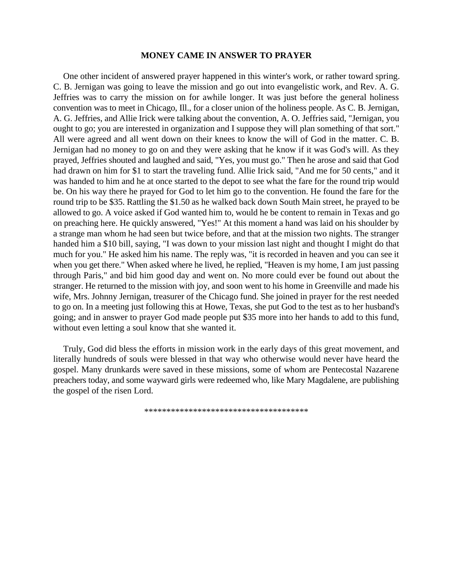### **MONEY CAME IN ANSWER TO PRAYER**

One other incident of answered prayer happened in this winter's work, or rather toward spring. C. B. Jernigan was going to leave the mission and go out into evangelistic work, and Rev. A. G. Jeffries was to carry the mission on for awhile longer. It was just before the general holiness convention was to meet in Chicago, Ill., for a closer union of the holiness people. As C. B. Jernigan, A. G. Jeffries, and Allie Irick were talking about the convention, A. O. Jeffries said, "Jernigan, you ought to go; you are interested in organization and I suppose they will plan something of that sort." All were agreed and all went down on their knees to know the will of God in the matter. C. B. Jernigan had no money to go on and they were asking that he know if it was God's will. As they prayed, Jeffries shouted and laughed and said, "Yes, you must go." Then he arose and said that God had drawn on him for \$1 to start the traveling fund. Allie Irick said, "And me for 50 cents," and it was handed to him and he at once started to the depot to see what the fare for the round trip would be. On his way there he prayed for God to let him go to the convention. He found the fare for the round trip to be \$35. Rattling the \$1.50 as he walked back down South Main street, he prayed to be allowed to go. A voice asked if God wanted him to, would he be content to remain in Texas and go on preaching here. He quickly answered, "Yes!" At this moment a hand was laid on his shoulder by a strange man whom he had seen but twice before, and that at the mission two nights. The stranger handed him a \$10 bill, saying, "I was down to your mission last night and thought I might do that much for you." He asked him his name. The reply was, "it is recorded in heaven and you can see it when you get there." When asked where he lived, he replied, "Heaven is my home, I am just passing through Paris," and bid him good day and went on. No more could ever be found out about the stranger. He returned to the mission with joy, and soon went to his home in Greenville and made his wife, Mrs. Johnny Jernigan, treasurer of the Chicago fund. She joined in prayer for the rest needed to go on. In a meeting just following this at Howe, Texas, she put God to the test as to her husband's going; and in answer to prayer God made people put \$35 more into her hands to add to this fund, without even letting a soul know that she wanted it.

Truly, God did bless the efforts in mission work in the early days of this great movement, and literally hundreds of souls were blessed in that way who otherwise would never have heard the gospel. Many drunkards were saved in these missions, some of whom are Pentecostal Nazarene preachers today, and some wayward girls were redeemed who, like Mary Magdalene, are publishing the gospel of the risen Lord.

\*\*\*\*\*\*\*\*\*\*\*\*\*\*\*\*\*\*\*\*\*\*\*\*\*\*\*\*\*\*\*\*\*\*\*\*\*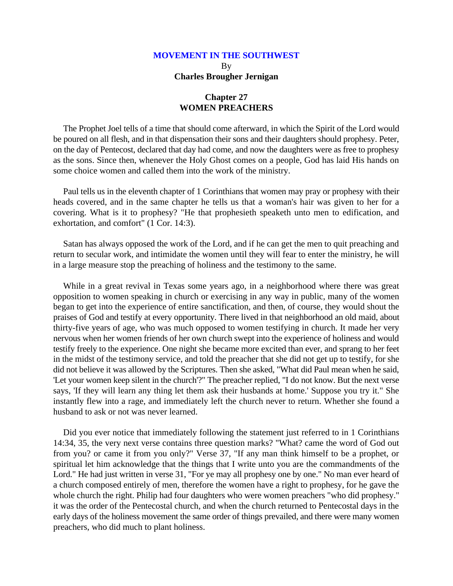### **Chapter 27 WOMEN PREACHERS**

The Prophet Joel tells of a time that should come afterward, in which the Spirit of the Lord would be poured on all flesh, and in that dispensation their sons and their daughters should prophesy. Peter, on the day of Pentecost, declared that day had come, and now the daughters were as free to prophesy as the sons. Since then, whenever the Holy Ghost comes on a people, God has laid His hands on some choice women and called them into the work of the ministry.

Paul tells us in the eleventh chapter of 1 Corinthians that women may pray or prophesy with their heads covered, and in the same chapter he tells us that a woman's hair was given to her for a covering. What is it to prophesy? "He that prophesieth speaketh unto men to edification, and exhortation, and comfort" (1 Cor. 14:3).

Satan has always opposed the work of the Lord, and if he can get the men to quit preaching and return to secular work, and intimidate the women until they will fear to enter the ministry, he will in a large measure stop the preaching of holiness and the testimony to the same.

While in a great revival in Texas some years ago, in a neighborhood where there was great opposition to women speaking in church or exercising in any way in public, many of the women began to get into the experience of entire sanctification, and then, of course, they would shout the praises of God and testify at every opportunity. There lived in that neighborhood an old maid, about thirty-five years of age, who was much opposed to women testifying in church. It made her very nervous when her women friends of her own church swept into the experience of holiness and would testify freely to the experience. One night she became more excited than ever, and sprang to her feet in the midst of the testimony service, and told the preacher that she did not get up to testify, for she did not believe it was allowed by the Scriptures. Then she asked, "What did Paul mean when he said, 'Let your women keep silent in the church'?" The preacher replied, "I do not know. But the next verse says, 'If they will learn any thing let them ask their husbands at home.' Suppose you try it." She instantly flew into a rage, and immediately left the church never to return. Whether she found a husband to ask or not was never learned.

Did you ever notice that immediately following the statement just referred to in 1 Corinthians 14:34, 35, the very next verse contains three question marks? "What? came the word of God out from you? or came it from you only?" Verse 37, "If any man think himself to be a prophet, or spiritual let him acknowledge that the things that I write unto you are the commandments of the Lord." He had just written in verse 31, "For ye may all prophesy one by one." No man ever heard of a church composed entirely of men, therefore the women have a right to prophesy, for he gave the whole church the right. Philip had four daughters who were women preachers "who did prophesy." it was the order of the Pentecostal church, and when the church returned to Pentecostal days in the early days of the holiness movement the same order of things prevailed, and there were many women preachers, who did much to plant holiness.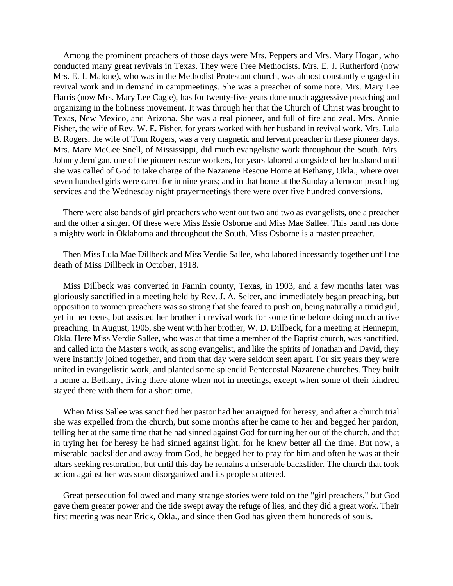Among the prominent preachers of those days were Mrs. Peppers and Mrs. Mary Hogan, who conducted many great revivals in Texas. They were Free Methodists. Mrs. E. J. Rutherford (now Mrs. E. J. Malone), who was in the Methodist Protestant church, was almost constantly engaged in revival work and in demand in campmeetings. She was a preacher of some note. Mrs. Mary Lee Harris (now Mrs. Mary Lee Cagle), has for twenty-five years done much aggressive preaching and organizing in the holiness movement. It was through her that the Church of Christ was brought to Texas, New Mexico, and Arizona. She was a real pioneer, and full of fire and zeal. Mrs. Annie Fisher, the wife of Rev. W. E. Fisher, for years worked with her husband in revival work. Mrs. Lula B. Rogers, the wife of Tom Rogers, was a very magnetic and fervent preacher in these pioneer days. Mrs. Mary McGee Snell, of Mississippi, did much evangelistic work throughout the South. Mrs. Johnny Jernigan, one of the pioneer rescue workers, for years labored alongside of her husband until she was called of God to take charge of the Nazarene Rescue Home at Bethany, Okla., where over seven hundred girls were cared for in nine years; and in that home at the Sunday afternoon preaching services and the Wednesday night prayermeetings there were over five hundred conversions.

There were also bands of girl preachers who went out two and two as evangelists, one a preacher and the other a singer. Of these were Miss Essie Osborne and Miss Mae Sallee. This band has done a mighty work in Oklahoma and throughout the South. Miss Osborne is a master preacher.

Then Miss Lula Mae Dillbeck and Miss Verdie Sallee, who labored incessantly together until the death of Miss Dillbeck in October, 1918.

Miss Dillbeck was converted in Fannin county, Texas, in 1903, and a few months later was gloriously sanctified in a meeting held by Rev. J. A. Selcer, and immediately began preaching, but opposition to women preachers was so strong that she feared to push on, being naturally a timid girl, yet in her teens, but assisted her brother in revival work for some time before doing much active preaching. In August, 1905, she went with her brother, W. D. Dillbeck, for a meeting at Hennepin, Okla. Here Miss Verdie Sallee, who was at that time a member of the Baptist church, was sanctified, and called into the Master's work, as song evangelist, and like the spirits of Jonathan and David, they were instantly joined together, and from that day were seldom seen apart. For six years they were united in evangelistic work, and planted some splendid Pentecostal Nazarene churches. They built a home at Bethany, living there alone when not in meetings, except when some of their kindred stayed there with them for a short time.

When Miss Sallee was sanctified her pastor had her arraigned for heresy, and after a church trial she was expelled from the church, but some months after he came to her and begged her pardon, telling her at the same time that he had sinned against God for turning her out of the church, and that in trying her for heresy he had sinned against light, for he knew better all the time. But now, a miserable backslider and away from God, he begged her to pray for him and often he was at their altars seeking restoration, but until this day he remains a miserable backslider. The church that took action against her was soon disorganized and its people scattered.

Great persecution followed and many strange stories were told on the "girl preachers," but God gave them greater power and the tide swept away the refuge of lies, and they did a great work. Their first meeting was near Erick, Okla., and since then God has given them hundreds of souls.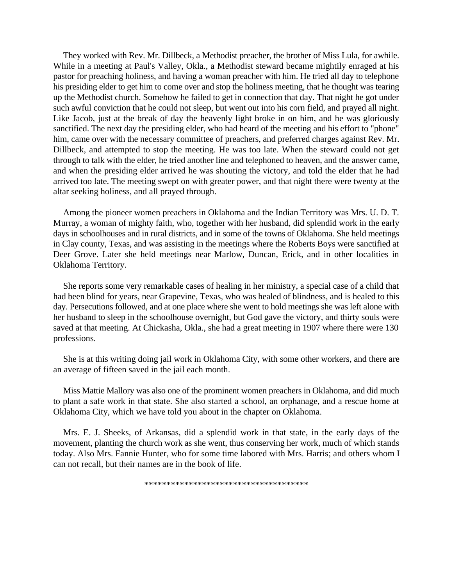They worked with Rev. Mr. Dillbeck, a Methodist preacher, the brother of Miss Lula, for awhile. While in a meeting at Paul's Valley, Okla., a Methodist steward became mightily enraged at his pastor for preaching holiness, and having a woman preacher with him. He tried all day to telephone his presiding elder to get him to come over and stop the holiness meeting, that he thought was tearing up the Methodist church. Somehow he failed to get in connection that day. That night he got under such awful conviction that he could not sleep, but went out into his corn field, and prayed all night. Like Jacob, just at the break of day the heavenly light broke in on him, and he was gloriously sanctified. The next day the presiding elder, who had heard of the meeting and his effort to "phone" him, came over with the necessary committee of preachers, and preferred charges against Rev. Mr. Dillbeck, and attempted to stop the meeting. He was too late. When the steward could not get through to talk with the elder, he tried another line and telephoned to heaven, and the answer came, and when the presiding elder arrived he was shouting the victory, and told the elder that he had arrived too late. The meeting swept on with greater power, and that night there were twenty at the altar seeking holiness, and all prayed through.

Among the pioneer women preachers in Oklahoma and the Indian Territory was Mrs. U. D. T. Murray, a woman of mighty faith, who, together with her husband, did splendid work in the early days in schoolhouses and in rural districts, and in some of the towns of Oklahoma. She held meetings in Clay county, Texas, and was assisting in the meetings where the Roberts Boys were sanctified at Deer Grove. Later she held meetings near Marlow, Duncan, Erick, and in other localities in Oklahoma Territory.

She reports some very remarkable cases of healing in her ministry, a special case of a child that had been blind for years, near Grapevine, Texas, who was healed of blindness, and is healed to this day. Persecutions followed, and at one place where she went to hold meetings she was left alone with her husband to sleep in the schoolhouse overnight, but God gave the victory, and thirty souls were saved at that meeting. At Chickasha, Okla., she had a great meeting in 1907 where there were 130 professions.

She is at this writing doing jail work in Oklahoma City, with some other workers, and there are an average of fifteen saved in the jail each month.

Miss Mattie Mallory was also one of the prominent women preachers in Oklahoma, and did much to plant a safe work in that state. She also started a school, an orphanage, and a rescue home at Oklahoma City, which we have told you about in the chapter on Oklahoma.

Mrs. E. J. Sheeks, of Arkansas, did a splendid work in that state, in the early days of the movement, planting the church work as she went, thus conserving her work, much of which stands today. Also Mrs. Fannie Hunter, who for some time labored with Mrs. Harris; and others whom I can not recall, but their names are in the book of life.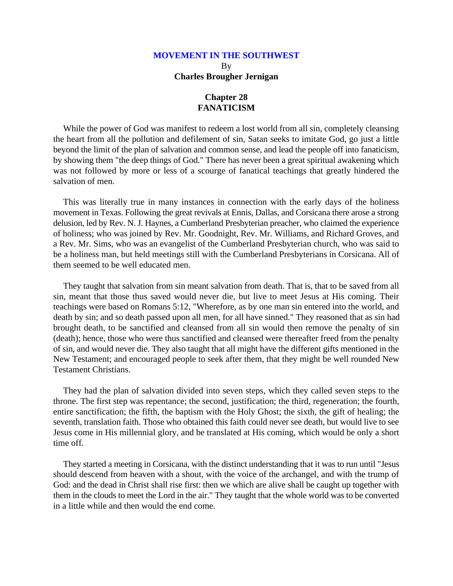### **Chapter 28 FANATICISM**

While the power of God was manifest to redeem a lost world from all sin, completely cleansing the heart from all the pollution and defilement of sin, Satan seeks to imitate God, go just a little beyond the limit of the plan of salvation and common sense, and lead the people off into fanaticism, by showing them "the deep things of God." There has never been a great spiritual awakening which was not followed by more or less of a scourge of fanatical teachings that greatly hindered the salvation of men.

This was literally true in many instances in connection with the early days of the holiness movement in Texas. Following the great revivals at Ennis, Dallas, and Corsicana there arose a strong delusion, led by Rev. N. J. Haynes, a Cumberland Presbyterian preacher, who claimed the experience of holiness; who was joined by Rev. Mr. Goodnight, Rev. Mr. Williams, and Richard Groves, and a Rev. Mr. Sims, who was an evangelist of the Cumberland Presbyterian church, who was said to be a holiness man, but held meetings still with the Cumberland Presbyterians in Corsicana. All of them seemed to be well educated men.

They taught that salvation from sin meant salvation from death. That is, that to be saved from all sin, meant that those thus saved would never die, but live to meet Jesus at His coming. Their teachings were based on Romans 5:12, "Wherefore, as by one man sin entered into the world, and death by sin; and so death passed upon all men, for all have sinned." They reasoned that as sin had brought death, to be sanctified and cleansed from all sin would then remove the penalty of sin (death); hence, those who were thus sanctified and cleansed were thereafter freed from the penalty of sin, and would never die. They also taught that all might have the different gifts mentioned in the New Testament; and encouraged people to seek after them, that they might be well rounded New Testament Christians.

They had the plan of salvation divided into seven steps, which they called seven steps to the throne. The first step was repentance; the second, justification; the third, regeneration; the fourth, entire sanctification; the fifth, the baptism with the Holy Ghost; the sixth, the gift of healing; the seventh, translation faith. Those who obtained this faith could never see death, but would live to see Jesus come in His millennial glory, and be translated at His coming, which would be only a short time off.

They started a meeting in Corsicana, with the distinct understanding that it was to run until "Jesus should descend from heaven with a shout, with the voice of the archangel, and with the trump of God: and the dead in Christ shall rise first: then we which are alive shall be caught up together with them in the clouds to meet the Lord in the air." They taught that the whole world was to be converted in a little while and then would the end come.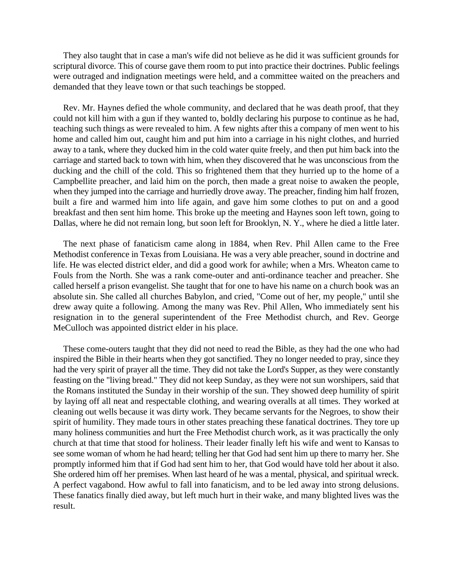They also taught that in case a man's wife did not believe as he did it was sufficient grounds for scriptural divorce. This of course gave them room to put into practice their doctrines. Public feelings were outraged and indignation meetings were held, and a committee waited on the preachers and demanded that they leave town or that such teachings be stopped.

Rev. Mr. Haynes defied the whole community, and declared that he was death proof, that they could not kill him with a gun if they wanted to, boldly declaring his purpose to continue as he had, teaching such things as were revealed to him. A few nights after this a company of men went to his home and called him out, caught him and put him into a carriage in his night clothes, and hurried away to a tank, where they ducked him in the cold water quite freely, and then put him back into the carriage and started back to town with him, when they discovered that he was unconscious from the ducking and the chill of the cold. This so frightened them that they hurried up to the home of a Campbellite preacher, and laid him on the porch, then made a great noise to awaken the people, when they jumped into the carriage and hurriedly drove away. The preacher, finding him half frozen, built a fire and warmed him into life again, and gave him some clothes to put on and a good breakfast and then sent him home. This broke up the meeting and Haynes soon left town, going to Dallas, where he did not remain long, but soon left for Brooklyn, N. Y., where he died a little later.

The next phase of fanaticism came along in 1884, when Rev. Phil Allen came to the Free Methodist conference in Texas from Louisiana. He was a very able preacher, sound in doctrine and life. He was elected district elder, and did a good work for awhile; when a Mrs. Wheaton came to Fouls from the North. She was a rank come-outer and anti-ordinance teacher and preacher. She called herself a prison evangelist. She taught that for one to have his name on a church book was an absolute sin. She called all churches Babylon, and cried, "Come out of her, my people," until she drew away quite a following. Among the many was Rev. Phil Allen, Who immediately sent his resignation in to the general superintendent of the Free Methodist church, and Rev. George MeCulloch was appointed district elder in his place.

These come-outers taught that they did not need to read the Bible, as they had the one who had inspired the Bible in their hearts when they got sanctified. They no longer needed to pray, since they had the very spirit of prayer all the time. They did not take the Lord's Supper, as they were constantly feasting on the "living bread." They did not keep Sunday, as they were not sun worshipers, said that the Romans instituted the Sunday in their worship of the sun. They showed deep humility of spirit by laying off all neat and respectable clothing, and wearing overalls at all times. They worked at cleaning out wells because it was dirty work. They became servants for the Negroes, to show their spirit of humility. They made tours in other states preaching these fanatical doctrines. They tore up many holiness communities and hurt the Free Methodist church work, as it was practically the only church at that time that stood for holiness. Their leader finally left his wife and went to Kansas to see some woman of whom he had heard; telling her that God had sent him up there to marry her. She promptly informed him that if God had sent him to her, that God would have told her about it also. She ordered him off her premises. When last heard of he was a mental, physical, and spiritual wreck. A perfect vagabond. How awful to fall into fanaticism, and to be led away into strong delusions. These fanatics finally died away, but left much hurt in their wake, and many blighted lives was the result.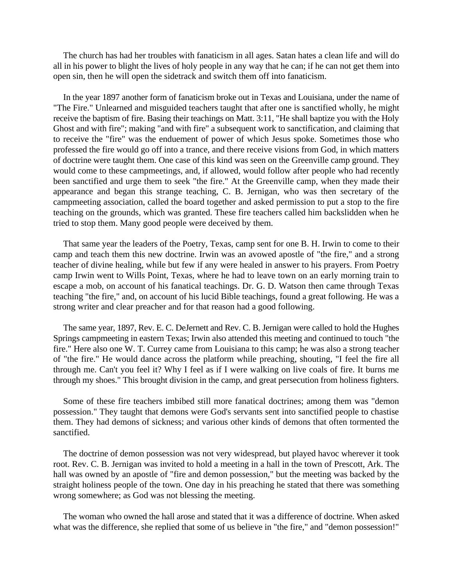The church has had her troubles with fanaticism in all ages. Satan hates a clean life and will do all in his power to blight the lives of holy people in any way that he can; if he can not get them into open sin, then he will open the sidetrack and switch them off into fanaticism.

In the year 1897 another form of fanaticism broke out in Texas and Louisiana, under the name of "The Fire." Unlearned and misguided teachers taught that after one is sanctified wholly, he might receive the baptism of fire. Basing their teachings on Matt. 3:11, "He shall baptize you with the Holy Ghost and with fire"; making "and with fire" a subsequent work to sanctification, and claiming that to receive the "fire" was the enduement of power of which Jesus spoke. Sometimes those who professed the fire would go off into a trance, and there receive visions from God, in which matters of doctrine were taught them. One case of this kind was seen on the Greenville camp ground. They would come to these campmeetings, and, if allowed, would follow after people who had recently been sanctified and urge them to seek "the fire." At the Greenville camp, when they made their appearance and began this strange teaching, C. B. Jernigan, who was then secretary of the campmeeting association, called the board together and asked permission to put a stop to the fire teaching on the grounds, which was granted. These fire teachers called him backslidden when he tried to stop them. Many good people were deceived by them.

That same year the leaders of the Poetry, Texas, camp sent for one B. H. Irwin to come to their camp and teach them this new doctrine. Irwin was an avowed apostle of "the fire," and a strong teacher of divine healing, while but few if any were healed in answer to his prayers. From Poetry camp Irwin went to Wills Point, Texas, where he had to leave town on an early morning train to escape a mob, on account of his fanatical teachings. Dr. G. D. Watson then came through Texas teaching "the fire," and, on account of his lucid Bible teachings, found a great following. He was a strong writer and clear preacher and for that reason had a good following.

The same year, 1897, Rev. E. C. DeJernett and Rev. C. B. Jernigan were called to hold the Hughes Springs campmeeting in eastern Texas; Irwin also attended this meeting and continued to touch "the fire." Here also one W. T. Currey came from Louisiana to this camp; he was also a strong teacher of "the fire." He would dance across the platform while preaching, shouting, "I feel the fire all through me. Can't you feel it? Why I feel as if I were walking on live coals of fire. It burns me through my shoes." This brought division in the camp, and great persecution from holiness fighters.

Some of these fire teachers imbibed still more fanatical doctrines; among them was "demon possession." They taught that demons were God's servants sent into sanctified people to chastise them. They had demons of sickness; and various other kinds of demons that often tormented the sanctified.

The doctrine of demon possession was not very widespread, but played havoc wherever it took root. Rev. C. B. Jernigan was invited to hold a meeting in a hall in the town of Prescott, Ark. The hall was owned by an apostle of "fire and demon possession," but the meeting was backed by the straight holiness people of the town. One day in his preaching he stated that there was something wrong somewhere; as God was not blessing the meeting.

The woman who owned the hall arose and stated that it was a difference of doctrine. When asked what was the difference, she replied that some of us believe in "the fire," and "demon possession!"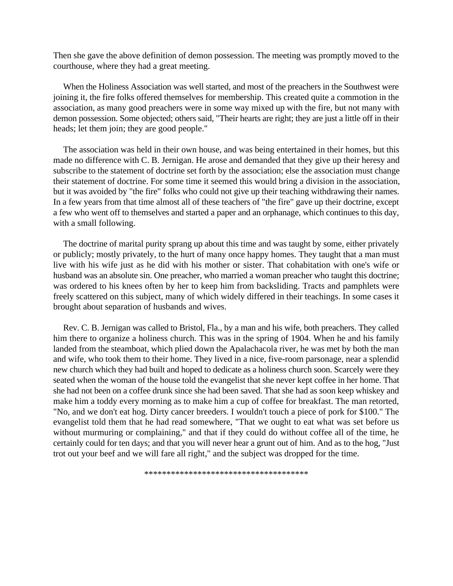Then she gave the above definition of demon possession. The meeting was promptly moved to the courthouse, where they had a great meeting.

When the Holiness Association was well started, and most of the preachers in the Southwest were joining it, the fire folks offered themselves for membership. This created quite a commotion in the association, as many good preachers were in some way mixed up with the fire, but not many with demon possession. Some objected; others said, "Their hearts are right; they are just a little off in their heads; let them join; they are good people."

The association was held in their own house, and was being entertained in their homes, but this made no difference with C. B. Jernigan. He arose and demanded that they give up their heresy and subscribe to the statement of doctrine set forth by the association; else the association must change their statement of doctrine. For some time it seemed this would bring a division in the association, but it was avoided by "the fire" folks who could not give up their teaching withdrawing their names. In a few years from that time almost all of these teachers of "the fire" gave up their doctrine, except a few who went off to themselves and started a paper and an orphanage, which continues to this day, with a small following.

The doctrine of marital purity sprang up about this time and was taught by some, either privately or publicly; mostly privately, to the hurt of many once happy homes. They taught that a man must live with his wife just as he did with his mother or sister. That cohabitation with one's wife or husband was an absolute sin. One preacher, who married a woman preacher who taught this doctrine; was ordered to his knees often by her to keep him from backsliding. Tracts and pamphlets were freely scattered on this subject, many of which widely differed in their teachings. In some cases it brought about separation of husbands and wives.

Rev. C. B. Jernigan was called to Bristol, Fla., by a man and his wife, both preachers. They called him there to organize a holiness church. This was in the spring of 1904. When he and his family landed from the steamboat, which plied down the Apalachacola river, he was met by both the man and wife, who took them to their home. They lived in a nice, five-room parsonage, near a splendid new church which they had built and hoped to dedicate as a holiness church soon. Scarcely were they seated when the woman of the house told the evangelist that she never kept coffee in her home. That she had not been on a coffee drunk since she had been saved. That she had as soon keep whiskey and make him a toddy every morning as to make him a cup of coffee for breakfast. The man retorted, "No, and we don't eat hog. Dirty cancer breeders. I wouldn't touch a piece of pork for \$100." The evangelist told them that he had read somewhere, "That we ought to eat what was set before us without murmuring or complaining," and that if they could do without coffee all of the time, he certainly could for ten days; and that you will never hear a grunt out of him. And as to the hog, "Just trot out your beef and we will fare all right," and the subject was dropped for the time.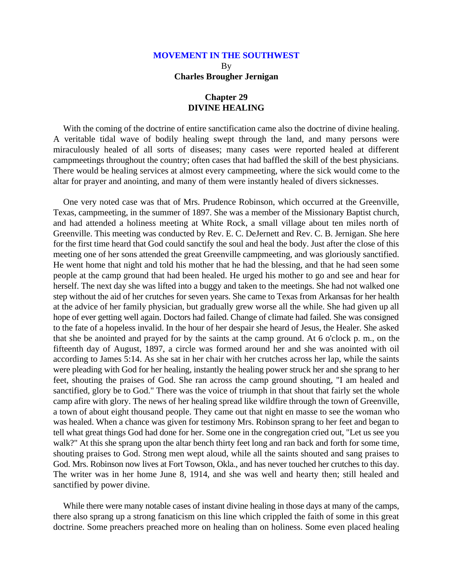### **Chapter 29 DIVINE HEALING**

With the coming of the doctrine of entire sanctification came also the doctrine of divine healing. A veritable tidal wave of bodily healing swept through the land, and many persons were miraculously healed of all sorts of diseases; many cases were reported healed at different campmeetings throughout the country; often cases that had baffled the skill of the best physicians. There would be healing services at almost every campmeeting, where the sick would come to the altar for prayer and anointing, and many of them were instantly healed of divers sicknesses.

One very noted case was that of Mrs. Prudence Robinson, which occurred at the Greenville, Texas, campmeeting, in the summer of 1897. She was a member of the Missionary Baptist church, and had attended a holiness meeting at White Rock, a small village about ten miles north of Greenville. This meeting was conducted by Rev. E. C. DeJernett and Rev. C. B. Jernigan. She here for the first time heard that God could sanctify the soul and heal the body. Just after the close of this meeting one of her sons attended the great Greenville campmeeting, and was gloriously sanctified. He went home that night and told his mother that he had the blessing, and that he had seen some people at the camp ground that had been healed. He urged his mother to go and see and hear for herself. The next day she was lifted into a buggy and taken to the meetings. She had not walked one step without the aid of her crutches for seven years. She came to Texas from Arkansas for her health at the advice of her family physician, but gradually grew worse all the while. She had given up all hope of ever getting well again. Doctors had failed. Change of climate had failed. She was consigned to the fate of a hopeless invalid. In the hour of her despair she heard of Jesus, the Healer. She asked that she be anointed and prayed for by the saints at the camp ground. At 6 o'clock p. m., on the fifteenth day of August, 1897, a circle was formed around her and she was anointed with oil according to James 5:14. As she sat in her chair with her crutches across her lap, while the saints were pleading with God for her healing, instantly the healing power struck her and she sprang to her feet, shouting the praises of God. She ran across the camp ground shouting, "I am healed and sanctified, glory be to God." There was the voice of triumph in that shout that fairly set the whole camp afire with glory. The news of her healing spread like wildfire through the town of Greenville, a town of about eight thousand people. They came out that night en masse to see the woman who was healed. When a chance was given for testimony Mrs. Robinson sprang to her feet and began to tell what great things God had done for her. Some one in the congregation cried out, "Let us see you walk?" At this she sprang upon the altar bench thirty feet long and ran back and forth for some time, shouting praises to God. Strong men wept aloud, while all the saints shouted and sang praises to God. Mrs. Robinson now lives at Fort Towson, Okla., and has never touched her crutches to this day. The writer was in her home June 8, 1914, and she was well and hearty then; still healed and sanctified by power divine.

While there were many notable cases of instant divine healing in those days at many of the camps, there also sprang up a strong fanaticism on this line which crippled the faith of some in this great doctrine. Some preachers preached more on healing than on holiness. Some even placed healing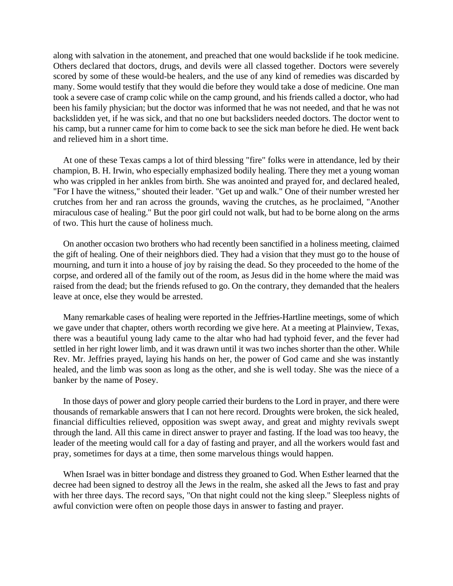along with salvation in the atonement, and preached that one would backslide if he took medicine. Others declared that doctors, drugs, and devils were all classed together. Doctors were severely scored by some of these would-be healers, and the use of any kind of remedies was discarded by many. Some would testify that they would die before they would take a dose of medicine. One man took a severe case of cramp colic while on the camp ground, and his friends called a doctor, who had been his family physician; but the doctor was informed that he was not needed, and that he was not backslidden yet, if he was sick, and that no one but backsliders needed doctors. The doctor went to his camp, but a runner came for him to come back to see the sick man before he died. He went back and relieved him in a short time.

At one of these Texas camps a lot of third blessing "fire" folks were in attendance, led by their champion, B. H. Irwin, who especially emphasized bodily healing. There they met a young woman who was crippled in her ankles from birth. She was anointed and prayed for, and declared healed, "For I have the witness," shouted their leader. "Get up and walk." One of their number wrested her crutches from her and ran across the grounds, waving the crutches, as he proclaimed, "Another miraculous case of healing." But the poor girl could not walk, but had to be borne along on the arms of two. This hurt the cause of holiness much.

On another occasion two brothers who had recently been sanctified in a holiness meeting, claimed the gift of healing. One of their neighbors died. They had a vision that they must go to the house of mourning, and turn it into a house of joy by raising the dead. So they proceeded to the home of the corpse, and ordered all of the family out of the room, as Jesus did in the home where the maid was raised from the dead; but the friends refused to go. On the contrary, they demanded that the healers leave at once, else they would be arrested.

Many remarkable cases of healing were reported in the Jeffries-Hartline meetings, some of which we gave under that chapter, others worth recording we give here. At a meeting at Plainview, Texas, there was a beautiful young lady came to the altar who had had typhoid fever, and the fever had settled in her right lower limb, and it was drawn until it was two inches shorter than the other. While Rev. Mr. Jeffries prayed, laying his hands on her, the power of God came and she was instantly healed, and the limb was soon as long as the other, and she is well today. She was the niece of a banker by the name of Posey.

In those days of power and glory people carried their burdens to the Lord in prayer, and there were thousands of remarkable answers that I can not here record. Droughts were broken, the sick healed, financial difficulties relieved, opposition was swept away, and great and mighty revivals swept through the land. All this came in direct answer to prayer and fasting. If the load was too heavy, the leader of the meeting would call for a day of fasting and prayer, and all the workers would fast and pray, sometimes for days at a time, then some marvelous things would happen.

When Israel was in bitter bondage and distress they groaned to God. When Esther learned that the decree had been signed to destroy all the Jews in the realm, she asked all the Jews to fast and pray with her three days. The record says, "On that night could not the king sleep." Sleepless nights of awful conviction were often on people those days in answer to fasting and prayer.